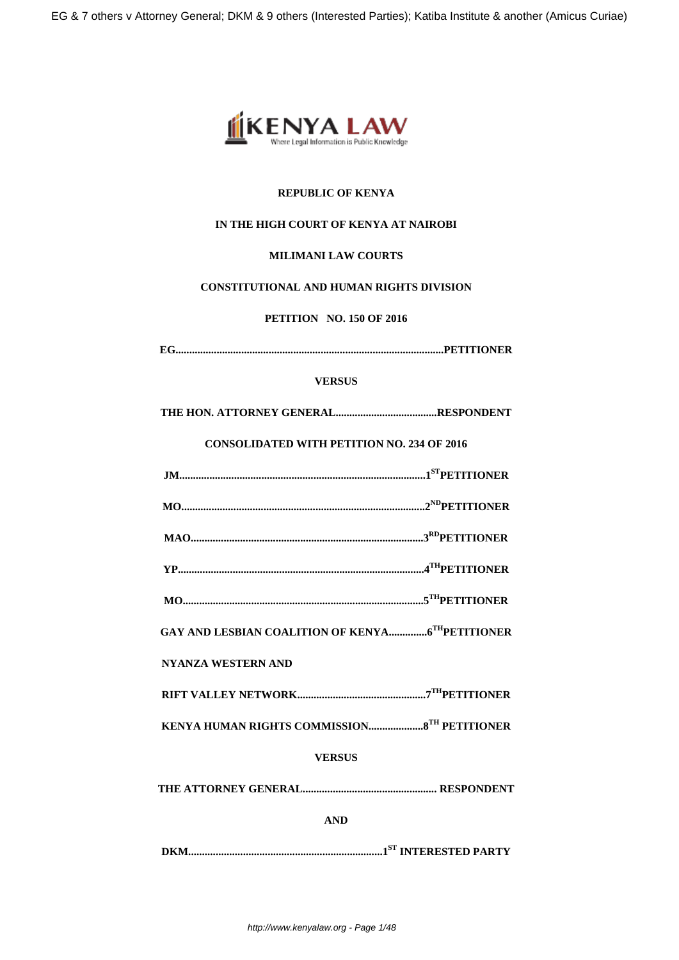

# **REPUBLIC OF KENYA**

# **IN THE HIGH COURT OF KENYA AT NAIROBI**

## **MILIMANI LAW COURTS**

# **CONSTITUTIONAL AND HUMAN RIGHTS DIVISION**

# **PETITION NO. 150 OF 2016**

**EG..................................................................................................PETITIONER**

## **VERSUS**

**THE HON. ATTORNEY GENERAL.....................................RESPONDENT**

# **CONSOLIDATED WITH PETITION NO. 234 OF 2016**

- **MAO.....................................................................................3RDPETITIONER**
- **YP..........................................................................................4THPETITIONER**
- **MO........................................................................................5THPETITIONER**

**GAY AND LESBIAN COALITION OF KENYA..............6THPETITIONER**

# **NYANZA WESTERN AND**

- **RIFT VALLEY NETWORK...............................................7THPETITIONER**
- **KENYA HUMAN RIGHTS COMMISSION....................8TH PETITIONER**

# **VERSUS**

**THE ATTORNEY GENERAL................................................. RESPONDENT**

**AND**

**DKM.......................................................................1ST INTERESTED PARTY**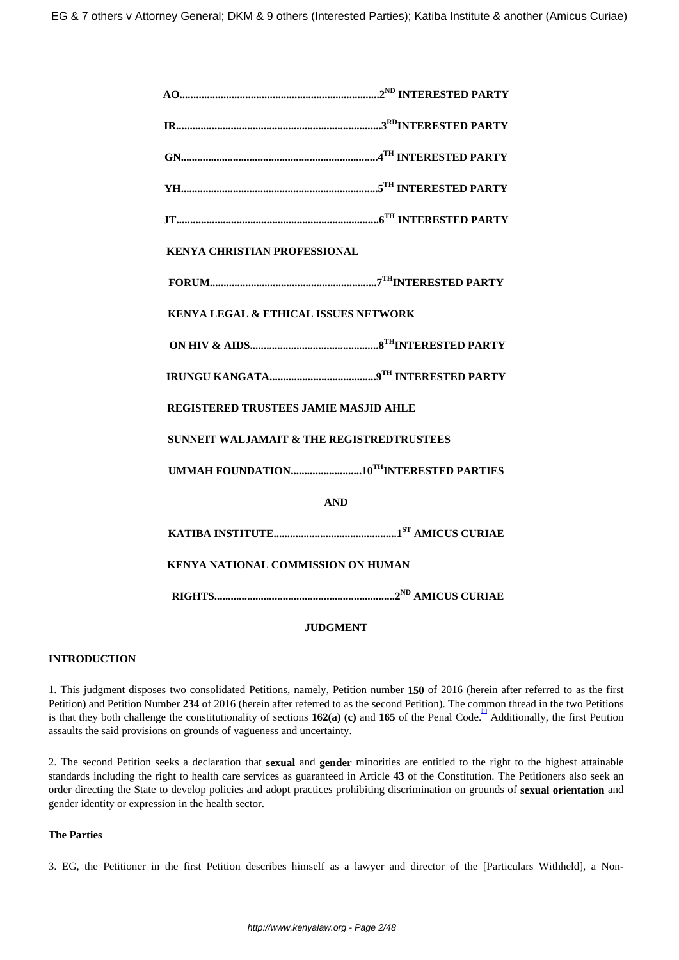| <b>KENYA CHRISTIAN PROFESSIONAL</b>                  |  |  |
|------------------------------------------------------|--|--|
|                                                      |  |  |
| KENYA LEGAL & ETHICAL ISSUES NETWORK                 |  |  |
|                                                      |  |  |
|                                                      |  |  |
| <b>REGISTERED TRUSTEES JAMIE MASJID AHLE</b>         |  |  |
| <b>SUNNEIT WALJAMAIT &amp; THE REGISTREDTRUSTEES</b> |  |  |
|                                                      |  |  |
| <b>AND</b>                                           |  |  |
|                                                      |  |  |
| <b>KENYA NATIONAL COMMISSION ON HUMAN</b>            |  |  |
|                                                      |  |  |

## **JUDGMENT**

## **INTRODUCTION**

1. This judgment disposes two consolidated Petitions, namely, Petition number **150** of 2016 (herein after referred to as the first Petition) and Petition Number **234** of 2016 (herein after referred to as the second Petition). The common thread in the two Petitions is that they both challenge the constitutionality of sections **162(a) (c)** and **165** of the Penal Code. [1] Additionally, the first Petition assaults the said provisions on grounds of vagueness and uncertainty.

2. The second Petition seeks a declaration that **sexual** and **gender** minorities are entitled to the right to the highest attainable standards including the right to health care services as guaranteed in Article **43** of the Constitution. The Petitioners also seek an order directing the State to develop policies and adopt practices prohibiting discrimination on grounds of **sexual orientation** and gender identity or expression in the health sector.

#### **The Parties**

3. EG, the Petitioner in the first Petition describes himself as a lawyer and director of the [Particulars Withheld], a Non-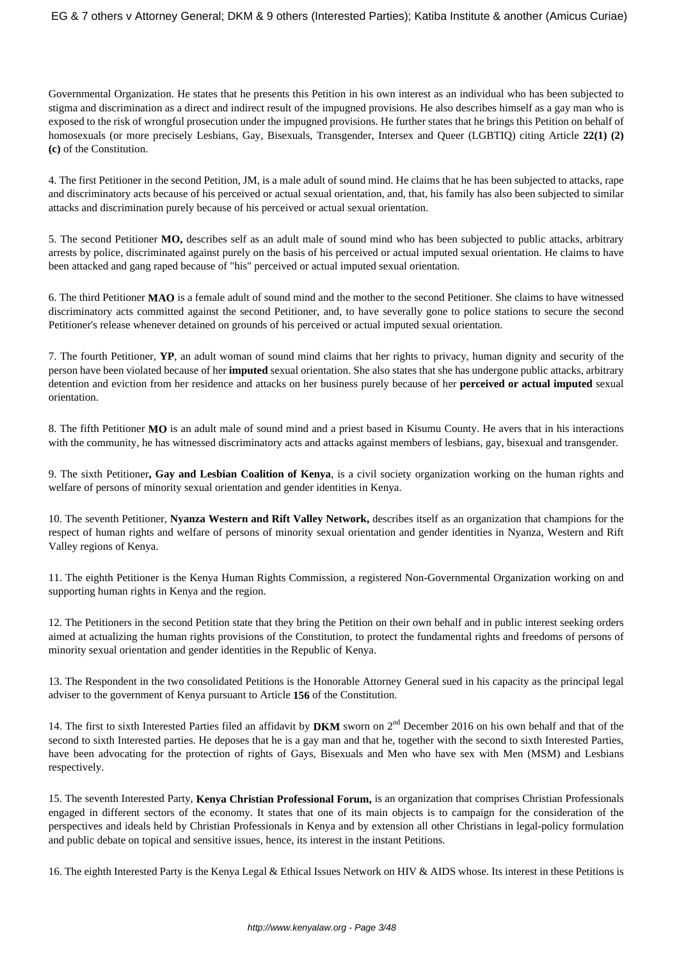Governmental Organization. He states that he presents this Petition in his own interest as an individual who has been subjected to stigma and discrimination as a direct and indirect result of the impugned provisions. He also describes himself as a gay man who is exposed to the risk of wrongful prosecution under the impugned provisions. He further states that he brings this Petition on behalf of homosexuals (or more precisely Lesbians, Gay, Bisexuals, Transgender, Intersex and Queer (LGBTIQ) citing Article **22(1) (2) (c)** of the Constitution.

4. The first Petitioner in the second Petition, JM, is a male adult of sound mind. He claims that he has been subjected to attacks, rape and discriminatory acts because of his perceived or actual sexual orientation, and, that, his family has also been subjected to similar attacks and discrimination purely because of his perceived or actual sexual orientation.

5. The second Petitioner **MO,** describes self as an adult male of sound mind who has been subjected to public attacks, arbitrary arrests by police, discriminated against purely on the basis of his perceived or actual imputed sexual orientation. He claims to have been attacked and gang raped because of "his" perceived or actual imputed sexual orientation.

6. The third Petitioner **MAO** is a female adult of sound mind and the mother to the second Petitioner. She claims to have witnessed discriminatory acts committed against the second Petitioner, and, to have severally gone to police stations to secure the second Petitioner's release whenever detained on grounds of his perceived or actual imputed sexual orientation.

7. The fourth Petitioner, **YP**, an adult woman of sound mind claims that her rights to privacy, human dignity and security of the person have been violated because of her **imputed** sexual orientation. She also states that she has undergone public attacks, arbitrary detention and eviction from her residence and attacks on her business purely because of her **perceived or actual imputed** sexual orientation.

8. The fifth Petitioner **MO** is an adult male of sound mind and a priest based in Kisumu County. He avers that in his interactions with the community, he has witnessed discriminatory acts and attacks against members of lesbians, gay, bisexual and transgender.

9. The sixth Petitioner**, Gay and Lesbian Coalition of Kenya**, is a civil society organization working on the human rights and welfare of persons of minority sexual orientation and gender identities in Kenya.

10. The seventh Petitioner, **Nyanza Western and Rift Valley Network,** describes itself as an organization that champions for the respect of human rights and welfare of persons of minority sexual orientation and gender identities in Nyanza, Western and Rift Valley regions of Kenya.

11. The eighth Petitioner is the Kenya Human Rights Commission, a registered Non-Governmental Organization working on and supporting human rights in Kenya and the region.

12. The Petitioners in the second Petition state that they bring the Petition on their own behalf and in public interest seeking orders aimed at actualizing the human rights provisions of the Constitution, to protect the fundamental rights and freedoms of persons of minority sexual orientation and gender identities in the Republic of Kenya.

13. The Respondent in the two consolidated Petitions is the Honorable Attorney General sued in his capacity as the principal legal adviser to the government of Kenya pursuant to Article **156** of the Constitution.

14. The first to sixth Interested Parties filed an affidavit by **DKM** sworn on 2nd December 2016 on his own behalf and that of the second to sixth Interested parties. He deposes that he is a gay man and that he, together with the second to sixth Interested Parties, have been advocating for the protection of rights of Gays, Bisexuals and Men who have sex with Men (MSM) and Lesbians respectively.

15. The seventh Interested Party, **Kenya Christian Professional Forum,** is an organization that comprises Christian Professionals engaged in different sectors of the economy. It states that one of its main objects is to campaign for the consideration of the perspectives and ideals held by Christian Professionals in Kenya and by extension all other Christians in legal-policy formulation and public debate on topical and sensitive issues, hence, its interest in the instant Petitions.

16. The eighth Interested Party is the Kenya Legal & Ethical Issues Network on HIV & AIDS whose. Its interest in these Petitions is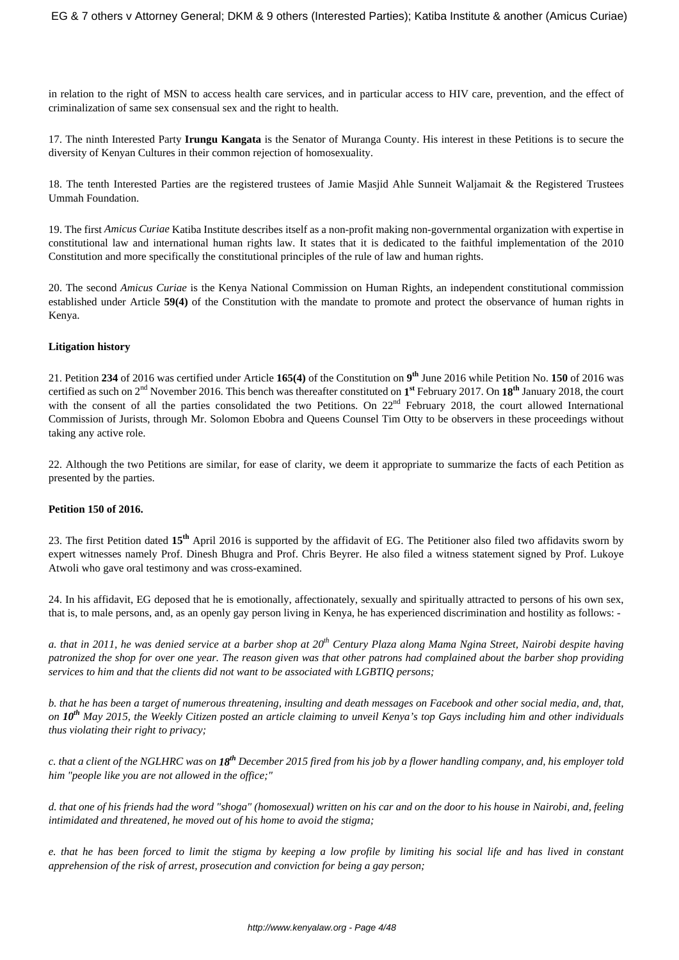in relation to the right of MSN to access health care services, and in particular access to HIV care, prevention, and the effect of criminalization of same sex consensual sex and the right to health.

17. The ninth Interested Party **Irungu Kangata** is the Senator of Muranga County. His interest in these Petitions is to secure the diversity of Kenyan Cultures in their common rejection of homosexuality.

18. The tenth Interested Parties are the registered trustees of Jamie Masjid Ahle Sunneit Waljamait & the Registered Trustees Ummah Foundation.

19. The first *Amicus Curiae* Katiba Institute describes itself as a non-profit making non-governmental organization with expertise in constitutional law and international human rights law. It states that it is dedicated to the faithful implementation of the 2010 Constitution and more specifically the constitutional principles of the rule of law and human rights.

20. The second *Amicus Curiae* is the Kenya National Commission on Human Rights, an independent constitutional commission established under Article **59(4)** of the Constitution with the mandate to promote and protect the observance of human rights in Kenya.

## **Litigation history**

21. Petition **234** of 2016 was certified under Article **165(4)** of the Constitution on **9 th** June 2016 while Petition No. **150** of 2016 was certified as such on 2nd November 2016. This bench was thereafter constituted on **1 st** February 2017. On **18th** January 2018, the court with the consent of all the parties consolidated the two Petitions. On  $22<sup>nd</sup>$  February 2018, the court allowed International Commission of Jurists, through Mr. Solomon Ebobra and Queens Counsel Tim Otty to be observers in these proceedings without taking any active role.

22. Although the two Petitions are similar, for ease of clarity, we deem it appropriate to summarize the facts of each Petition as presented by the parties.

## **Petition 150 of 2016.**

23. The first Petition dated **15th** April 2016 is supported by the affidavit of EG. The Petitioner also filed two affidavits sworn by expert witnesses namely Prof. Dinesh Bhugra and Prof. Chris Beyrer. He also filed a witness statement signed by Prof. Lukoye Atwoli who gave oral testimony and was cross-examined.

24. In his affidavit, EG deposed that he is emotionally, affectionately, sexually and spiritually attracted to persons of his own sex, that is, to male persons, and, as an openly gay person living in Kenya, he has experienced discrimination and hostility as follows: -

*a. that in 2011, he was denied service at a barber shop at 20th Century Plaza along Mama Ngina Street, Nairobi despite having patronized the shop for over one year. The reason given was that other patrons had complained about the barber shop providing services to him and that the clients did not want to be associated with LGBTIQ persons;*

*b. that he has been a target of numerous threatening, insulting and death messages on Facebook and other social media, and, that, on 10th May 2015, the Weekly Citizen posted an article claiming to unveil Kenya's top Gays including him and other individuals thus violating their right to privacy;* 

*c. that a client of the NGLHRC was on 18th December 2015 fired from his job by a flower handling company, and, his employer told him "people like you are not allowed in the office;"* 

*d. that one of his friends had the word "shoga" (homosexual) written on his car and on the door to his house in Nairobi, and, feeling intimidated and threatened, he moved out of his home to avoid the stigma;*

*e. that he has been forced to limit the stigma by keeping a low profile by limiting his social life and has lived in constant apprehension of the risk of arrest, prosecution and conviction for being a gay person;*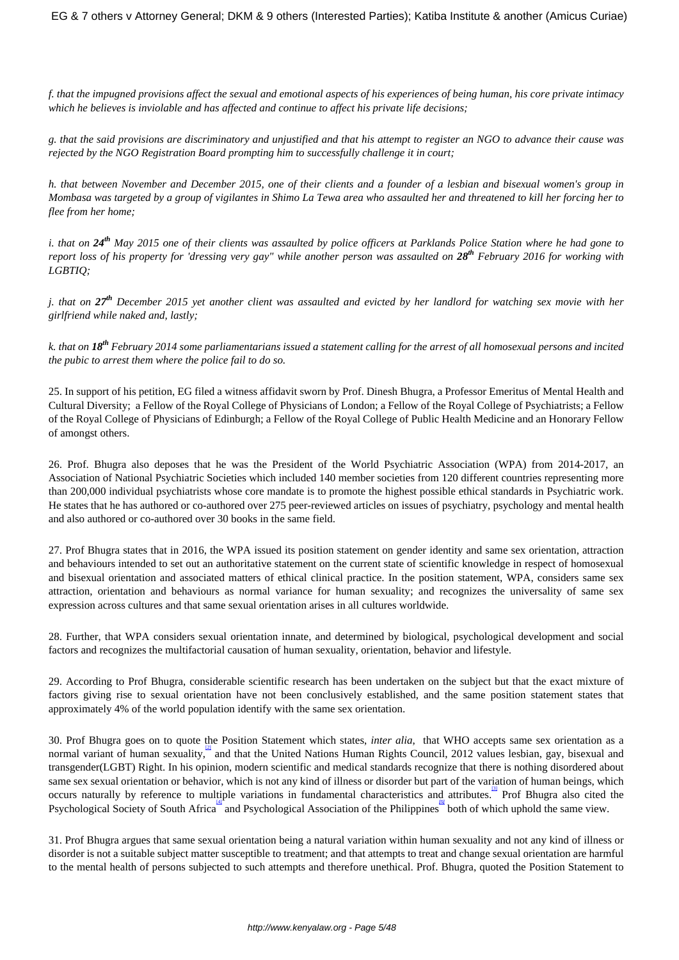*f. that the impugned provisions affect the sexual and emotional aspects of his experiences of being human, his core private intimacy which he believes is inviolable and has affected and continue to affect his private life decisions;*

*g. that the said provisions are discriminatory and unjustified and that his attempt to register an NGO to advance their cause was rejected by the NGO Registration Board prompting him to successfully challenge it in court;*

*h. that between November and December 2015, one of their clients and a founder of a lesbian and bisexual women's group in Mombasa was targeted by a group of vigilantes in Shimo La Tewa area who assaulted her and threatened to kill her forcing her to flee from her home;*

*i. that on 24th May 2015 one of their clients was assaulted by police officers at Parklands Police Station where he had gone to report loss of his property for 'dressing very gay" while another person was assaulted on 28th February 2016 for working with LGBTIQ;* 

*j. that on 27th December 2015 yet another client was assaulted and evicted by her landlord for watching sex movie with her girlfriend while naked and, lastly;*

*k. that on 18th February 2014 some parliamentarians issued a statement calling for the arrest of all homosexual persons and incited the pubic to arrest them where the police fail to do so.*

25. In support of his petition, EG filed a witness affidavit sworn by Prof. Dinesh Bhugra, a Professor Emeritus of Mental Health and Cultural Diversity; a Fellow of the Royal College of Physicians of London; a Fellow of the Royal College of Psychiatrists; a Fellow of the Royal College of Physicians of Edinburgh; a Fellow of the Royal College of Public Health Medicine and an Honorary Fellow of amongst others.

26. Prof. Bhugra also deposes that he was the President of the World Psychiatric Association (WPA) from 2014-2017, an Association of National Psychiatric Societies which included 140 member societies from 120 different countries representing more than 200,000 individual psychiatrists whose core mandate is to promote the highest possible ethical standards in Psychiatric work. He states that he has authored or co-authored over 275 peer-reviewed articles on issues of psychiatry, psychology and mental health and also authored or co-authored over 30 books in the same field.

27. Prof Bhugra states that in 2016, the WPA issued its position statement on gender identity and same sex orientation, attraction and behaviours intended to set out an authoritative statement on the current state of scientific knowledge in respect of homosexual and bisexual orientation and associated matters of ethical clinical practice. In the position statement, WPA, considers same sex attraction, orientation and behaviours as normal variance for human sexuality; and recognizes the universality of same sex expression across cultures and that same sexual orientation arises in all cultures worldwide.

28. Further, that WPA considers sexual orientation innate, and determined by biological, psychological development and social factors and recognizes the multifactorial causation of human sexuality, orientation, behavior and lifestyle.

29. According to Prof Bhugra, considerable scientific research has been undertaken on the subject but that the exact mixture of factors giving rise to sexual orientation have not been conclusively established, and the same position statement states that approximately 4% of the world population identify with the same sex orientation.

30. Prof Bhugra goes on to quote the Position Statement which states, *inter alia*, that WHO accepts same sex orientation as a normal variant of human sexuality, and that the United Nations Human Rights Council, 2012 values lesbian, gay, bisexual and transgender(LGBT) Right. In his opinion, modern scientific and medical standards recognize that there is nothing disordered about same sex sexual orientation or behavior, which is not any kind of illness or disorder but part of the variation of human beings, which occurs naturally by reference to multiple variations in fundamental characteristics and attributes. Prof Bhugra also cited the Psychological Society of South Africa<sup>llar</sup> and Psychological Association of the Philippines both of which uphold the same view.

31. Prof Bhugra argues that same sexual orientation being a natural variation within human sexuality and not any kind of illness or disorder is not a suitable subject matter susceptible to treatment; and that attempts to treat and change sexual orientation are harmful to the mental health of persons subjected to such attempts and therefore unethical. Prof. Bhugra, quoted the Position Statement to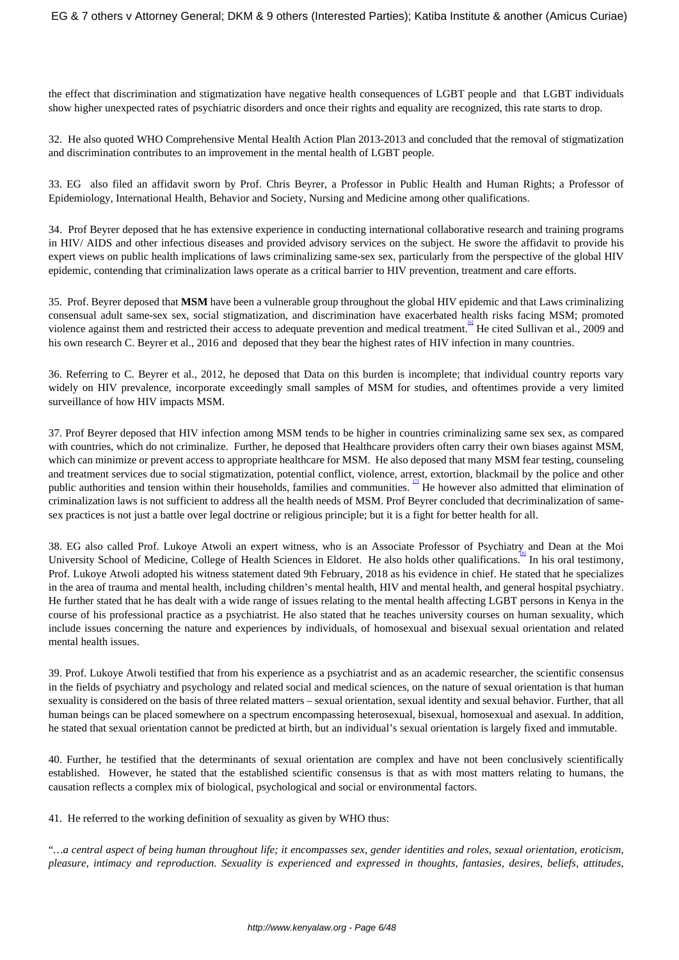the effect that discrimination and stigmatization have negative health consequences of LGBT people and that LGBT individuals show higher unexpected rates of psychiatric disorders and once their rights and equality are recognized, this rate starts to drop.

32. He also quoted WHO Comprehensive Mental Health Action Plan 2013-2013 and concluded that the removal of stigmatization and discrimination contributes to an improvement in the mental health of LGBT people.

33. EG also filed an affidavit sworn by Prof. Chris Beyrer, a Professor in Public Health and Human Rights; a Professor of Epidemiology, International Health, Behavior and Society, Nursing and Medicine among other qualifications.

34. Prof Beyrer deposed that he has extensive experience in conducting international collaborative research and training programs in HIV/ AIDS and other infectious diseases and provided advisory services on the subject. He swore the affidavit to provide his expert views on public health implications of laws criminalizing same-sex sex, particularly from the perspective of the global HIV epidemic, contending that criminalization laws operate as a critical barrier to HIV prevention, treatment and care efforts.

35. Prof. Beyrer deposed that **MSM** have been a vulnerable group throughout the global HIV epidemic and that Laws criminalizing consensual adult same-sex sex, social stigmatization, and discrimination have exacerbated health risks facing MSM; promoted violence against them and restricted their access to adequate prevention and medical treatment.<sup>4</sup> He cited Sullivan et al., 2009 and his own research C. Beyrer et al., 2016 and deposed that they bear the highest rates of HIV infection in many countries.

36. Referring to C. Beyrer et al., 2012, he deposed that Data on this burden is incomplete; that individual country reports vary widely on HIV prevalence, incorporate exceedingly small samples of MSM for studies, and oftentimes provide a very limited surveillance of how HIV impacts MSM.

37. Prof Beyrer deposed that HIV infection among MSM tends to be higher in countries criminalizing same sex sex, as compared with countries, which do not criminalize. Further, he deposed that Healthcare providers often carry their own biases against MSM, which can minimize or prevent access to appropriate healthcare for MSM. He also deposed that many MSM fear testing, counseling and treatment services due to social stigmatization, potential conflict, violence, arrest, extortion, blackmail by the police and other public authorities and tension within their households, families and communities. <sup>21</sup> He however also admitted that elimination of criminalization laws is not sufficient to address all the health needs of MSM. Prof Beyrer concluded that decriminalization of samesex practices is not just a battle over legal doctrine or religious principle; but it is a fight for better health for all.

38. EG also called Prof. Lukoye Atwoli an expert witness, who is an Associate Professor of Psychiatry and Dean at the Moi University School of Medicine, College of Health Sciences in Eldoret. He also holds other qualifications. In his oral testimony, Prof. Lukoye Atwoli adopted his witness statement dated 9th February, 2018 as his evidence in chief. He stated that he specializes in the area of trauma and mental health, including children's mental health, HIV and mental health, and general hospital psychiatry. He further stated that he has dealt with a wide range of issues relating to the mental health affecting LGBT persons in Kenya in the course of his professional practice as a psychiatrist. He also stated that he teaches university courses on human sexuality, which include issues concerning the nature and experiences by individuals, of homosexual and bisexual sexual orientation and related mental health issues.

39. Prof. Lukoye Atwoli testified that from his experience as a psychiatrist and as an academic researcher, the scientific consensus in the fields of psychiatry and psychology and related social and medical sciences, on the nature of sexual orientation is that human sexuality is considered on the basis of three related matters – sexual orientation, sexual identity and sexual behavior. Further, that all human beings can be placed somewhere on a spectrum encompassing heterosexual, bisexual, homosexual and asexual. In addition, he stated that sexual orientation cannot be predicted at birth, but an individual's sexual orientation is largely fixed and immutable.

40. Further, he testified that the determinants of sexual orientation are complex and have not been conclusively scientifically established. However, he stated that the established scientific consensus is that as with most matters relating to humans, the causation reflects a complex mix of biological, psychological and social or environmental factors.

41. He referred to the working definition of sexuality as given by WHO thus:

"*…a central aspect of being human throughout life; it encompasses sex, gender identities and roles, sexual orientation, eroticism, pleasure, intimacy and reproduction. Sexuality is experienced and expressed in thoughts, fantasies, desires, beliefs, attitudes,*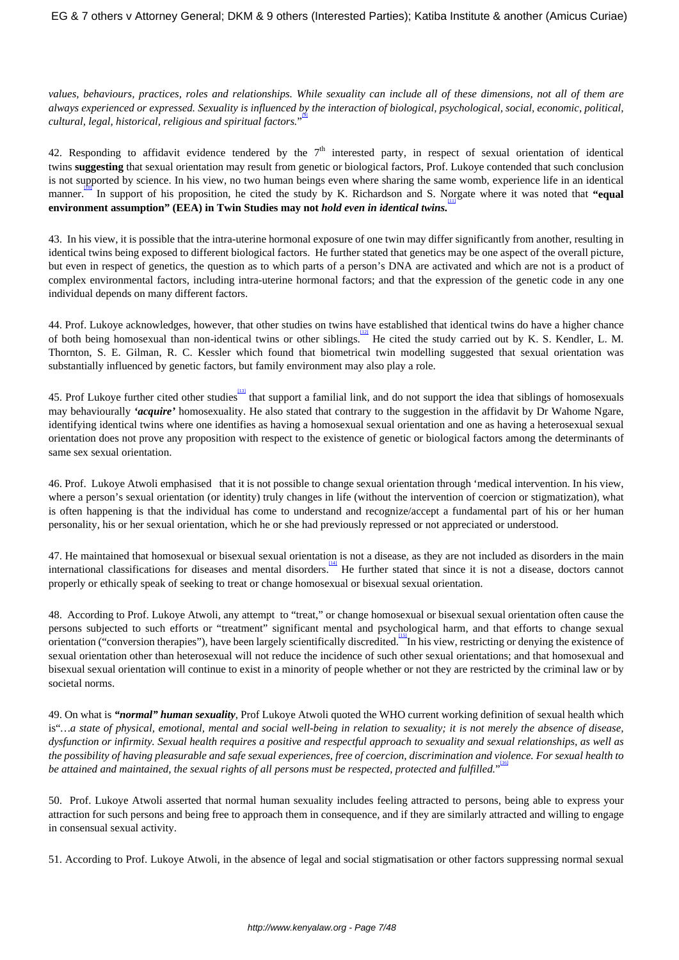*values, behaviours, practices, roles and relationships. While sexuality can include all of these dimensions, not all of them are always experienced or expressed. Sexuality is influenced by the interaction of biological, psychological, social, economic, political, cultural, legal, historical, religious and spiritual factors.*" [9]

42. Responding to affidavit evidence tendered by the  $7<sup>th</sup>$  interested party, in respect of sexual orientation of identical twins **suggesting** that sexual orientation may result from genetic or biological factors, Prof. Lukoye contended that such conclusion is not supported by science. In his view, no two human beings even where sharing the same womb, experience life in an identical manner.<sup>ther</sup> In support of his proposition, he cited the study by K. Richardson and S. Norgate where it was noted that "equal **environment assumption" (EEA) in Twin Studies may not** *hold even in identical twins.* [11]

43. In his view, it is possible that the intra-uterine hormonal exposure of one twin may differ significantly from another, resulting in identical twins being exposed to different biological factors. He further stated that genetics may be one aspect of the overall picture, but even in respect of genetics, the question as to which parts of a person's DNA are activated and which are not is a product of complex environmental factors, including intra-uterine hormonal factors; and that the expression of the genetic code in any one individual depends on many different factors.

44. Prof. Lukoye acknowledges, however, that other studies on twins have established that identical twins do have a higher chance of both being homosexual than non-identical twins or other siblings. He cited the study carried out by K. S. Kendler, L. M. Thornton, S. E. Gilman, R. C. Kessler which found that biometrical twin modelling suggested that sexual orientation was substantially influenced by genetic factors, but family environment may also play a role.

45. Prof Lukoye further cited other studies that support a familial link, and do not support the idea that siblings of homosexuals may behaviourally *'acquire'* homosexuality. He also stated that contrary to the suggestion in the affidavit by Dr Wahome Ngare, identifying identical twins where one identifies as having a homosexual sexual orientation and one as having a heterosexual sexual orientation does not prove any proposition with respect to the existence of genetic or biological factors among the determinants of same sex sexual orientation.

46. Prof. Lukoye Atwoli emphasised that it is not possible to change sexual orientation through 'medical intervention. In his view, where a person's sexual orientation (or identity) truly changes in life (without the intervention of coercion or stigmatization), what is often happening is that the individual has come to understand and recognize/accept a fundamental part of his or her human personality, his or her sexual orientation, which he or she had previously repressed or not appreciated or understood.

47. He maintained that homosexual or bisexual sexual orientation is not a disease, as they are not included as disorders in the main international classifications for diseases and mental disorders. <sup>144</sup> He further stated that since it is not a disease, doctors cannot properly or ethically speak of seeking to treat or change homosexual or bisexual sexual orientation.

48. According to Prof. Lukoye Atwoli, any attempt to "treat," or change homosexual or bisexual sexual orientation often cause the persons subjected to such efforts or "treatment" significant mental and psychological harm, and that efforts to change sexual orientation ("conversion therapies"), have been largely scientifically discredited. In his view, restricting or denying the existence of sexual orientation other than heterosexual will not reduce the incidence of such other sexual orientations; and that homosexual and bisexual sexual orientation will continue to exist in a minority of people whether or not they are restricted by the criminal law or by societal norms.

49. On what is *"normal" human sexuality*, Prof Lukoye Atwoli quoted the WHO current working definition of sexual health which is"*…a state of physical, emotional, mental and social well-being in relation to sexuality; it is not merely the absence of disease, dysfunction or infirmity. Sexual health requires a positive and respectful approach to sexuality and sexual relationships, as well as the possibility of having pleasurable and safe sexual experiences, free of coercion, discrimination and violence. For sexual health to be attained and maintained, the sexual rights of all persons must be respected, protected and fulfilled.*" [16]

50. Prof. Lukoye Atwoli asserted that normal human sexuality includes feeling attracted to persons, being able to express your attraction for such persons and being free to approach them in consequence, and if they are similarly attracted and willing to engage in consensual sexual activity.

51. According to Prof. Lukoye Atwoli, in the absence of legal and social stigmatisation or other factors suppressing normal sexual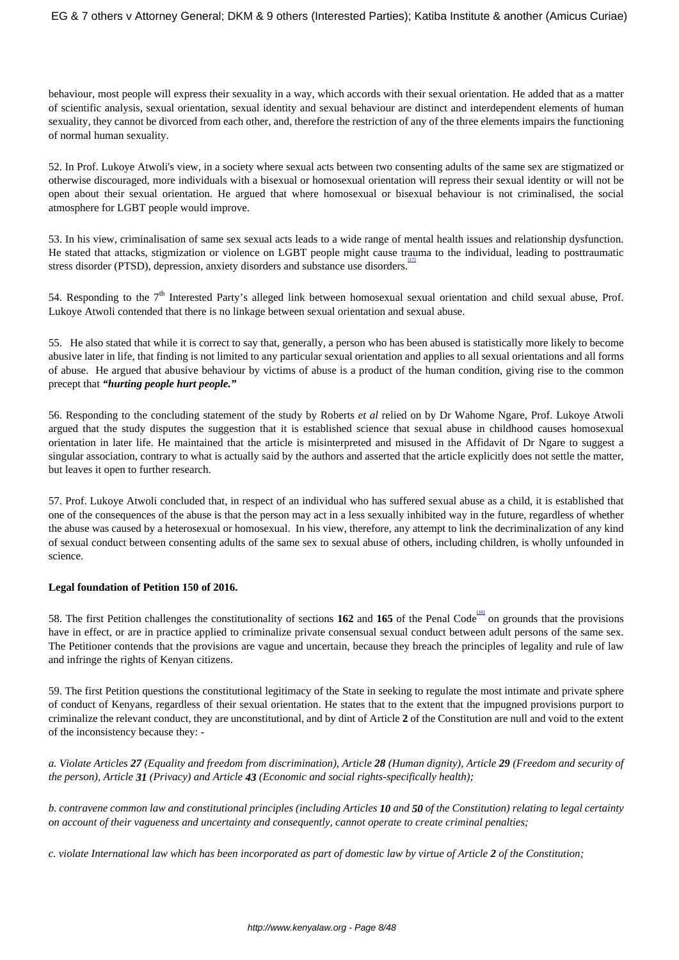behaviour, most people will express their sexuality in a way, which accords with their sexual orientation. He added that as a matter of scientific analysis, sexual orientation, sexual identity and sexual behaviour are distinct and interdependent elements of human sexuality, they cannot be divorced from each other, and, therefore the restriction of any of the three elements impairs the functioning of normal human sexuality.

52. In Prof. Lukoye Atwoli's view, in a society where sexual acts between two consenting adults of the same sex are stigmatized or otherwise discouraged, more individuals with a bisexual or homosexual orientation will repress their sexual identity or will not be open about their sexual orientation. He argued that where homosexual or bisexual behaviour is not criminalised, the social atmosphere for LGBT people would improve.

53. In his view, criminalisation of same sex sexual acts leads to a wide range of mental health issues and relationship dysfunction. He stated that attacks, stigmization or violence on LGBT people might cause trauma to the individual, leading to posttraumatic stress disorder (PTSD), depression, anxiety disorders and substance use disorders.

54. Responding to the  $7<sup>th</sup>$  Interested Party's alleged link between homosexual sexual orientation and child sexual abuse, Prof. Lukoye Atwoli contended that there is no linkage between sexual orientation and sexual abuse.

55. He also stated that while it is correct to say that, generally, a person who has been abused is statistically more likely to become abusive later in life, that finding is not limited to any particular sexual orientation and applies to all sexual orientations and all forms of abuse. He argued that abusive behaviour by victims of abuse is a product of the human condition, giving rise to the common precept that *"hurting people hurt people."*

56. Responding to the concluding statement of the study by Roberts *et al* relied on by Dr Wahome Ngare, Prof. Lukoye Atwoli argued that the study disputes the suggestion that it is established science that sexual abuse in childhood causes homosexual orientation in later life. He maintained that the article is misinterpreted and misused in the Affidavit of Dr Ngare to suggest a singular association, contrary to what is actually said by the authors and asserted that the article explicitly does not settle the matter, but leaves it open to further research.

57. Prof. Lukoye Atwoli concluded that, in respect of an individual who has suffered sexual abuse as a child, it is established that one of the consequences of the abuse is that the person may act in a less sexually inhibited way in the future, regardless of whether the abuse was caused by a heterosexual or homosexual. In his view, therefore, any attempt to link the decriminalization of any kind of sexual conduct between consenting adults of the same sex to sexual abuse of others, including children, is wholly unfounded in science.

## **Legal foundation of Petition 150 of 2016.**

58. The first Petition challenges the constitutionality of sections  $162$  and  $165$  of the Penal Code  $\frac{\text{LHS}}{\text{O}}$  on grounds that the provisions have in effect, or are in practice applied to criminalize private consensual sexual conduct between adult persons of the same sex. The Petitioner contends that the provisions are vague and uncertain, because they breach the principles of legality and rule of law and infringe the rights of Kenyan citizens.

59. The first Petition questions the constitutional legitimacy of the State in seeking to regulate the most intimate and private sphere of conduct of Kenyans, regardless of their sexual orientation. He states that to the extent that the impugned provisions purport to criminalize the relevant conduct, they are unconstitutional, and by dint of Article **2** of the Constitution are null and void to the extent of the inconsistency because they: -

*a. Violate Articles 27 (Equality and freedom from discrimination), Article 28 (Human dignity), Article 29 (Freedom and security of the person), Article 31 (Privacy) and Article 43 (Economic and social rights-specifically health);*

*b. contravene common law and constitutional principles (including Articles 10 and 50 of the Constitution) relating to legal certainty on account of their vagueness and uncertainty and consequently, cannot operate to create criminal penalties;* 

*c. violate International law which has been incorporated as part of domestic law by virtue of Article 2 of the Constitution;*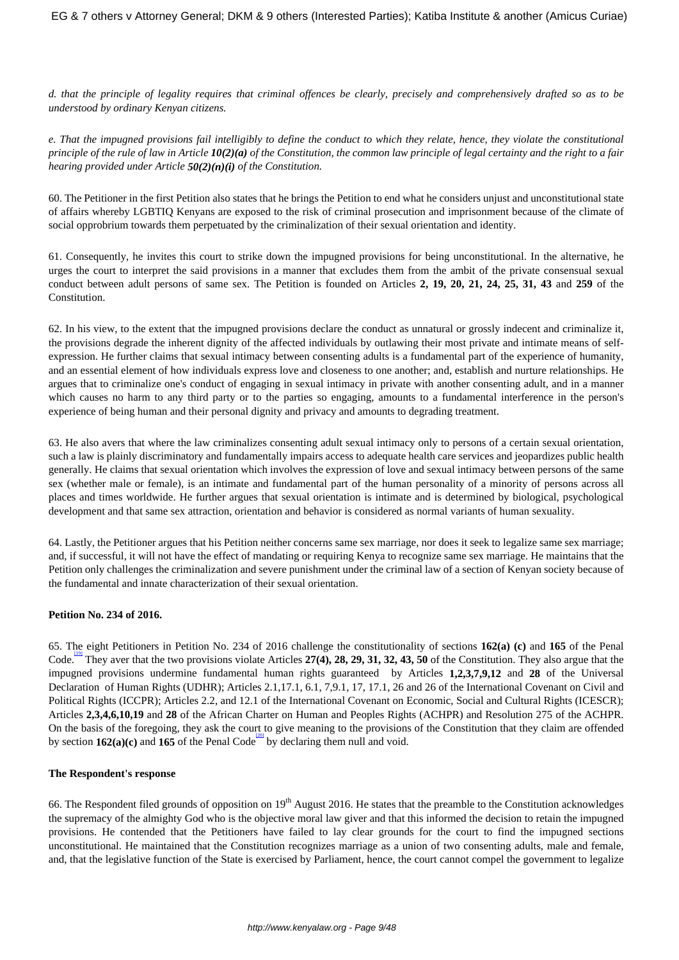*d. that the principle of legality requires that criminal offences be clearly, precisely and comprehensively drafted so as to be understood by ordinary Kenyan citizens.*

*e. That the impugned provisions fail intelligibly to define the conduct to which they relate, hence, they violate the constitutional principle of the rule of law in Article 10(2)(a) of the Constitution, the common law principle of legal certainty and the right to a fair hearing provided under Article 50(2)(n)(i) of the Constitution.* 

60. The Petitioner in the first Petition also states that he brings the Petition to end what he considers unjust and unconstitutional state of affairs whereby LGBTIQ Kenyans are exposed to the risk of criminal prosecution and imprisonment because of the climate of social opprobrium towards them perpetuated by the criminalization of their sexual orientation and identity.

61. Consequently, he invites this court to strike down the impugned provisions for being unconstitutional. In the alternative, he urges the court to interpret the said provisions in a manner that excludes them from the ambit of the private consensual sexual conduct between adult persons of same sex. The Petition is founded on Articles **2, 19, 20, 21, 24, 25, 31, 43** and **259** of the Constitution.

62. In his view, to the extent that the impugned provisions declare the conduct as unnatural or grossly indecent and criminalize it, the provisions degrade the inherent dignity of the affected individuals by outlawing their most private and intimate means of selfexpression. He further claims that sexual intimacy between consenting adults is a fundamental part of the experience of humanity, and an essential element of how individuals express love and closeness to one another; and, establish and nurture relationships. He argues that to criminalize one's conduct of engaging in sexual intimacy in private with another consenting adult, and in a manner which causes no harm to any third party or to the parties so engaging, amounts to a fundamental interference in the person's experience of being human and their personal dignity and privacy and amounts to degrading treatment.

63. He also avers that where the law criminalizes consenting adult sexual intimacy only to persons of a certain sexual orientation, such a law is plainly discriminatory and fundamentally impairs access to adequate health care services and jeopardizes public health generally. He claims that sexual orientation which involves the expression of love and sexual intimacy between persons of the same sex (whether male or female), is an intimate and fundamental part of the human personality of a minority of persons across all places and times worldwide. He further argues that sexual orientation is intimate and is determined by biological, psychological development and that same sex attraction, orientation and behavior is considered as normal variants of human sexuality.

64. Lastly, the Petitioner argues that his Petition neither concerns same sex marriage, nor does it seek to legalize same sex marriage; and, if successful, it will not have the effect of mandating or requiring Kenya to recognize same sex marriage. He maintains that the Petition only challenges the criminalization and severe punishment under the criminal law of a section of Kenyan society because of the fundamental and innate characterization of their sexual orientation.

## **Petition No. 234 of 2016.**

65. The eight Petitioners in Petition No. 234 of 2016 challenge the constitutionality of sections **162(a) (c)** and **165** of the Penal Code. They aver that the two provisions violate Articles 27(4), 28, 29, 31, 32, 43, 50 of the Constitution. They also argue that the impugned provisions undermine fundamental human rights guaranteed by Articles **1,2,3,7,9,12** and **28** of the Universal Declaration of Human Rights (UDHR); Articles 2.1,17.1, 6.1, 7,9.1, 17, 17.1, 26 and 26 of the International Covenant on Civil and Political Rights (ICCPR); Articles 2.2, and 12.1 of the International Covenant on Economic, Social and Cultural Rights (ICESCR); Articles **2,3,4,6,10,19** and **28** of the African Charter on Human and Peoples Rights (ACHPR) and Resolution 275 of the ACHPR. On the basis of the foregoing, they ask the court to give meaning to the provisions of the Constitution that they claim are offended by section  $162(a)(c)$  and  $165$  of the Penal Code<sup>tolo</sup> by declaring them null and void.

## **The Respondent's response**

66. The Respondent filed grounds of opposition on  $19<sup>th</sup>$  August 2016. He states that the preamble to the Constitution acknowledges the supremacy of the almighty God who is the objective moral law giver and that this informed the decision to retain the impugned provisions. He contended that the Petitioners have failed to lay clear grounds for the court to find the impugned sections unconstitutional. He maintained that the Constitution recognizes marriage as a union of two consenting adults, male and female, and, that the legislative function of the State is exercised by Parliament, hence, the court cannot compel the government to legalize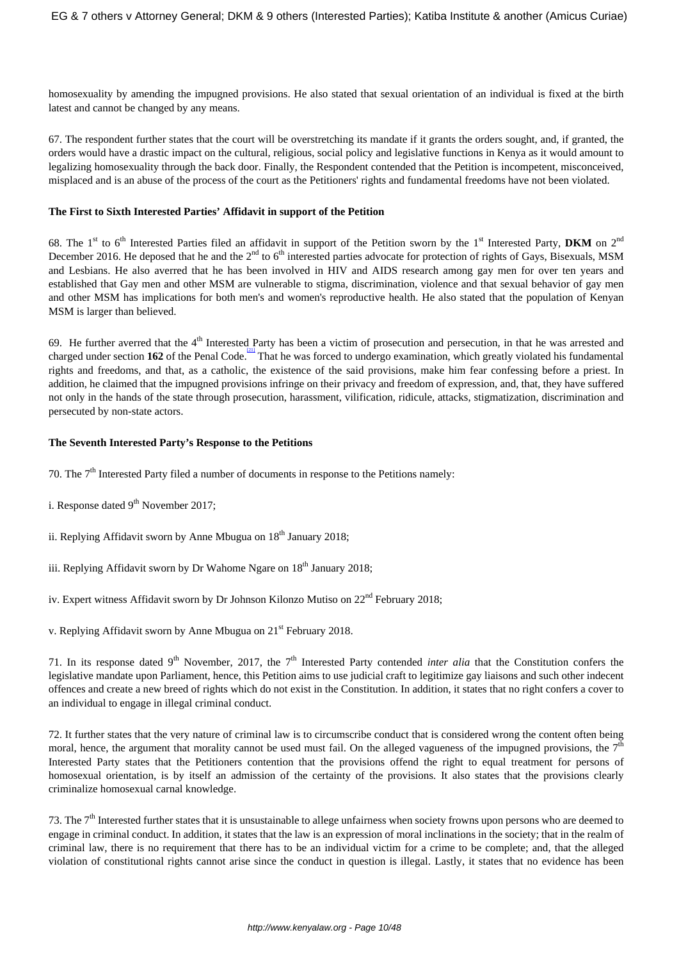homosexuality by amending the impugned provisions. He also stated that sexual orientation of an individual is fixed at the birth latest and cannot be changed by any means.

67. The respondent further states that the court will be overstretching its mandate if it grants the orders sought, and, if granted, the orders would have a drastic impact on the cultural, religious, social policy and legislative functions in Kenya as it would amount to legalizing homosexuality through the back door. Finally, the Respondent contended that the Petition is incompetent, misconceived, misplaced and is an abuse of the process of the court as the Petitioners' rights and fundamental freedoms have not been violated.

#### **The First to Sixth Interested Parties' Affidavit in support of the Petition**

68. The 1<sup>st</sup> to 6<sup>th</sup> Interested Parties filed an affidavit in support of the Petition sworn by the 1<sup>st</sup> Interested Party, **DKM** on  $2^{nd}$ December 2016. He deposed that he and the  $2<sup>nd</sup>$  to  $6<sup>th</sup>$  interested parties advocate for protection of rights of Gays, Bisexuals, MSM and Lesbians. He also averred that he has been involved in HIV and AIDS research among gay men for over ten years and established that Gay men and other MSM are vulnerable to stigma, discrimination, violence and that sexual behavior of gay men and other MSM has implications for both men's and women's reproductive health. He also stated that the population of Kenyan MSM is larger than believed.

69. He further averred that the  $4<sup>th</sup>$  Interested Party has been a victim of prosecution and persecution, in that he was arrested and charged under section 162 of the Penal Code.<sup>[21]</sup> That he was forced to undergo examination, which greatly violated his fundamental rights and freedoms, and that, as a catholic, the existence of the said provisions, make him fear confessing before a priest. In addition, he claimed that the impugned provisions infringe on their privacy and freedom of expression, and, that, they have suffered not only in the hands of the state through prosecution, harassment, vilification, ridicule, attacks, stigmatization, discrimination and persecuted by non-state actors.

#### **The Seventh Interested Party's Response to the Petitions**

- 70. The  $7<sup>th</sup>$  Interested Party filed a number of documents in response to the Petitions namely:
- i. Response dated  $9<sup>th</sup>$  November 2017;
- ii. Replying Affidavit sworn by Anne Mbugua on  $18<sup>th</sup>$  January 2018;
- iii. Replying Affidavit sworn by Dr Wahome Ngare on  $18<sup>th</sup>$  January 2018;
- iv. Expert witness Affidavit sworn by Dr Johnson Kilonzo Mutiso on 22<sup>nd</sup> February 2018;

v. Replying Affidavit sworn by Anne Mbugua on 21st February 2018.

71. In its response dated 9<sup>th</sup> November, 2017, the 7<sup>th</sup> Interested Party contended *inter alia* that the Constitution confers the legislative mandate upon Parliament, hence, this Petition aims to use judicial craft to legitimize gay liaisons and such other indecent offences and create a new breed of rights which do not exist in the Constitution. In addition, it states that no right confers a cover to an individual to engage in illegal criminal conduct.

72. It further states that the very nature of criminal law is to circumscribe conduct that is considered wrong the content often being moral, hence, the argument that morality cannot be used must fail. On the alleged vagueness of the impugned provisions, the  $7<sup>th</sup>$ Interested Party states that the Petitioners contention that the provisions offend the right to equal treatment for persons of homosexual orientation, is by itself an admission of the certainty of the provisions. It also states that the provisions clearly criminalize homosexual carnal knowledge.

73. The  $7<sup>th</sup>$  Interested further states that it is unsustainable to allege unfairness when society frowns upon persons who are deemed to engage in criminal conduct. In addition, it states that the law is an expression of moral inclinations in the society; that in the realm of criminal law, there is no requirement that there has to be an individual victim for a crime to be complete; and, that the alleged violation of constitutional rights cannot arise since the conduct in question is illegal. Lastly, it states that no evidence has been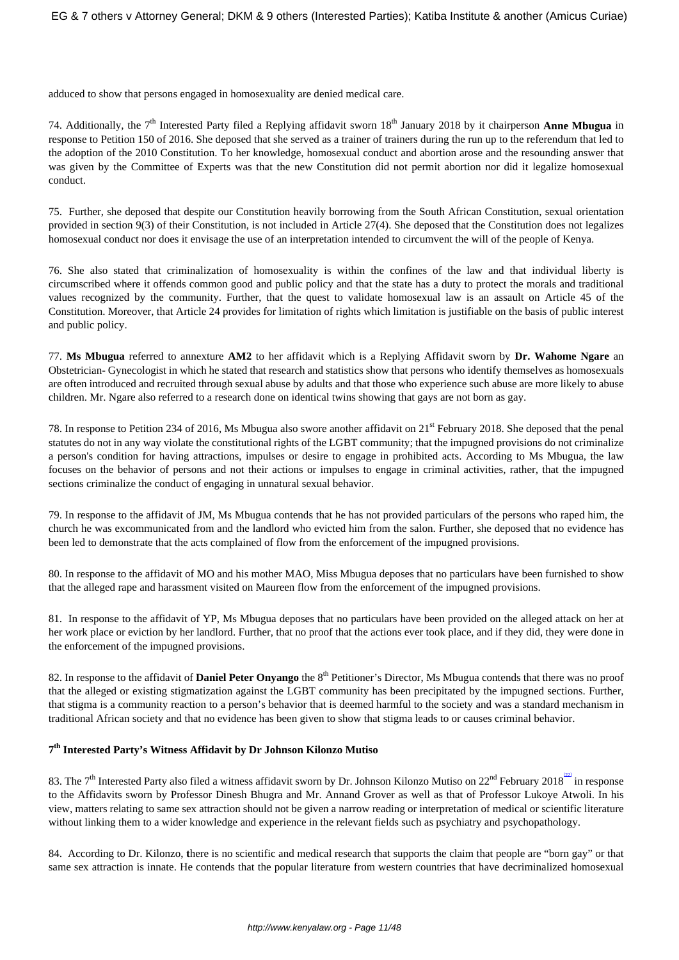adduced to show that persons engaged in homosexuality are denied medical care.

74. Additionally, the 7<sup>th</sup> Interested Party filed a Replying affidavit sworn 18<sup>th</sup> January 2018 by it chairperson **Anne Mbugua** in response to Petition 150 of 2016. She deposed that she served as a trainer of trainers during the run up to the referendum that led to the adoption of the 2010 Constitution. To her knowledge, homosexual conduct and abortion arose and the resounding answer that was given by the Committee of Experts was that the new Constitution did not permit abortion nor did it legalize homosexual conduct.

75. Further, she deposed that despite our Constitution heavily borrowing from the South African Constitution, sexual orientation provided in section 9(3) of their Constitution, is not included in Article 27(4). She deposed that the Constitution does not legalizes homosexual conduct nor does it envisage the use of an interpretation intended to circumvent the will of the people of Kenya.

76. She also stated that criminalization of homosexuality is within the confines of the law and that individual liberty is circumscribed where it offends common good and public policy and that the state has a duty to protect the morals and traditional values recognized by the community. Further, that the quest to validate homosexual law is an assault on Article 45 of the Constitution. Moreover, that Article 24 provides for limitation of rights which limitation is justifiable on the basis of public interest and public policy.

77. **Ms Mbugua** referred to annexture **AM2** to her affidavit which is a Replying Affidavit sworn by **Dr. Wahome Ngare** an Obstetrician- Gynecologist in which he stated that research and statistics show that persons who identify themselves as homosexuals are often introduced and recruited through sexual abuse by adults and that those who experience such abuse are more likely to abuse children. Mr. Ngare also referred to a research done on identical twins showing that gays are not born as gay.

78. In response to Petition 234 of 2016, Ms Mbugua also swore another affidavit on 21st February 2018. She deposed that the penal statutes do not in any way violate the constitutional rights of the LGBT community; that the impugned provisions do not criminalize a person's condition for having attractions, impulses or desire to engage in prohibited acts. According to Ms Mbugua, the law focuses on the behavior of persons and not their actions or impulses to engage in criminal activities, rather, that the impugned sections criminalize the conduct of engaging in unnatural sexual behavior.

79. In response to the affidavit of JM, Ms Mbugua contends that he has not provided particulars of the persons who raped him, the church he was excommunicated from and the landlord who evicted him from the salon. Further, she deposed that no evidence has been led to demonstrate that the acts complained of flow from the enforcement of the impugned provisions.

80. In response to the affidavit of MO and his mother MAO, Miss Mbugua deposes that no particulars have been furnished to show that the alleged rape and harassment visited on Maureen flow from the enforcement of the impugned provisions.

81. In response to the affidavit of YP, Ms Mbugua deposes that no particulars have been provided on the alleged attack on her at her work place or eviction by her landlord. Further, that no proof that the actions ever took place, and if they did, they were done in the enforcement of the impugned provisions.

82. In response to the affidavit of **Daniel Peter Onyango** the 8<sup>th</sup> Petitioner's Director, Ms Mbugua contends that there was no proof that the alleged or existing stigmatization against the LGBT community has been precipitated by the impugned sections. Further, that stigma is a community reaction to a person's behavior that is deemed harmful to the society and was a standard mechanism in traditional African society and that no evidence has been given to show that stigma leads to or causes criminal behavior.

# **7 th Interested Party's Witness Affidavit by Dr Johnson Kilonzo Mutiso**

83. The 7<sup>th</sup> Interested Party also filed a witness affidavit sworn by Dr. Johnson Kilonzo Mutiso on 22<sup>nd</sup> February 2018<sup><sup>[22]</sup> in response</sup> to the Affidavits sworn by Professor Dinesh Bhugra and Mr. Annand Grover as well as that of Professor Lukoye Atwoli. In his view, matters relating to same sex attraction should not be given a narrow reading or interpretation of medical or scientific literature without linking them to a wider knowledge and experience in the relevant fields such as psychiatry and psychopathology.

84. According to Dr. Kilonzo, **t**here is no scientific and medical research that supports the claim that people are "born gay" or that same sex attraction is innate. He contends that the popular literature from western countries that have decriminalized homosexual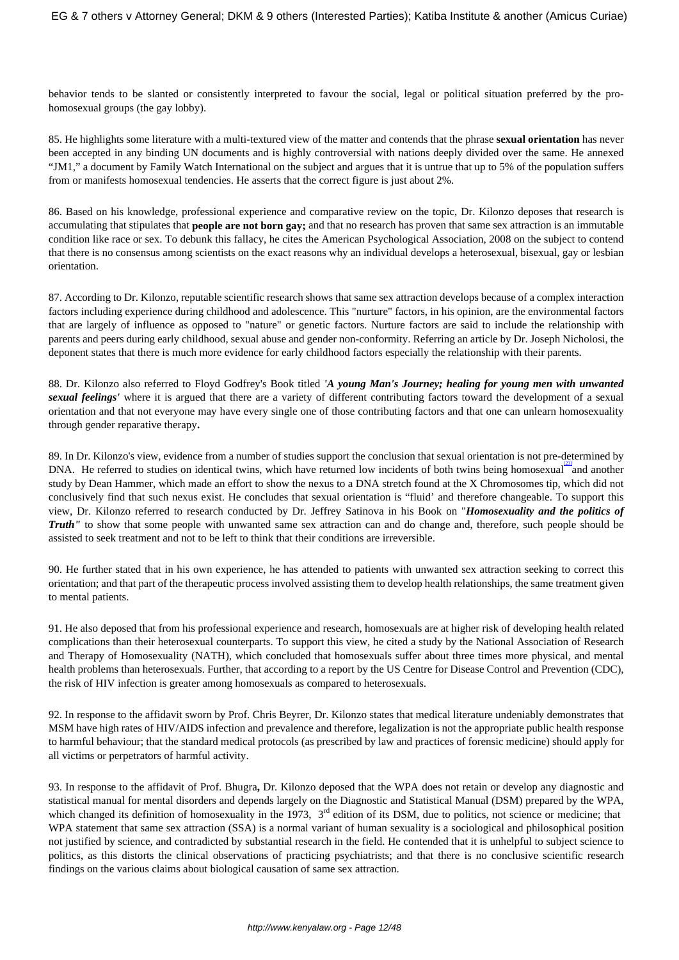behavior tends to be slanted or consistently interpreted to favour the social, legal or political situation preferred by the prohomosexual groups (the gay lobby).

85. He highlights some literature with a multi-textured view of the matter and contends that the phrase **sexual orientation** has never been accepted in any binding UN documents and is highly controversial with nations deeply divided over the same. He annexed "JM1," a document by Family Watch International on the subject and argues that it is untrue that up to 5% of the population suffers from or manifests homosexual tendencies. He asserts that the correct figure is just about 2%.

86. Based on his knowledge, professional experience and comparative review on the topic, Dr. Kilonzo deposes that research is accumulating that stipulates that **people are not born gay;** and that no research has proven that same sex attraction is an immutable condition like race or sex. To debunk this fallacy, he cites the American Psychological Association, 2008 on the subject to contend that there is no consensus among scientists on the exact reasons why an individual develops a heterosexual, bisexual, gay or lesbian orientation.

87. According to Dr. Kilonzo, reputable scientific research shows that same sex attraction develops because of a complex interaction factors including experience during childhood and adolescence. This "nurture" factors, in his opinion, are the environmental factors that are largely of influence as opposed to "nature" or genetic factors. Nurture factors are said to include the relationship with parents and peers during early childhood, sexual abuse and gender non-conformity. Referring an article by Dr. Joseph Nicholosi, the deponent states that there is much more evidence for early childhood factors especially the relationship with their parents.

88. Dr. Kilonzo also referred to Floyd Godfrey's Book titled *'A young Man's Journey; healing for young men with unwanted sexual feelings'* where it is argued that there are a variety of different contributing factors toward the development of a sexual orientation and that not everyone may have every single one of those contributing factors and that one can unlearn homosexuality through gender reparative therapy**.** 

89. In Dr. Kilonzo's view, evidence from a number of studies support the conclusion that sexual orientation is not pre-determined by DNA. He referred to studies on identical twins, which have returned low incidents of both twins being homosexual and another study by Dean Hammer, which made an effort to show the nexus to a DNA stretch found at the X Chromosomes tip, which did not conclusively find that such nexus exist. He concludes that sexual orientation is "fluid' and therefore changeable. To support this view, Dr. Kilonzo referred to research conducted by Dr. Jeffrey Satinova in his Book on "*Homosexuality and the politics of Truth*" to show that some people with unwanted same sex attraction can and do change and, therefore, such people should be assisted to seek treatment and not to be left to think that their conditions are irreversible.

90. He further stated that in his own experience, he has attended to patients with unwanted sex attraction seeking to correct this orientation; and that part of the therapeutic process involved assisting them to develop health relationships, the same treatment given to mental patients.

91. He also deposed that from his professional experience and research, homosexuals are at higher risk of developing health related complications than their heterosexual counterparts. To support this view, he cited a study by the National Association of Research and Therapy of Homosexuality (NATH), which concluded that homosexuals suffer about three times more physical, and mental health problems than heterosexuals. Further, that according to a report by the US Centre for Disease Control and Prevention (CDC), the risk of HIV infection is greater among homosexuals as compared to heterosexuals.

92. In response to the affidavit sworn by Prof. Chris Beyrer, Dr. Kilonzo states that medical literature undeniably demonstrates that MSM have high rates of HIV/AIDS infection and prevalence and therefore, legalization is not the appropriate public health response to harmful behaviour; that the standard medical protocols (as prescribed by law and practices of forensic medicine) should apply for all victims or perpetrators of harmful activity.

93. In response to the affidavit of Prof. Bhugra**,** Dr. Kilonzo deposed that the WPA does not retain or develop any diagnostic and statistical manual for mental disorders and depends largely on the Diagnostic and Statistical Manual (DSM) prepared by the WPA, which changed its definition of homosexuality in the 1973,  $3<sup>rd</sup>$  edition of its DSM, due to politics, not science or medicine; that WPA statement that same sex attraction (SSA) is a normal variant of human sexuality is a sociological and philosophical position not justified by science, and contradicted by substantial research in the field. He contended that it is unhelpful to subject science to politics, as this distorts the clinical observations of practicing psychiatrists; and that there is no conclusive scientific research findings on the various claims about biological causation of same sex attraction.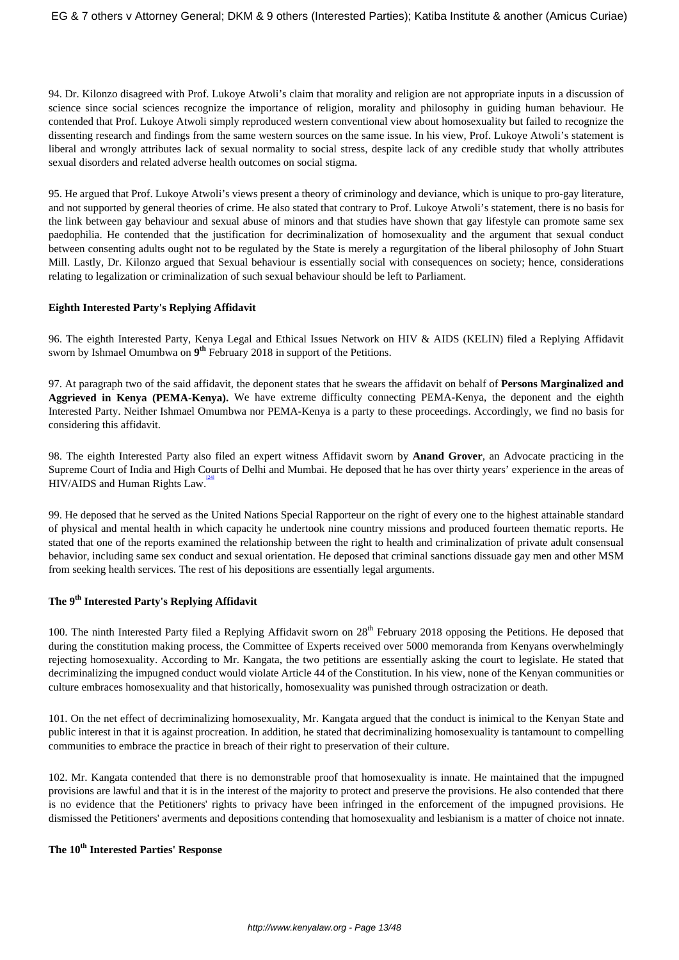94. Dr. Kilonzo disagreed with Prof. Lukoye Atwoli's claim that morality and religion are not appropriate inputs in a discussion of science since social sciences recognize the importance of religion, morality and philosophy in guiding human behaviour. He contended that Prof. Lukoye Atwoli simply reproduced western conventional view about homosexuality but failed to recognize the dissenting research and findings from the same western sources on the same issue. In his view, Prof. Lukoye Atwoli's statement is liberal and wrongly attributes lack of sexual normality to social stress, despite lack of any credible study that wholly attributes sexual disorders and related adverse health outcomes on social stigma.

95. He argued that Prof. Lukoye Atwoli's views present a theory of criminology and deviance, which is unique to pro-gay literature, and not supported by general theories of crime. He also stated that contrary to Prof. Lukoye Atwoli's statement, there is no basis for the link between gay behaviour and sexual abuse of minors and that studies have shown that gay lifestyle can promote same sex paedophilia. He contended that the justification for decriminalization of homosexuality and the argument that sexual conduct between consenting adults ought not to be regulated by the State is merely a regurgitation of the liberal philosophy of John Stuart Mill. Lastly, Dr. Kilonzo argued that Sexual behaviour is essentially social with consequences on society; hence, considerations relating to legalization or criminalization of such sexual behaviour should be left to Parliament.

## **Eighth Interested Party's Replying Affidavit**

96. The eighth Interested Party, Kenya Legal and Ethical Issues Network on HIV & AIDS (KELIN) filed a Replying Affidavit sworn by Ishmael Omumbwa on **9 th** February 2018 in support of the Petitions.

97. At paragraph two of the said affidavit, the deponent states that he swears the affidavit on behalf of **Persons Marginalized and Aggrieved in Kenya (PEMA-Kenya).** We have extreme difficulty connecting PEMA-Kenya, the deponent and the eighth Interested Party. Neither Ishmael Omumbwa nor PEMA-Kenya is a party to these proceedings. Accordingly, we find no basis for considering this affidavit.

98. The eighth Interested Party also filed an expert witness Affidavit sworn by **Anand Grover**, an Advocate practicing in the Supreme Court of India and High Courts of Delhi and Mumbai. He deposed that he has over thirty years' experience in the areas of  $HIV/AIDS$  and Human Rights Law.

99. He deposed that he served as the United Nations Special Rapporteur on the right of every one to the highest attainable standard of physical and mental health in which capacity he undertook nine country missions and produced fourteen thematic reports. He stated that one of the reports examined the relationship between the right to health and criminalization of private adult consensual behavior, including same sex conduct and sexual orientation. He deposed that criminal sanctions dissuade gay men and other MSM from seeking health services. The rest of his depositions are essentially legal arguments.

# **The 9th Interested Party's Replying Affidavit**

100. The ninth Interested Party filed a Replying Affidavit sworn on  $28<sup>th</sup>$  February 2018 opposing the Petitions. He deposed that during the constitution making process, the Committee of Experts received over 5000 memoranda from Kenyans overwhelmingly rejecting homosexuality. According to Mr. Kangata, the two petitions are essentially asking the court to legislate. He stated that decriminalizing the impugned conduct would violate Article 44 of the Constitution. In his view, none of the Kenyan communities or culture embraces homosexuality and that historically, homosexuality was punished through ostracization or death.

101. On the net effect of decriminalizing homosexuality, Mr. Kangata argued that the conduct is inimical to the Kenyan State and public interest in that it is against procreation. In addition, he stated that decriminalizing homosexuality is tantamount to compelling communities to embrace the practice in breach of their right to preservation of their culture.

102. Mr. Kangata contended that there is no demonstrable proof that homosexuality is innate. He maintained that the impugned provisions are lawful and that it is in the interest of the majority to protect and preserve the provisions. He also contended that there is no evidence that the Petitioners' rights to privacy have been infringed in the enforcement of the impugned provisions. He dismissed the Petitioners' averments and depositions contending that homosexuality and lesbianism is a matter of choice not innate.

# **The 10th Interested Parties' Response**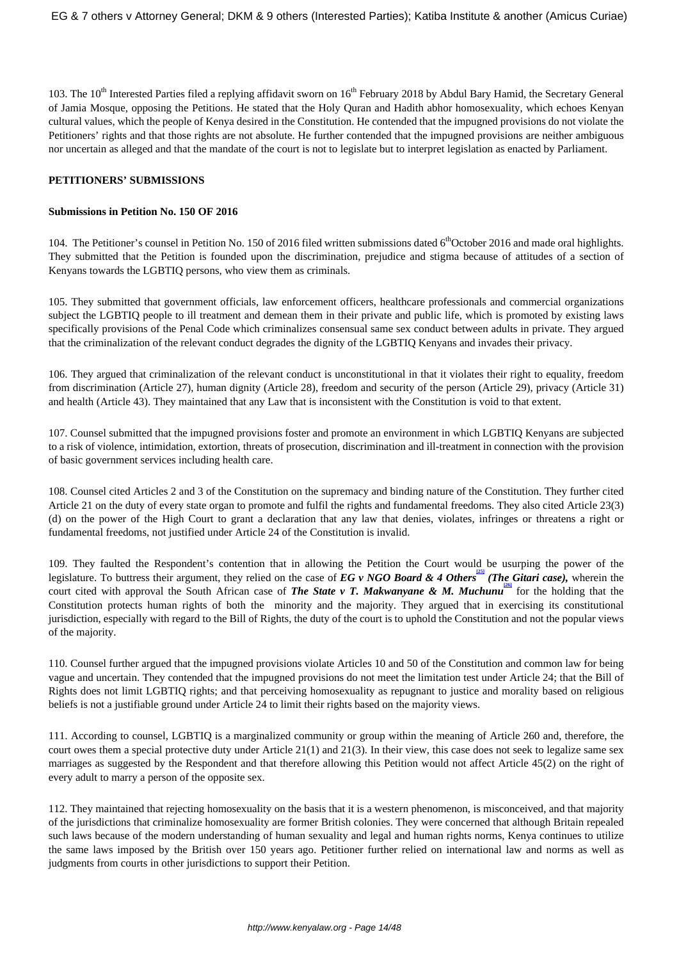103. The 10<sup>th</sup> Interested Parties filed a replying affidavit sworn on 16<sup>th</sup> February 2018 by Abdul Bary Hamid, the Secretary General of Jamia Mosque, opposing the Petitions. He stated that the Holy Quran and Hadith abhor homosexuality, which echoes Kenyan cultural values, which the people of Kenya desired in the Constitution. He contended that the impugned provisions do not violate the Petitioners' rights and that those rights are not absolute. He further contended that the impugned provisions are neither ambiguous nor uncertain as alleged and that the mandate of the court is not to legislate but to interpret legislation as enacted by Parliament.

#### **PETITIONERS' SUBMISSIONS**

#### **Submissions in Petition No. 150 OF 2016**

104. The Petitioner's counsel in Petition No. 150 of 2016 filed written submissions dated  $6<sup>th</sup>October$  2016 and made oral highlights. They submitted that the Petition is founded upon the discrimination, prejudice and stigma because of attitudes of a section of Kenyans towards the LGBTIQ persons, who view them as criminals.

105. They submitted that government officials, law enforcement officers, healthcare professionals and commercial organizations subject the LGBTIQ people to ill treatment and demean them in their private and public life, which is promoted by existing laws specifically provisions of the Penal Code which criminalizes consensual same sex conduct between adults in private. They argued that the criminalization of the relevant conduct degrades the dignity of the LGBTIQ Kenyans and invades their privacy.

106. They argued that criminalization of the relevant conduct is unconstitutional in that it violates their right to equality, freedom from discrimination (Article 27), human dignity (Article 28), freedom and security of the person (Article 29), privacy (Article 31) and health (Article 43). They maintained that any Law that is inconsistent with the Constitution is void to that extent.

107. Counsel submitted that the impugned provisions foster and promote an environment in which LGBTIQ Kenyans are subjected to a risk of violence, intimidation, extortion, threats of prosecution, discrimination and ill-treatment in connection with the provision of basic government services including health care.

108. Counsel cited Articles 2 and 3 of the Constitution on the supremacy and binding nature of the Constitution. They further cited Article 21 on the duty of every state organ to promote and fulfil the rights and fundamental freedoms. They also cited Article 23(3) (d) on the power of the High Court to grant a declaration that any law that denies, violates, infringes or threatens a right or fundamental freedoms, not justified under Article 24 of the Constitution is invalid.

109. They faulted the Respondent's contention that in allowing the Petition the Court would be usurping the power of the legislature. To buttress their argument, they relied on the case of *EG v NGO Board & 4 Others* (*The Gitari case*), wherein the court cited with approval the South African case of *The State v T. Makwanyane & M. Muchunu*<sup>26</sup> for the holding that the Constitution protects human rights of both the minority and the majority. They argued that in exercising its constitutional jurisdiction, especially with regard to the Bill of Rights, the duty of the court is to uphold the Constitution and not the popular views of the majority.

110. Counsel further argued that the impugned provisions violate Articles 10 and 50 of the Constitution and common law for being vague and uncertain. They contended that the impugned provisions do not meet the limitation test under Article 24; that the Bill of Rights does not limit LGBTIQ rights; and that perceiving homosexuality as repugnant to justice and morality based on religious beliefs is not a justifiable ground under Article 24 to limit their rights based on the majority views.

111. According to counsel, LGBTIQ is a marginalized community or group within the meaning of Article 260 and, therefore, the court owes them a special protective duty under Article 21(1) and 21(3). In their view, this case does not seek to legalize same sex marriages as suggested by the Respondent and that therefore allowing this Petition would not affect Article 45(2) on the right of every adult to marry a person of the opposite sex.

112. They maintained that rejecting homosexuality on the basis that it is a western phenomenon, is misconceived, and that majority of the jurisdictions that criminalize homosexuality are former British colonies. They were concerned that although Britain repealed such laws because of the modern understanding of human sexuality and legal and human rights norms, Kenya continues to utilize the same laws imposed by the British over 150 years ago. Petitioner further relied on international law and norms as well as judgments from courts in other jurisdictions to support their Petition.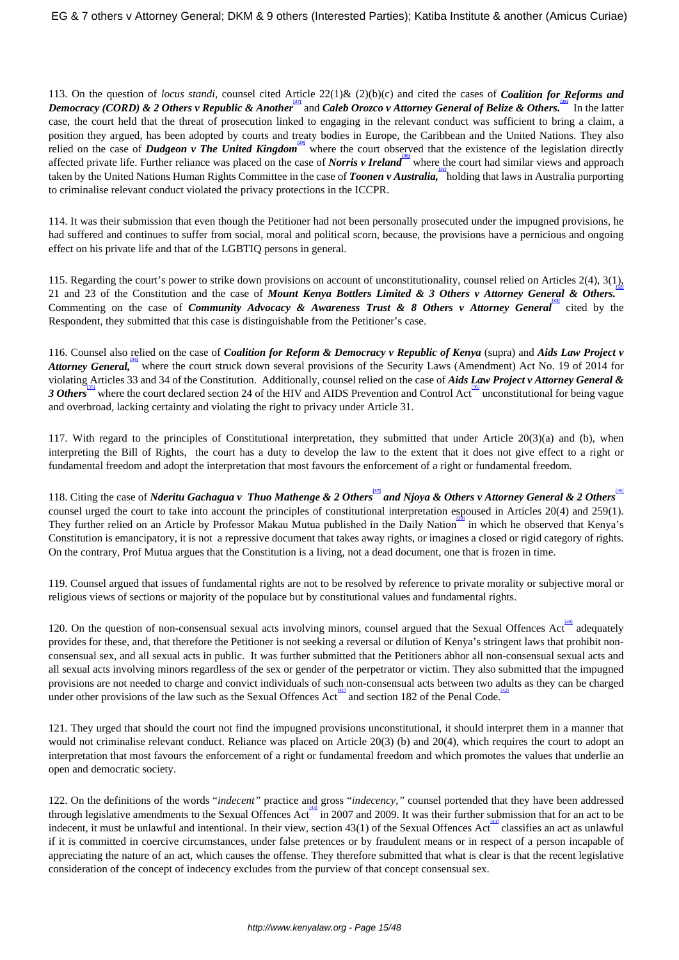113. On the question of *locus standi*, counsel cited Article 22(1)& (2)(b)(c) and cited the cases of *Coalition for Reforms and Democracy (CORD) & 2 Others v Republic & Another* and *Caleb Orozco v Attorney General of Belize & Others.* In the latter case, the court held that the threat of prosecution linked to engaging in the relevant conduct was sufficient to bring a claim, a position they argued, has been adopted by courts and treaty bodies in Europe, the Caribbean and the United Nations. They also relied on the case of *Dudgeon v The United Kingdom*<sup>[29]</sup> where the court observed that the existence of the legislation directly affected private life. Further reliance was placed on the case of *Norris v Ireland* where the court had similar views and approach taken by the United Nations Human Rights Committee in the case of *Toonen v Australia*, holding that laws in Australia purporting to criminalise relevant conduct violated the privacy protections in the ICCPR.

114. It was their submission that even though the Petitioner had not been personally prosecuted under the impugned provisions, he had suffered and continues to suffer from social, moral and political scorn, because, the provisions have a pernicious and ongoing effect on his private life and that of the LGBTIQ persons in general.

115. Regarding the court's power to strike down provisions on account of unconstitutionality, counsel relied on Articles 2(4), 3(1), *[32]* 21 and 23 of the Constitution and the case of *Mount Kenya Bottlers Limited & 3 Others v Attorney General & Others.* Commenting on the case of *Community Advocacy & Awareness Trust & 8 Others v Attorney General* cited by the Respondent*,* they submitted that this case is distinguishable from the Petitioner's case.

116. Counsel also relied on the case of *Coalition for Reform & Democracy v Republic of Kenya* (supra) and *Aids Law Project v Attorney General*, where the court struck down several provisions of the Security Laws (Amendment) Act No. 19 of 2014 for violating Articles 33 and 34 of the Constitution. Additionally, counsel relied on the case of *Aids Law Project v Attorney General &* 3 Others<sup>1361</sup> where the court declared section 24 of the HIV and AIDS Prevention and Control Act unconstitutional for being vague and overbroad, lacking certainty and violating the right to privacy under Article 31.

117. With regard to the principles of Constitutional interpretation, they submitted that under Article 20(3)(a) and (b), when interpreting the Bill of Rights, the court has a duty to develop the law to the extent that it does not give effect to a right or fundamental freedom and adopt the interpretation that most favours the enforcement of a right or fundamental freedom.

118. Citing the case of *Nderitu Gachagua v Thuo Mathenge & 2 Others* and *Njoya & Others v Attorney General & 2 Others* counsel urged the court to take into account the principles of constitutional interpretation espoused in Articles 20(4) and 259(1). They further relied on an Article by Professor Makau Mutua published in the Daily Nation<sup>33</sup> in which he observed that Kenya's Constitution is emancipatory, it is not a repressive document that takes away rights, or imagines a closed or rigid category of rights. On the contrary, Prof Mutua argues that the Constitution is a living, not a dead document, one that is frozen in time.

119. Counsel argued that issues of fundamental rights are not to be resolved by reference to private morality or subjective moral or religious views of sections or majority of the populace but by constitutional values and fundamental rights.

120. On the question of non-consensual sexual acts involving minors, counsel argued that the Sexual Offences Act adequately provides for these, and, that therefore the Petitioner is not seeking a reversal or dilution of Kenya's stringent laws that prohibit nonconsensual sex, and all sexual acts in public. It was further submitted that the Petitioners abhor all non-consensual sexual acts and all sexual acts involving minors regardless of the sex or gender of the perpetrator or victim. They also submitted that the impugned provisions are not needed to charge and convict individuals of such non-consensual acts between two adults as they can be charged under other provisions of the law such as the Sexual Offences Act and section 182 of the Penal Code.

121. They urged that should the court not find the impugned provisions unconstitutional, it should interpret them in a manner that would not criminalise relevant conduct. Reliance was placed on Article 20(3) (b) and 20(4), which requires the court to adopt an interpretation that most favours the enforcement of a right or fundamental freedom and which promotes the values that underlie an open and democratic society.

122. On the definitions of the words "*indecent"* practice and gross "*indecency,"* counsel portended that they have been addressed through legislative amendments to the Sexual Offences Act in 2007 and 2009. It was their further submission that for an act to be indecent, it must be unlawful and intentional. In their view, section 43(1) of the Sexual Offences Act classifies an act as unlawful if it is committed in coercive circumstances, under false pretences or by fraudulent means or in respect of a person incapable of appreciating the nature of an act, which causes the offense. They therefore submitted that what is clear is that the recent legislative consideration of the concept of indecency excludes from the purview of that concept consensual sex.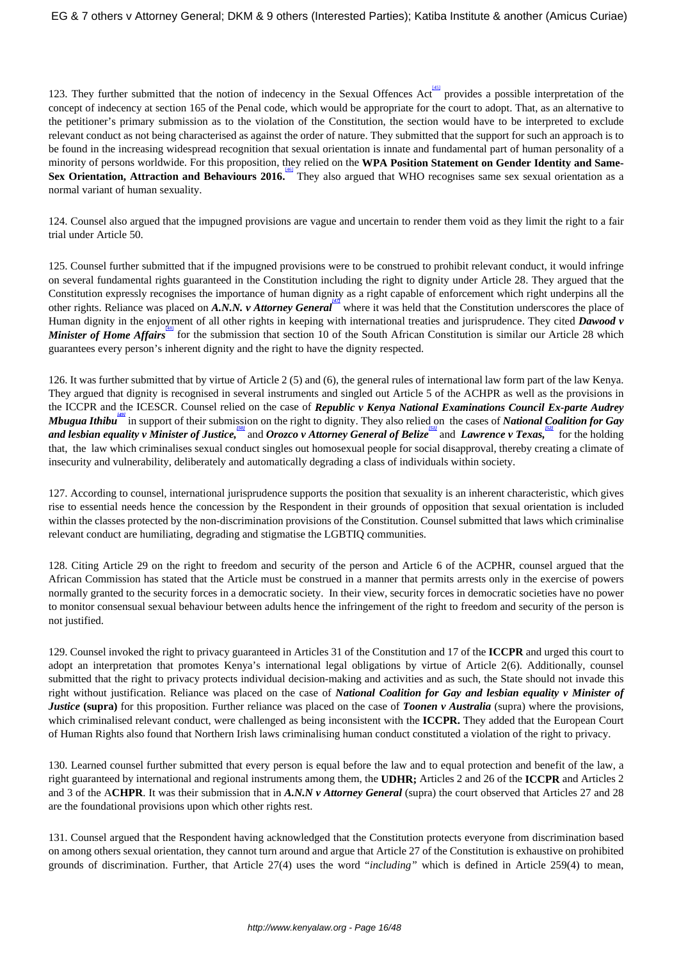123. They further submitted that the notion of indecency in the Sexual Offences Act provides a possible interpretation of the concept of indecency at section 165 of the Penal code, which would be appropriate for the court to adopt. That, as an alternative to the petitioner's primary submission as to the violation of the Constitution, the section would have to be interpreted to exclude relevant conduct as not being characterised as against the order of nature. They submitted that the support for such an approach is to be found in the increasing widespread recognition that sexual orientation is innate and fundamental part of human personality of a minority of persons worldwide. For this proposition, they relied on the **WPA Position Statement on Gender Identity and Same-**Sex Orientation, Attraction and Behaviours 2016. They also argued that WHO recognises same sex sexual orientation as a normal variant of human sexuality.

124. Counsel also argued that the impugned provisions are vague and uncertain to render them void as they limit the right to a fair trial under Article 50.

125. Counsel further submitted that if the impugned provisions were to be construed to prohibit relevant conduct, it would infringe on several fundamental rights guaranteed in the Constitution including the right to dignity under Article 28. They argued that the Constitution expressly recognises the importance of human dignity as a right capable of enforcement which right underpins all the other rights. Reliance was placed on *A.N.N. v Attorney General*<sup>477</sup> where it was held that the Constitution underscores the place of Human dignity in the enjoyment of all other rights in keeping with international treaties and jurisprudence. They cited *Dawood v Minister of Home Affairs* for the submission that section 10 of the South African Constitution is similar our Article 28 which guarantees every person's inherent dignity and the right to have the dignity respected.

126. It was further submitted that by virtue of Article 2 (5) and (6), the general rules of international law form part of the law Kenya. They argued that dignity is recognised in several instruments and singled out Article 5 of the ACHPR as well as the provisions in the ICCPR and the ICESCR. Counsel relied on the case of *Republic v Kenya National Examinations Council Ex-parte Audrey Mbugua Ithibu* in support of their submission on the right to dignity. They also relied on the cases of *National Coalition for Gay and lesbian equality v Minister of Justice,* and *Orozco v Attorney General of Belize* and *Lawrence v Texas*, for the holding that, the law which criminalises sexual conduct singles out homosexual people for social disapproval, thereby creating a climate of insecurity and vulnerability, deliberately and automatically degrading a class of individuals within society.

127. According to counsel, international jurisprudence supports the position that sexuality is an inherent characteristic, which gives rise to essential needs hence the concession by the Respondent in their grounds of opposition that sexual orientation is included within the classes protected by the non-discrimination provisions of the Constitution. Counsel submitted that laws which criminalise relevant conduct are humiliating, degrading and stigmatise the LGBTIQ communities.

128. Citing Article 29 on the right to freedom and security of the person and Article 6 of the ACPHR, counsel argued that the African Commission has stated that the Article must be construed in a manner that permits arrests only in the exercise of powers normally granted to the security forces in a democratic society. In their view, security forces in democratic societies have no power to monitor consensual sexual behaviour between adults hence the infringement of the right to freedom and security of the person is not justified.

129. Counsel invoked the right to privacy guaranteed in Articles 31 of the Constitution and 17 of the **ICCPR** and urged this court to adopt an interpretation that promotes Kenya's international legal obligations by virtue of Article 2(6). Additionally, counsel submitted that the right to privacy protects individual decision-making and activities and as such, the State should not invade this right without justification. Reliance was placed on the case of *National Coalition for Gay and lesbian equality v Minister of Justice* **(supra)** for this proposition. Further reliance was placed on the case of *Toonen v Australia* (supra) where the provisions, which criminalised relevant conduct, were challenged as being inconsistent with the **ICCPR.** They added that the European Court of Human Rights also found that Northern Irish laws criminalising human conduct constituted a violation of the right to privacy.

130. Learned counsel further submitted that every person is equal before the law and to equal protection and benefit of the law, a right guaranteed by international and regional instruments among them, the **UDHR;** Articles 2 and 26 of the **ICCPR** and Articles 2 and 3 of the A**CHPR**. It was their submission that in *A.N.N v Attorney General* (supra) the court observed that Articles 27 and 28 are the foundational provisions upon which other rights rest.

131. Counsel argued that the Respondent having acknowledged that the Constitution protects everyone from discrimination based on among others sexual orientation, they cannot turn around and argue that Article 27 of the Constitution is exhaustive on prohibited grounds of discrimination. Further, that Article 27(4) uses the word "*including"* which is defined in Article 259(4) to mean,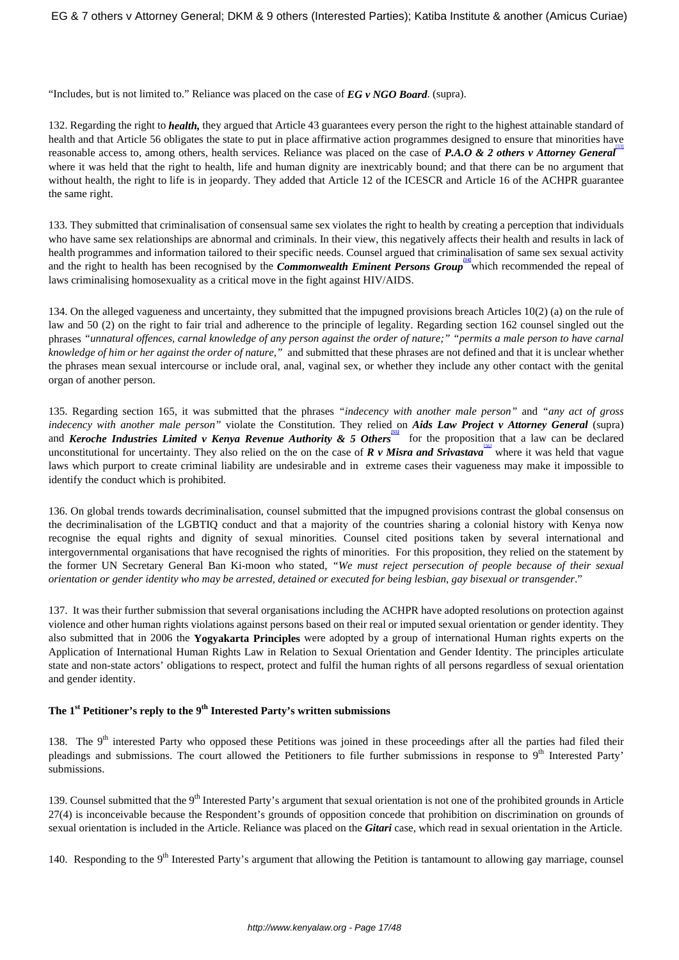"Includes, but is not limited to." Reliance was placed on the case of *EG v NGO Board*. (supra).

132. Regarding the right to *health,* they argued that Article 43 guarantees every person the right to the highest attainable standard of health and that Article 56 obligates the state to put in place affirmative action programmes designed to ensure that minorities have reasonable access to, among others, health services. Reliance was placed on the case of **P.A.O & 2 others v Attorney General** where it was held that the right to health, life and human dignity are inextricably bound; and that there can be no argument that without health, the right to life is in jeopardy. They added that Article 12 of the ICESCR and Article 16 of the ACHPR guarantee the same right.

133. They submitted that criminalisation of consensual same sex violates the right to health by creating a perception that individuals who have same sex relationships are abnormal and criminals. In their view, this negatively affects their health and results in lack of health programmes and information tailored to their specific needs. Counsel argued that criminalisation of same sex sexual activity and the right to health has been recognised by the *Commonwealth Eminent Persons Group* which recommended the repeal of laws criminalising homosexuality as a critical move in the fight against HIV/AIDS.

134. On the alleged vagueness and uncertainty, they submitted that the impugned provisions breach Articles 10(2) (a) on the rule of law and 50 (2) on the right to fair trial and adherence to the principle of legality. Regarding section 162 counsel singled out the phrases *"unnatural offences, carnal knowledge of any person against the order of nature;" "permits a male person to have carnal knowledge of him or her against the order of nature,"* and submitted that these phrases are not defined and that it is unclear whether the phrases mean sexual intercourse or include oral, anal, vaginal sex, or whether they include any other contact with the genital organ of another person.

135. Regarding section 165, it was submitted that the phrases *"indecency with another male person"* and *"any act of gross indecency with another male person"* violate the Constitution. They relied on *Aids Law Project v Attorney General* (supra) and *Keroche Industries Limited v Kenya Revenue Authority & 5 Others* for the proposition that a law can be declared unconstitutional for uncertainty. They also relied on the on the case of  $R$  v Misra and Srivastava<sup>1560</sup> where it was held that vague laws which purport to create criminal liability are undesirable and in extreme cases their vagueness may make it impossible to identify the conduct which is prohibited.

136. On global trends towards decriminalisation, counsel submitted that the impugned provisions contrast the global consensus on the decriminalisation of the LGBTIQ conduct and that a majority of the countries sharing a colonial history with Kenya now recognise the equal rights and dignity of sexual minorities. Counsel cited positions taken by several international and intergovernmental organisations that have recognised the rights of minorities. For this proposition, they relied on the statement by the former UN Secretary General Ban Ki-moon who stated, *"We must reject persecution of people because of their sexual orientation or gender identity who may be arrested, detained or executed for being lesbian, gay bisexual or transgender*."

137. It was their further submission that several organisations including the ACHPR have adopted resolutions on protection against violence and other human rights violations against persons based on their real or imputed sexual orientation or gender identity. They also submitted that in 2006 the **Yogyakarta Principles** were adopted by a group of international Human rights experts on the Application of International Human Rights Law in Relation to Sexual Orientation and Gender Identity. The principles articulate state and non-state actors' obligations to respect, protect and fulfil the human rights of all persons regardless of sexual orientation and gender identity.

# **The 1st Petitioner's reply to the 9th Interested Party's written submissions**

138. The  $9<sup>th</sup>$  interested Party who opposed these Petitions was joined in these proceedings after all the parties had filed their pleadings and submissions. The court allowed the Petitioners to file further submissions in response to  $9<sup>th</sup>$  Interested Party' submissions.

139. Counsel submitted that the  $9<sup>th</sup>$  Interested Party's argument that sexual orientation is not one of the prohibited grounds in Article 27(4) is inconceivable because the Respondent's grounds of opposition concede that prohibition on discrimination on grounds of sexual orientation is included in the Article. Reliance was placed on the *Gitari* case, which read in sexual orientation in the Article.

140. Responding to the 9<sup>th</sup> Interested Party's argument that allowing the Petition is tantamount to allowing gay marriage, counsel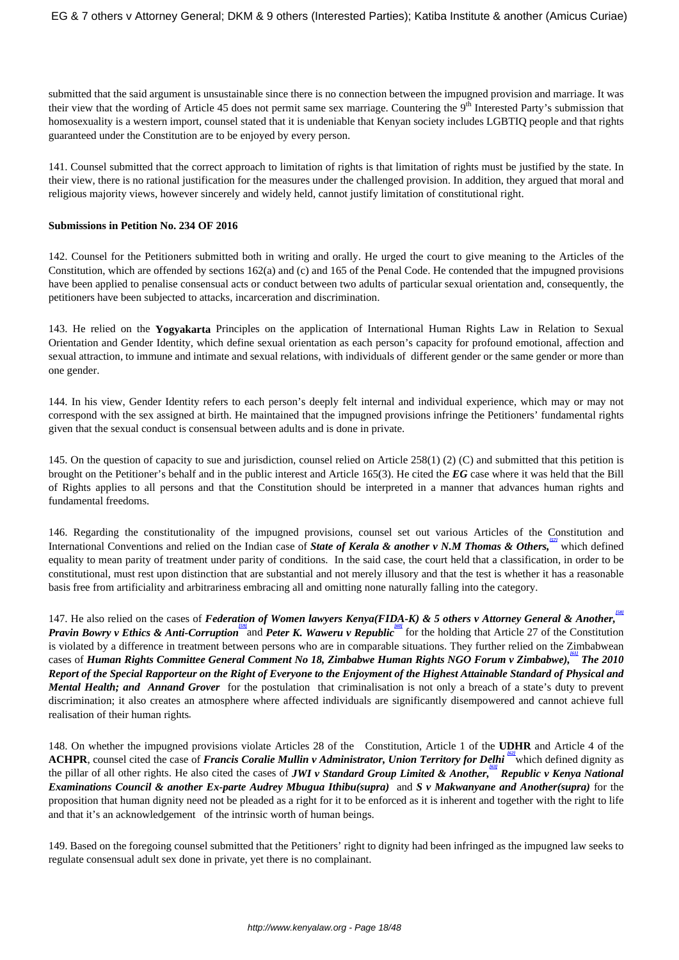submitted that the said argument is unsustainable since there is no connection between the impugned provision and marriage. It was their view that the wording of Article 45 does not permit same sex marriage. Countering the 9<sup>th</sup> Interested Party's submission that homosexuality is a western import, counsel stated that it is undeniable that Kenyan society includes LGBTIQ people and that rights guaranteed under the Constitution are to be enjoyed by every person.

141. Counsel submitted that the correct approach to limitation of rights is that limitation of rights must be justified by the state. In their view, there is no rational justification for the measures under the challenged provision. In addition, they argued that moral and religious majority views, however sincerely and widely held, cannot justify limitation of constitutional right.

#### **Submissions in Petition No. 234 OF 2016**

142. Counsel for the Petitioners submitted both in writing and orally. He urged the court to give meaning to the Articles of the Constitution, which are offended by sections 162(a) and (c) and 165 of the Penal Code. He contended that the impugned provisions have been applied to penalise consensual acts or conduct between two adults of particular sexual orientation and, consequently, the petitioners have been subjected to attacks, incarceration and discrimination.

143. He relied on the **Yogyakarta** Principles on the application of International Human Rights Law in Relation to Sexual Orientation and Gender Identity, which define sexual orientation as each person's capacity for profound emotional, affection and sexual attraction, to immune and intimate and sexual relations, with individuals of different gender or the same gender or more than one gender.

144. In his view, Gender Identity refers to each person's deeply felt internal and individual experience, which may or may not correspond with the sex assigned at birth. He maintained that the impugned provisions infringe the Petitioners' fundamental rights given that the sexual conduct is consensual between adults and is done in private.

145. On the question of capacity to sue and jurisdiction, counsel relied on Article 258(1) (2) (C) and submitted that this petition is brought on the Petitioner's behalf and in the public interest and Article 165(3). He cited the *EG* case where it was held that the Bill of Rights applies to all persons and that the Constitution should be interpreted in a manner that advances human rights and fundamental freedoms.

146. Regarding the constitutionality of the impugned provisions, counsel set out various Articles of the Constitution and International Conventions and relied on the Indian case of *State of Kerala & another v N.M Thomas & Others*,<sup>*[57]*</sup> which defined equality to mean parity of treatment under parity of conditions. In the said case, the court held that a classification, in order to be constitutional, must rest upon distinction that are substantial and not merely illusory and that the test is whether it has a reasonable basis free from artificiality and arbitrariness embracing all and omitting none naturally falling into the category.

147. He also relied on the cases of *Federation of Women lawyers Kenya(FIDA-K) & 5 others v Attorney General & Another, [58] Pravin Bowry v Ethics & Anti-Corruption* and *Peter K. Waweru v Republic* for the holding that Article 27 of the Constitution is violated by a difference in treatment between persons who are in comparable situations. They further relied on the Zimbabwean cases of *Human Rights Committee General Comment No 18, Zimbabwe Human Rights NGO Forum v Zimbabwe), [61] The 2010 Report of the Special Rapporteur on the Right of Everyone to the Enjoyment of the Highest Attainable Standard of Physical and Mental Health; and Annand Grover* for the postulation that criminalisation is not only a breach of a state's duty to prevent discrimination; it also creates an atmosphere where affected individuals are significantly disempowered and cannot achieve full realisation of their human rights*.*

148. On whether the impugned provisions violate Articles 28 of the Constitution, Article 1 of the **UDHR** and Article 4 of the ACHPR, counsel cited the case of *Francis Coralie Mullin v Administrator*, *Union Territory for Delhi* <sup>(62)</sup> which defined dignity as the pillar of all other rights. He also cited the cases of *JWI v Standard Group Limited & Another, [63] Republic v Kenya National Examinations Council & another Ex-parte Audrey Mbugua Ithibu(supra)* and *S v Makwanyane and Another(supra)* for the proposition that human dignity need not be pleaded as a right for it to be enforced as it is inherent and together with the right to life and that it's an acknowledgement of the intrinsic worth of human beings.

149. Based on the foregoing counsel submitted that the Petitioners' right to dignity had been infringed as the impugned law seeks to regulate consensual adult sex done in private, yet there is no complainant.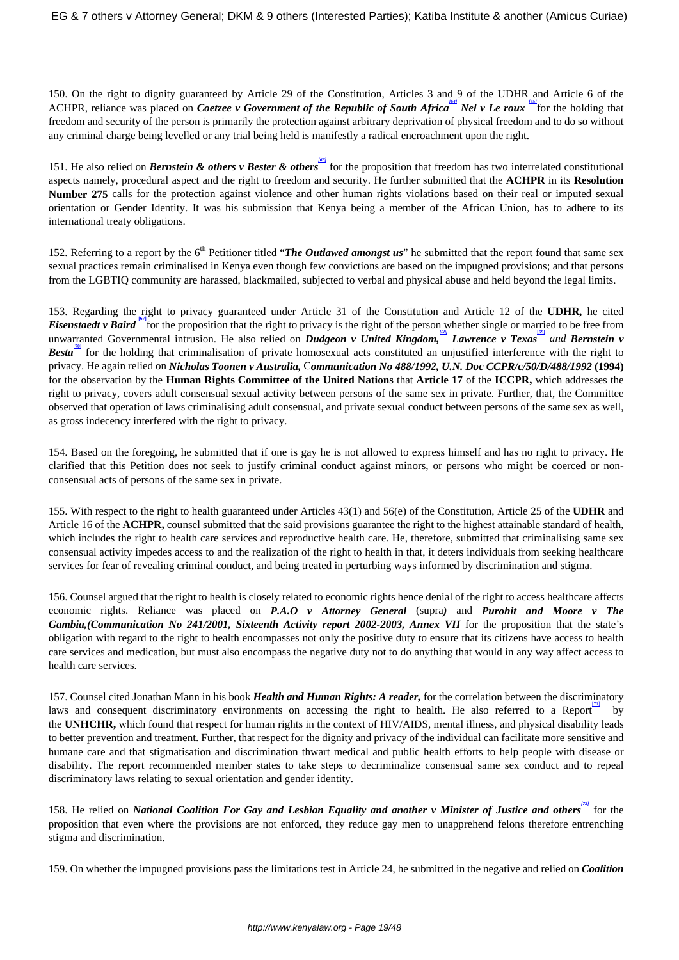150. On the right to dignity guaranteed by Article 29 of the Constitution, Articles 3 and 9 of the UDHR and Article 6 of the ACHPR, reliance was placed on *Coetzee v Government of the Republic of South Africa* Mel v Le roux for the holding that freedom and security of the person is primarily the protection against arbitrary deprivation of physical freedom and to do so without any criminal charge being levelled or any trial being held is manifestly a radical encroachment upon the right.

151. He also relied on *Bernstein & others v Bester & others* for the proposition that freedom has two interrelated constitutional aspects namely, procedural aspect and the right to freedom and security. He further submitted that the **ACHPR** in its **Resolution Number 275** calls for the protection against violence and other human rights violations based on their real or imputed sexual orientation or Gender Identity. It was his submission that Kenya being a member of the African Union, has to adhere to its international treaty obligations.

152. Referring to a report by the 6<sup>th</sup> Petitioner titled "*The Outlawed amongst us*" he submitted that the report found that same sex sexual practices remain criminalised in Kenya even though few convictions are based on the impugned provisions; and that persons from the LGBTIQ community are harassed, blackmailed, subjected to verbal and physical abuse and held beyond the legal limits.

153. Regarding the right to privacy guaranteed under Article 31 of the Constitution and Article 12 of the **UDHR***,* he cited *Eisenstaedt v Baird* <sup>67</sup> for the proposition that the right to privacy is the right of the person whether single or married to be free from unwarranted Governmental intrusion. He also relied on *Dudgeon v United Kingdom*, *Lawrence v Texas* and *Bernstein v Besta* for the holding that criminalisation of private homosexual acts constituted an unjustified interference with the right to privacy. He again relied on *Nicholas Toonen v Australia,* C*ommunication No 488/1992, U.N. Doc CCPR/c/50/D/488/1992* **(1994)** for the observation by the **Human Rights Committee of the United Nations** that **Article 17** of the **ICCPR,** which addresses the right to privacy, covers adult consensual sexual activity between persons of the same sex in private. Further, that, the Committee observed that operation of laws criminalising adult consensual, and private sexual conduct between persons of the same sex as well, as gross indecency interfered with the right to privacy.

154. Based on the foregoing, he submitted that if one is gay he is not allowed to express himself and has no right to privacy. He clarified that this Petition does not seek to justify criminal conduct against minors, or persons who might be coerced or nonconsensual acts of persons of the same sex in private.

155. With respect to the right to health guaranteed under Articles 43(1) and 56(e) of the Constitution, Article 25 of the **UDHR** and Article 16 of the **ACHPR,** counsel submitted that the said provisions guarantee the right to the highest attainable standard of health, which includes the right to health care services and reproductive health care. He, therefore, submitted that criminalising same sex consensual activity impedes access to and the realization of the right to health in that, it deters individuals from seeking healthcare services for fear of revealing criminal conduct, and being treated in perturbing ways informed by discrimination and stigma.

156. Counsel argued that the right to health is closely related to economic rights hence denial of the right to access healthcare affects economic rights. Reliance was placed on *P.A.O v Attorney General* (supra*)* and *Purohit and Moore v The* Gambia,(Communication No 241/2001, Sixteenth Activity report 2002-2003, Annex VII for the proposition that the state's obligation with regard to the right to health encompasses not only the positive duty to ensure that its citizens have access to health care services and medication, but must also encompass the negative duty not to do anything that would in any way affect access to health care services.

157. Counsel cited Jonathan Mann in his book *Health and Human Rights: A reader,* for the correlation between the discriminatory laws and consequent discriminatory environments on accessing the right to health. He also referred to a Report by the **UNHCHR,** which found that respect for human rights in the context of HIV/AIDS, mental illness, and physical disability leads to better prevention and treatment. Further, that respect for the dignity and privacy of the individual can facilitate more sensitive and humane care and that stigmatisation and discrimination thwart medical and public health efforts to help people with disease or disability. The report recommended member states to take steps to decriminalize consensual same sex conduct and to repeal discriminatory laws relating to sexual orientation and gender identity.

158. He relied on *National Coalition For Gay and Lesbian Equality and another v Minister of Justice and others<sup>121</sup> for the* proposition that even where the provisions are not enforced, they reduce gay men to unapprehend felons therefore entrenching stigma and discrimination.

159. On whether the impugned provisions pass the limitations test in Article 24, he submitted in the negative and relied on *Coalition*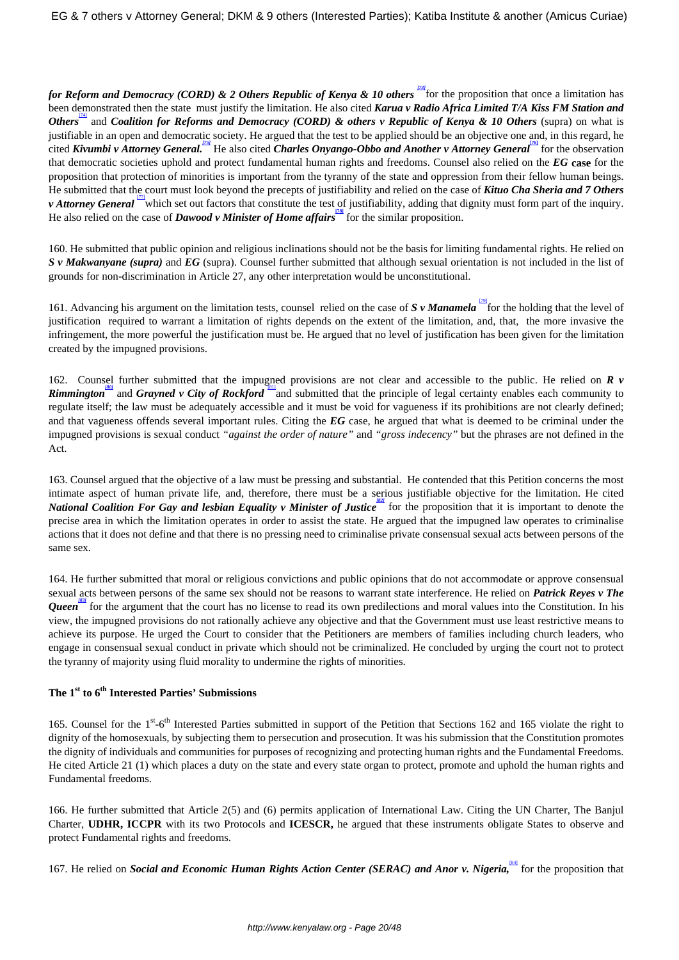*for Reform and Democracy (CORD) & 2 Others Republic of Kenya & 10 others*  $\frac{f(3)}{2}$  *for the proposition that once a limitation has* been demonstrated then the state must justify the limitation. He also cited *Karua v Radio Africa Limited T/A Kiss FM Station and Others* and *Coalition for Reforms and Democracy (CORD) & others v Republic of Kenya & 10 Others (supra)* on what is justifiable in an open and democratic society. He argued that the test to be applied should be an objective one and, in this regard, he cited *Kivumbi v Attorney General.*<sup>[75]</sup> He also cited *Charles Onyango-Obbo and Another v Attorney General* for the observation that democratic societies uphold and protect fundamental human rights and freedoms. Counsel also relied on the *EG* **case** for the proposition that protection of minorities is important from the tyranny of the state and oppression from their fellow human beings. He submitted that the court must look beyond the precepts of justifiability and relied on the case of *Kituo Cha Sheria and 7 Others v* Attorney General <sup>[77]</sup> which set out factors that constitute the test of justifiability, adding that dignity must form part of the inquiry. He also relied on the case of *Dawood v Minister of Home affairs* for the similar proposition.

160. He submitted that public opinion and religious inclinations should not be the basis for limiting fundamental rights. He relied on *S v Makwanyane (supra)* and *EG* (supra). Counsel further submitted that although sexual orientation is not included in the list of grounds for non-discrimination in Article 27, any other interpretation would be unconstitutional.

161. Advancing his argument on the limitation tests, counsel relied on the case of *S v Manamela* for the holding that the level of justification required to warrant a limitation of rights depends on the extent of the limitation, and, that, the more invasive the infringement, the more powerful the justification must be. He argued that no level of justification has been given for the limitation created by the impugned provisions.

162. Counsel further submitted that the impugned provisions are not clear and accessible to the public. He relied on *R v Rimmington* and *Grayned v City of Rockford* <sup>[81]</sup> and submitted that the principle of legal certainty enables each community to regulate itself; the law must be adequately accessible and it must be void for vagueness if its prohibitions are not clearly defined; and that vagueness offends several important rules. Citing the *EG* case, he argued that what is deemed to be criminal under the impugned provisions is sexual conduct *"against the order of nature"* and *"gross indecency"* but the phrases are not defined in the Act.

163. Counsel argued that the objective of a law must be pressing and substantial. He contended that this Petition concerns the most intimate aspect of human private life, and, therefore, there must be a serious justifiable objective for the limitation. He cited *National Coalition For Gay and lesbian Equality v Minister of Justice* for the proposition that it is important to denote the precise area in which the limitation operates in order to assist the state. He argued that the impugned law operates to criminalise actions that it does not define and that there is no pressing need to criminalise private consensual sexual acts between persons of the same sex.

164. He further submitted that moral or religious convictions and public opinions that do not accommodate or approve consensual sexual acts between persons of the same sex should not be reasons to warrant state interference. He relied on *Patrick Reyes v The Queen [83]* for the argument that the court has no license to read its own predilections and moral values into the Constitution. In his view, the impugned provisions do not rationally achieve any objective and that the Government must use least restrictive means to achieve its purpose. He urged the Court to consider that the Petitioners are members of families including church leaders, who engage in consensual sexual conduct in private which should not be criminalized. He concluded by urging the court not to protect the tyranny of majority using fluid morality to undermine the rights of minorities.

# **The 1st to 6th Interested Parties' Submissions**

165. Counsel for the 1<sup>st</sup>-6<sup>th</sup> Interested Parties submitted in support of the Petition that Sections 162 and 165 violate the right to dignity of the homosexuals*,* by subjecting them to persecution and prosecution. It was his submission that the Constitution promotes the dignity of individuals and communities for purposes of recognizing and protecting human rights and the Fundamental Freedoms. He cited Article 21 (1) which places a duty on the state and every state organ to protect, promote and uphold the human rights and Fundamental freedoms.

166. He further submitted that Article 2(5) and (6) permits application of International Law. Citing the UN Charter, The Banjul Charter, **UDHR, ICCPR** with its two Protocols and **ICESCR,** he argued that these instruments obligate States to observe and protect Fundamental rights and freedoms.

167. He relied on *Social and Economic Human Rights Action Center (SERAC) and Anor v. Nigeria*, for the proposition that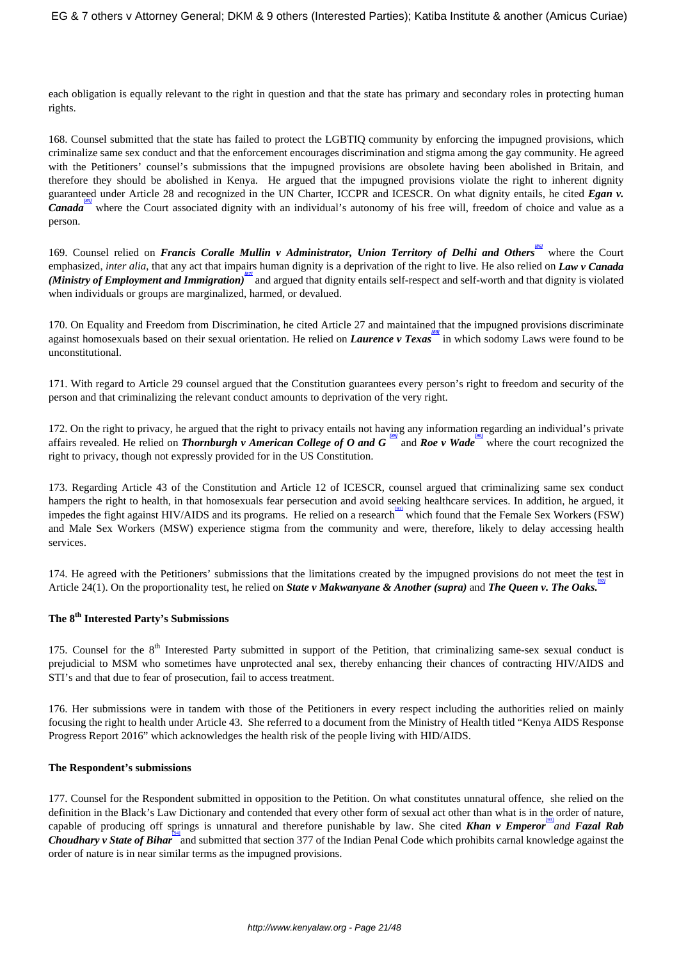each obligation is equally relevant to the right in question and that the state has primary and secondary roles in protecting human rights.

168. Counsel submitted that the state has failed to protect the LGBTIQ community by enforcing the impugned provisions, which criminalize same sex conduct and that the enforcement encourages discrimination and stigma among the gay community. He agreed with the Petitioners' counsel's submissions that the impugned provisions are obsolete having been abolished in Britain, and therefore they should be abolished in Kenya. He argued that the impugned provisions violate the right to inherent dignity guaranteed under Article 28 and recognized in the UN Charter, ICCPR and ICESCR. On what dignity entails, he cited *Egan v. Canada* where the Court associated dignity with an individual's autonomy of his free will, freedom of choice and value as a person.

169. Counsel relied on *Francis Coralle Mullin v Administrator*, *Union Territory of Delhi and Others* where the Court emphasized, *inter alia*, that any act that impairs human dignity is a deprivation of the right to live. He also relied on *Law v Canada (Ministry of Employment and Immigration)* and argued that dignity entails self-respect and self-worth and that dignity is violated when individuals or groups are marginalized, harmed, or devalued.

170. On Equality and Freedom from Discrimination, he cited Article 27 and maintained that the impugned provisions discriminate against homosexuals based on their sexual orientation. He relied on *Laurence v Texas* in which sodomy Laws were found to be unconstitutional.

171. With regard to Article 29 counsel argued that the Constitution guarantees every person's right to freedom and security of the person and that criminalizing the relevant conduct amounts to deprivation of the very right.

172. On the right to privacy, he argued that the right to privacy entails not having any information regarding an individual's private affairs revealed. He relied on *Thornburgh v American College of O and G*<sup>(89)</sup> and *Roe v Wade* where the court recognized the right to privacy, though not expressly provided for in the US Constitution.

173. Regarding Article 43 of the Constitution and Article 12 of ICESCR, counsel argued that criminalizing same sex conduct hampers the right to health, in that homosexuals fear persecution and avoid seeking healthcare services. In addition, he argued, it impedes the fight against HIV/AIDS and its programs. He relied on a research which found that the Female Sex Workers (FSW) and Male Sex Workers (MSW) experience stigma from the community and were, therefore, likely to delay accessing health services.

174. He agreed with the Petitioners' submissions that the limitations created by the impugned provisions do not meet the test in Article 24(1). On the proportionality test, he relied on *State v Makwanyane & Another (supra)* and *The Queen v. The Oaks.* 

# **The 8th Interested Party's Submissions**

175. Counsel for the 8<sup>th</sup> Interested Party submitted in support of the Petition, that criminalizing same-sex sexual conduct is prejudicial to MSM who sometimes have unprotected anal sex, thereby enhancing their chances of contracting HIV/AIDS and STI's and that due to fear of prosecution, fail to access treatment.

176. Her submissions were in tandem with those of the Petitioners in every respect including the authorities relied on mainly focusing the right to health under Article 43. She referred to a document from the Ministry of Health titled "Kenya AIDS Response Progress Report 2016" which acknowledges the health risk of the people living with HID/AIDS.

## **The Respondent's submissions**

177. Counsel for the Respondent submitted in opposition to the Petition. On what constitutes unnatural offence, she relied on the definition in the Black's Law Dictionary and contended that every other form of sexual act other than what is in the order of nature, capable of producing off springs is unnatural and therefore punishable by law. She cited *Khan v Emperor* [93] *and Fazal Rab Choudhary v State of Bihar*<sup>bal</sup> and submitted that section 377 of the Indian Penal Code which prohibits carnal knowledge against the order of nature is in near similar terms as the impugned provisions.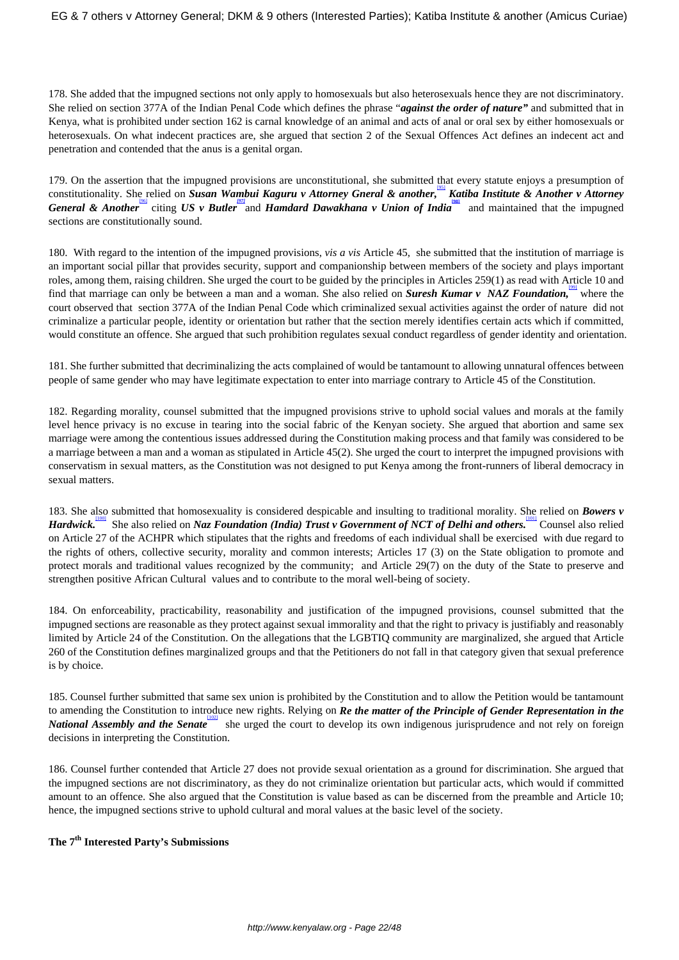178. She added that the impugned sections not only apply to homosexuals but also heterosexuals hence they are not discriminatory. She relied on section 377A of the Indian Penal Code which defines the phrase "*against the order of nature"* and submitted that in Kenya, what is prohibited under section 162 is carnal knowledge of an animal and acts of anal or oral sex by either homosexuals or heterosexuals. On what indecent practices are, she argued that section 2 of the Sexual Offences Act defines an indecent act and penetration and contended that the anus is a genital organ.

179. On the assertion that the impugned provisions are unconstitutional, she submitted that every statute enjoys a presumption of constitutionality. She relied on *Susan Wambui Kaguru v Attorney Gneral & another,* [95]  *Katiba Institute & Another v Attorney* General & Another<sup>1961</sup> citing *US v Butler* and *Hamdard Dawakhana v Union of India*<sup>1981</sup> and maintained that the impugned sections are constitutionally sound.

180. With regard to the intention of the impugned provisions, *vis a vis* Article 45, she submitted that the institution of marriage is an important social pillar that provides security, support and companionship between members of the society and plays important roles, among them, raising children. She urged the court to be guided by the principles in Articles 259(1) as read with Article 10 and find that marriage can only be between a man and a woman. She also relied on **Suresh Kumar v** NAZ Foundation, where the court observed that section 377A of the Indian Penal Code which criminalized sexual activities against the order of nature did not criminalize a particular people, identity or orientation but rather that the section merely identifies certain acts which if committed, would constitute an offence. She argued that such prohibition regulates sexual conduct regardless of gender identity and orientation.

181. She further submitted that decriminalizing the acts complained of would be tantamount to allowing unnatural offences between people of same gender who may have legitimate expectation to enter into marriage contrary to Article 45 of the Constitution.

182. Regarding morality, counsel submitted that the impugned provisions strive to uphold social values and morals at the family level hence privacy is no excuse in tearing into the social fabric of the Kenyan society. She argued that abortion and same sex marriage were among the contentious issues addressed during the Constitution making process and that family was considered to be a marriage between a man and a woman as stipulated in Article 45(2). She urged the court to interpret the impugned provisions with conservatism in sexual matters, as the Constitution was not designed to put Kenya among the front-runners of liberal democracy in sexual matters.

183. She also submitted that homosexuality is considered despicable and insulting to traditional morality. She relied on *Bowers v Hardwick.* The also relied on Naz Foundation (India) Trust v Government of NCT of Delhi and others. Counsel also relied on Article 27 of the ACHPR which stipulates that the rights and freedoms of each individual shall be exercised with due regard to the rights of others, collective security, morality and common interests; Articles 17 (3) on the State obligation to promote and protect morals and traditional values recognized by the community; and Article 29(7) on the duty of the State to preserve and strengthen positive African Cultural values and to contribute to the moral well-being of society.

184. On enforceability, practicability, reasonability and justification of the impugned provisions, counsel submitted that the impugned sections are reasonable as they protect against sexual immorality and that the right to privacy is justifiably and reasonably limited by Article 24 of the Constitution. On the allegations that the LGBTIQ community are marginalized, she argued that Article 260 of the Constitution defines marginalized groups and that the Petitioners do not fall in that category given that sexual preference is by choice.

185. Counsel further submitted that same sex union is prohibited by the Constitution and to allow the Petition would be tantamount to amending the Constitution to introduce new rights. Relying on *Re the matter of the Principle of Gender Representation in the National Assembly and the Senate* she urged the court to develop its own indigenous jurisprudence and not rely on foreign decisions in interpreting the Constitution.

186. Counsel further contended that Article 27 does not provide sexual orientation as a ground for discrimination. She argued that the impugned sections are not discriminatory, as they do not criminalize orientation but particular acts, which would if committed amount to an offence. She also argued that the Constitution is value based as can be discerned from the preamble and Article 10; hence, the impugned sections strive to uphold cultural and moral values at the basic level of the society.

# **The 7th Interested Party's Submissions**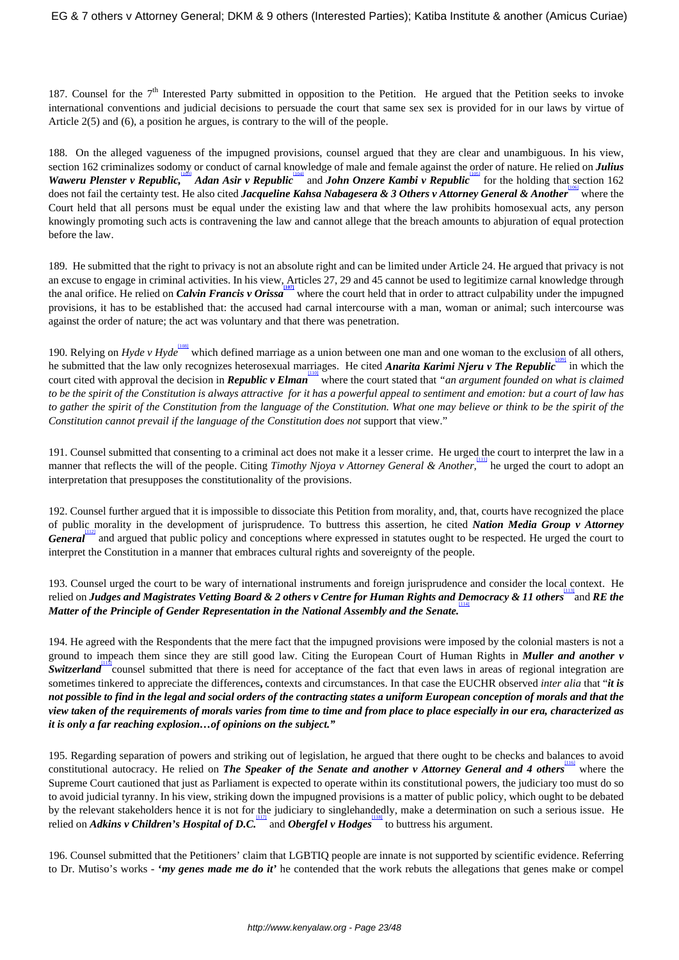187. Counsel for the 7<sup>th</sup> Interested Party submitted in opposition to the Petition. He argued that the Petition seeks to invoke international conventions and judicial decisions to persuade the court that same sex sex is provided for in our laws by virtue of Article 2(5) and (6), a position he argues, is contrary to the will of the people.

188. On the alleged vagueness of the impugned provisions, counsel argued that they are clear and unambiguous. In his view, section 162 criminalizes sodomy or conduct of carnal knowledge of male and female against the order of nature. He relied on *Julius Waweru Plenster v Republic*, *Malan Asir v Republic* and *John Onzere Kambi v Republic* for the holding that section 162 does not fail the certainty test. He also cited *Jacqueline Kahsa Nabagesera & 3 Others v Attorney General & Another* where the Court held that all persons must be equal under the existing law and that where the law prohibits homosexual acts, any person knowingly promoting such acts is contravening the law and cannot allege that the breach amounts to abjuration of equal protection before the law.

189. He submitted that the right to privacy is not an absolute right and can be limited under Article 24. He argued that privacy is not an excuse to engage in criminal activities. In his view, Articles 27, 29 and 45 cannot be used to legitimize carnal knowledge through the anal orifice. He relied on *Calvin Francis v Orissa* where the court held that in order to attract culpability under the impugned provisions, it has to be established that: the accused had carnal intercourse with a man, woman or animal; such intercourse was against the order of nature; the act was voluntary and that there was penetration.

190. Relying on *Hyde* v Hyde<sup>lios</sup> which defined marriage as a union between one man and one woman to the exclusion of all others, he submitted that the law only recognizes heterosexual marriages. He cited *Anarita Karimi Njeru v The Republic* in which the court cited with approval the decision in *Republic v Elman* where the court stated that "an argument founded on what is claimed *to be the spirit of the Constitution is always attractive for it has a powerful appeal to sentiment and emotion: but a court of law has to gather the spirit of the Constitution from the language of the Constitution. What one may believe or think to be the spirit of the Constitution cannot prevail if the language of the Constitution does not* support that view."

191. Counsel submitted that consenting to a criminal act does not make it a lesser crime. He urged the court to interpret the law in a manner that reflects the will of the people. Citing *Timothy Njoya v Attorney General & Another*,<sup>und</sup> he urged the court to adopt an interpretation that presupposes the constitutionality of the provisions.

192. Counsel further argued that it is impossible to dissociate this Petition from morality, and, that, courts have recognized the place of public morality in the development of jurisprudence. To buttress this assertion, he cited *Nation Media Group v Attorney* General<sup>1121</sup> and argued that public policy and conceptions where expressed in statutes ought to be respected. He urged the court to interpret the Constitution in a manner that embraces cultural rights and sovereignty of the people.

193. Counsel urged the court to be wary of international instruments and foreign jurisprudence and consider the local context. He relied on *Judges and Magistrates Vetting Board & 2 others v Centre for Human Rights and Democracy & 11 others* and RE the *Matter of the Principle of Gender Representation in the National Assembly and the Senate.*

194. He agreed with the Respondents that the mere fact that the impugned provisions were imposed by the colonial masters is not a ground to impeach them since they are still good law. Citing the European Court of Human Rights in *Muller and another v* **Switzerland** counsel submitted that there is need for acceptance of the fact that even laws in areas of regional integration are sometimes tinkered to appreciate the differences**,** contexts and circumstances. In that case the EUCHR observed *inter alia* that "*it is not possible to find in the legal and social orders of the contracting states a uniform European conception of morals and that the view taken of the requirements of morals varies from time to time and from place to place especially in our era, characterized as it is only a far reaching explosion…of opinions on the subject."*

195. Regarding separation of powers and striking out of legislation, he argued that there ought to be checks and balances to avoid constitutional autocracy. He relied on *The Speaker of the Senate and another v Attorney General and 4 others* where the Supreme Court cautioned that just as Parliament is expected to operate within its constitutional powers, the judiciary too must do so to avoid judicial tyranny. In his view, striking down the impugned provisions is a matter of public policy, which ought to be debated by the relevant stakeholders hence it is not for the judiciary to singlehandedly, make a determination on such a serious issue. He relied on *Adkins v Children's Hospital of D.C.* and *Obergfel v Hodges* to buttress his argument.

196. Counsel submitted that the Petitioners' claim that LGBTIQ people are innate is not supported by scientific evidence. Referring to Dr. Mutiso's works - **'***my genes made me do it'* he contended that the work rebuts the allegations that genes make or compel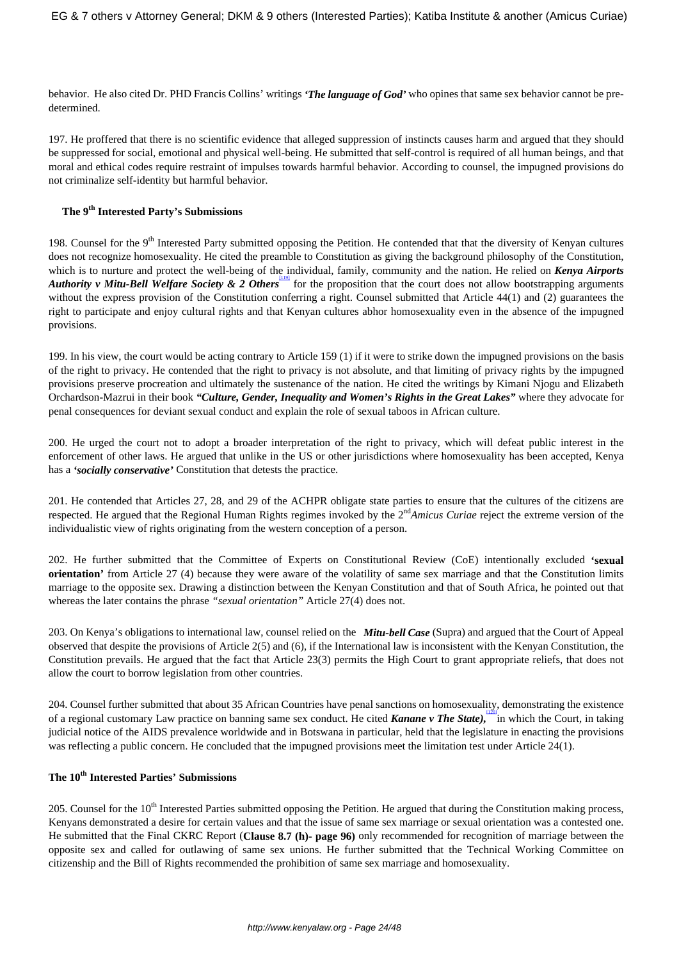behavior. He also cited Dr. PHD Francis Collins' writings *'The language of God'* who opines that same sex behavior cannot be predetermined.

197. He proffered that there is no scientific evidence that alleged suppression of instincts causes harm and argued that they should be suppressed for social, emotional and physical well-being. He submitted that self-control is required of all human beings, and that moral and ethical codes require restraint of impulses towards harmful behavior. According to counsel, the impugned provisions do not criminalize self-identity but harmful behavior.

# **The 9th Interested Party's Submissions**

198. Counsel for the  $9<sup>th</sup>$  Interested Party submitted opposing the Petition. He contended that that the diversity of Kenyan cultures does not recognize homosexuality. He cited the preamble to Constitution as giving the background philosophy of the Constitution, which is to nurture and protect the well-being of the individual, family, community and the nation. He relied on *Kenya Airports Authority v Mitu-Bell Welfare Society & 2 Others* for the proposition that the court does not allow bootstrapping arguments without the express provision of the Constitution conferring a right. Counsel submitted that Article 44(1) and (2) guarantees the right to participate and enjoy cultural rights and that Kenyan cultures abhor homosexuality even in the absence of the impugned provisions.

199. In his view, the court would be acting contrary to Article 159 (1) if it were to strike down the impugned provisions on the basis of the right to privacy. He contended that the right to privacy is not absolute, and that limiting of privacy rights by the impugned provisions preserve procreation and ultimately the sustenance of the nation. He cited the writings by Kimani Njogu and Elizabeth Orchardson-Mazrui in their book *"Culture, Gender, Inequality and Women's Rights in the Great Lakes"* where they advocate for penal consequences for deviant sexual conduct and explain the role of sexual taboos in African culture.

200. He urged the court not to adopt a broader interpretation of the right to privacy, which will defeat public interest in the enforcement of other laws. He argued that unlike in the US or other jurisdictions where homosexuality has been accepted, Kenya has a *'socially conservative'* Constitution that detests the practice.

201. He contended that Articles 27, 28, and 29 of the ACHPR obligate state parties to ensure that the cultures of the citizens are respected. He argued that the Regional Human Rights regimes invoked by the 2nd*Amicus Curiae* reject the extreme version of the individualistic view of rights originating from the western conception of a person.

202. He further submitted that the Committee of Experts on Constitutional Review (CoE) intentionally excluded **'sexual orientation'** from Article 27 (4) because they were aware of the volatility of same sex marriage and that the Constitution limits marriage to the opposite sex. Drawing a distinction between the Kenyan Constitution and that of South Africa, he pointed out that whereas the later contains the phrase *"sexual orientation"* Article 27(4) does not.

203. On Kenya's obligations to international law, counsel relied on the *Mitu-bell Case* (Supra) and argued that the Court of Appeal observed that despite the provisions of Article 2(5) and (6), if the International law is inconsistent with the Kenyan Constitution, the Constitution prevails. He argued that the fact that Article 23(3) permits the High Court to grant appropriate reliefs, that does not allow the court to borrow legislation from other countries.

204. Counsel further submitted that about 35 African Countries have penal sanctions on homosexuality, demonstrating the existence of a regional customary Law practice on banning same sex conduct. He cited *Kanane v The State*), in which the Court, in taking judicial notice of the AIDS prevalence worldwide and in Botswana in particular, held that the legislature in enacting the provisions was reflecting a public concern. He concluded that the impugned provisions meet the limitation test under Article 24(1).

# **The 10th Interested Parties' Submissions**

205. Counsel for the 10<sup>th</sup> Interested Parties submitted opposing the Petition. He argued that during the Constitution making process, Kenyans demonstrated a desire for certain values and that the issue of same sex marriage or sexual orientation was a contested one. He submitted that the Final CKRC Report (**Clause 8.7 (h)- page 96)** only recommended for recognition of marriage between the opposite sex and called for outlawing of same sex unions. He further submitted that the Technical Working Committee on citizenship and the Bill of Rights recommended the prohibition of same sex marriage and homosexuality.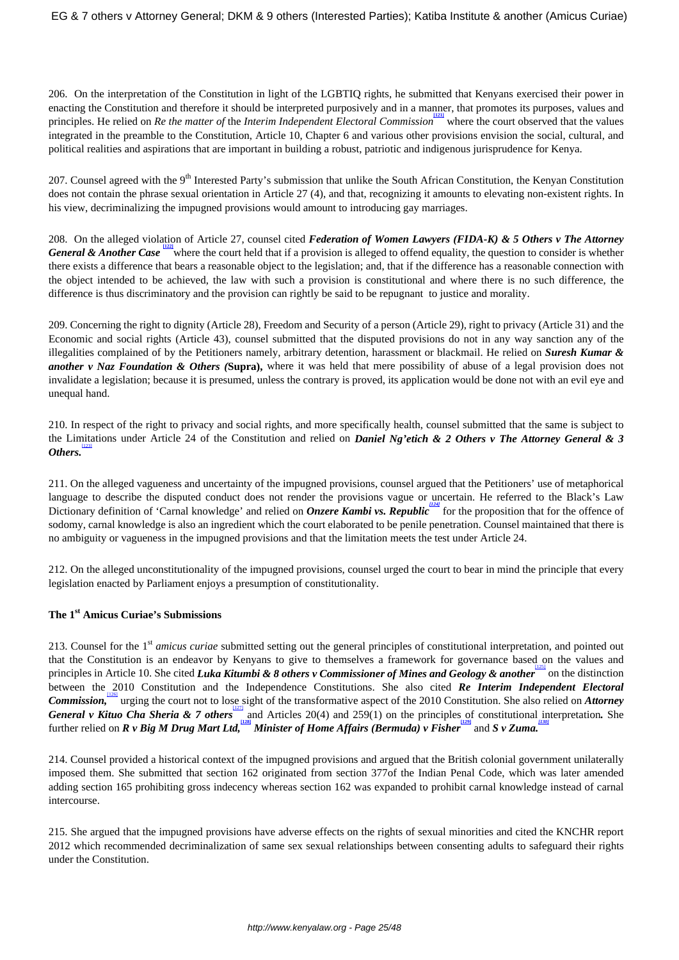206. On the interpretation of the Constitution in light of the LGBTIQ rights, he submitted that Kenyans exercised their power in enacting the Constitution and therefore it should be interpreted purposively and in a manner, that promotes its purposes, values and principles. He relied on *Re the matter of the Interim Independent Electoral Commission* where the court observed that the values integrated in the preamble to the Constitution, Article 10, Chapter 6 and various other provisions envision the social, cultural, and political realities and aspirations that are important in building a robust, patriotic and indigenous jurisprudence for Kenya.

207. Counsel agreed with the  $9<sup>th</sup>$  Interested Party's submission that unlike the South African Constitution, the Kenyan Constitution does not contain the phrase sexual orientation in Article 27 (4), and that, recognizing it amounts to elevating non-existent rights. In his view, decriminalizing the impugned provisions would amount to introducing gay marriages.

208. On the alleged violation of Article 27, counsel cited *Federation of Women Lawyers (FIDA-K) & 5 Others v The Attorney General & Another Case* where the court held that if a provision is alleged to offend equality, the question to consider is whether there exists a difference that bears a reasonable object to the legislation; and, that if the difference has a reasonable connection with the object intended to be achieved, the law with such a provision is constitutional and where there is no such difference, the difference is thus discriminatory and the provision can rightly be said to be repugnant to justice and morality.

209. Concerning the right to dignity (Article 28), Freedom and Security of a person (Article 29), right to privacy (Article 31) and the Economic and social rights (Article 43), counsel submitted that the disputed provisions do not in any way sanction any of the illegalities complained of by the Petitioners namely, arbitrary detention, harassment or blackmail. He relied on *Suresh Kumar & another v Naz Foundation & Others (***Supra),** where it was held that mere possibility of abuse of a legal provision does not invalidate a legislation; because it is presumed, unless the contrary is proved, its application would be done not with an evil eye and unequal hand.

210. In respect of the right to privacy and social rights, and more specifically health, counsel submitted that the same is subject to the Limitations under Article 24 of the Constitution and relied on *Daniel Ng'etich & 2 Others v The Attorney General & 3 Others.* [123]

211. On the alleged vagueness and uncertainty of the impugned provisions, counsel argued that the Petitioners' use of metaphorical language to describe the disputed conduct does not render the provisions vague or uncertain. He referred to the Black's Law Dictionary definition of 'Carnal knowledge' and relied on *Onzere Kambi vs. Republic* for the proposition that for the offence of sodomy, carnal knowledge is also an ingredient which the court elaborated to be penile penetration. Counsel maintained that there is no ambiguity or vagueness in the impugned provisions and that the limitation meets the test under Article 24.

212. On the alleged unconstitutionality of the impugned provisions, counsel urged the court to bear in mind the principle that every legislation enacted by Parliament enjoys a presumption of constitutionality.

# **The 1st Amicus Curiae's Submissions**

213. Counsel for the 1st *amicus curiae* submitted setting out the general principles of constitutional interpretation, and pointed out that the Constitution is an endeavor by Kenyans to give to themselves a framework for governance based on the values and principles in Article 10. She cited *Luka Kitumbi & 8 others v Commissioner of Mines and Geology & another* on the distinction between the 2010 Constitution and the Independence Constitutions. She also cited *Re Interim Independent Electoral* Commission, urging the court not to lose sight of the transformative aspect of the 2010 Constitution. She also relied on *Attorney* General v Kituo Cha Sheria & 7 others<sup>1127</sup> and Articles 20(4) and 259(1) on the principles of constitutional interpretation. She further relied on *R v Big M Drug Mart Ltd*, <sup>[128]</sup> Minister of Home Affairs (Bermuda) v Fisher  $\frac{1290}{2}$  and *S v Zuma*.

214. Counsel provided a historical context of the impugned provisions and argued that the British colonial government unilaterally imposed them. She submitted that section 162 originated from section 377of the Indian Penal Code, which was later amended adding section 165 prohibiting gross indecency whereas section 162 was expanded to prohibit carnal knowledge instead of carnal intercourse.

215. She argued that the impugned provisions have adverse effects on the rights of sexual minorities and cited the KNCHR report 2012 which recommended decriminalization of same sex sexual relationships between consenting adults to safeguard their rights under the Constitution.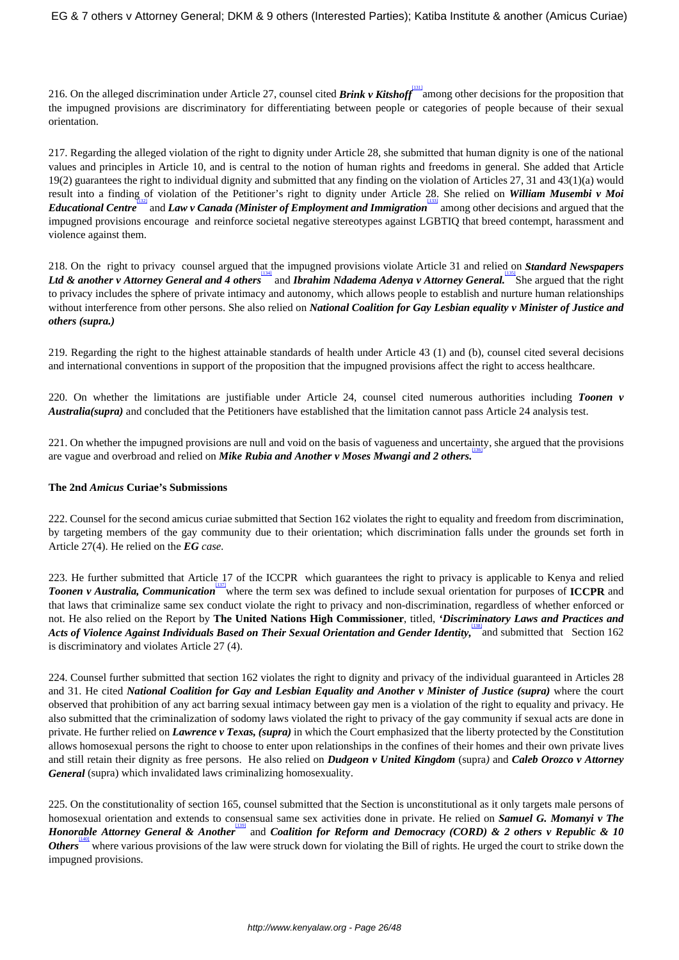216. On the alleged discrimination under Article 27, counsel cited *Brink v Kitshoff* [131] among other decisions for the proposition that the impugned provisions are discriminatory for differentiating between people or categories of people because of their sexual orientation.

217. Regarding the alleged violation of the right to dignity under Article 28, she submitted that human dignity is one of the national values and principles in Article 10, and is central to the notion of human rights and freedoms in general. She added that Article 19(2) guarantees the right to individual dignity and submitted that any finding on the violation of Articles 27, 31 and 43(1)(a) would result into a finding of violation of the Petitioner's right to dignity under Article 28. She relied on *William Musembi v Moi Educational Centre* [132] and *Law v Canada (Minister of Employment and Immigration* [133] among other decisions and argued that the impugned provisions encourage and reinforce societal negative stereotypes against LGBTIQ that breed contempt, harassment and violence against them.

218. On the right to privacy counsel argued that the impugned provisions violate Article 31 and relied on *Standard Newspapers* Ltd & another v Attorney General and 4 others<sup>1341</sup> and *Ibrahim Ndadema Adenya v Attorney General*. She argued that the right to privacy includes the sphere of private intimacy and autonomy, which allows people to establish and nurture human relationships without interference from other persons. She also relied on *National Coalition for Gay Lesbian equality v Minister of Justice and others (supra.)*

219. Regarding the right to the highest attainable standards of health under Article 43 (1) and (b), counsel cited several decisions and international conventions in support of the proposition that the impugned provisions affect the right to access healthcare.

220. On whether the limitations are justifiable under Article 24, counsel cited numerous authorities including *Toonen v Australia(supra)* and concluded that the Petitioners have established that the limitation cannot pass Article 24 analysis test.

221. On whether the impugned provisions are null and void on the basis of vagueness and uncertainty, she argued that the provisions are vague and overbroad and relied on *Mike Rubia and Another v Moses Mwangi and 2 others.*

## **The 2nd** *Amicus* **Curiae's Submissions**

222. Counsel for the second amicus curiae submitted that Section 162 violates the right to equality and freedom from discrimination, by targeting members of the gay community due to their orientation; which discrimination falls under the grounds set forth in Article 27(4). He relied on the *EG case.*

223. He further submitted that Article 17 of the ICCPR which guarantees the right to privacy is applicable to Kenya and relied *Toonen v Australia, Communication* [137] where the term sex was defined to include sexual orientation for purposes of **ICCPR** and that laws that criminalize same sex conduct violate the right to privacy and non-discrimination, regardless of whether enforced or not. He also relied on the Report by **The United Nations High Commissioner**, titled, *'Discriminatory Laws and Practices and* Acts of Violence Against Individuals Based on Their Sexual Orientation and Gender Identity, and submitted that Section 162 is discriminatory and violates Article 27 (4).

224. Counsel further submitted that section 162 violates the right to dignity and privacy of the individual guaranteed in Articles 28 and 31. He cited *National Coalition for Gay and Lesbian Equality and Another v Minister of Justice (supra)* where the court observed that prohibition of any act barring sexual intimacy between gay men is a violation of the right to equality and privacy. He also submitted that the criminalization of sodomy laws violated the right to privacy of the gay community if sexual acts are done in private. He further relied on *Lawrence v Texas, (supra)* in which the Court emphasized that the liberty protected by the Constitution allows homosexual persons the right to choose to enter upon relationships in the confines of their homes and their own private lives and still retain their dignity as free persons. He also relied on *Dudgeon v United Kingdom* (supra*)* and *Caleb Orozco v Attorney General* (supra) which invalidated laws criminalizing homosexuality.

225. On the constitutionality of section 165, counsel submitted that the Section is unconstitutional as it only targets male persons of homosexual orientation and extends to consensual same sex activities done in private. He relied on *Samuel G. Momanyi v The Honorable Attorney General & Another* and *Coalition for Reform and Democracy (CORD) & 2 others v Republic & 10 Others* where various provisions of the law were struck down for violating the Bill of rights. He urged the court to strike down the impugned provisions.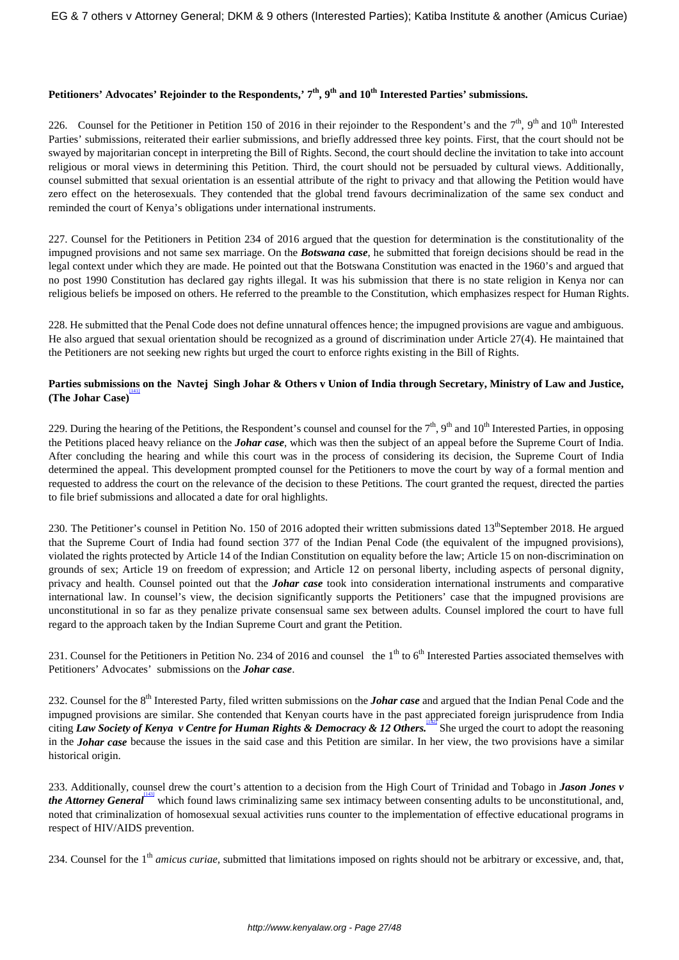# **Petitioners' Advocates' Rejoinder to the Respondents,' 7th, 9th and 10th Interested Parties' submissions.**

226. Counsel for the Petitioner in Petition 150 of 2016 in their rejoinder to the Respondent's and the  $7<sup>th</sup>$ ,  $9<sup>th</sup>$  and  $10<sup>th</sup>$  Interested Parties' submissions, reiterated their earlier submissions, and briefly addressed three key points. First, that the court should not be swayed by majoritarian concept in interpreting the Bill of Rights. Second, the court should decline the invitation to take into account religious or moral views in determining this Petition. Third, the court should not be persuaded by cultural views. Additionally, counsel submitted that sexual orientation is an essential attribute of the right to privacy and that allowing the Petition would have zero effect on the heterosexuals. They contended that the global trend favours decriminalization of the same sex conduct and reminded the court of Kenya's obligations under international instruments.

227. Counsel for the Petitioners in Petition 234 of 2016 argued that the question for determination is the constitutionality of the impugned provisions and not same sex marriage. On the *Botswana case*, he submitted that foreign decisions should be read in the legal context under which they are made. He pointed out that the Botswana Constitution was enacted in the 1960's and argued that no post 1990 Constitution has declared gay rights illegal. It was his submission that there is no state religion in Kenya nor can religious beliefs be imposed on others. He referred to the preamble to the Constitution, which emphasizes respect for Human Rights.

228. He submitted that the Penal Code does not define unnatural offences hence; the impugned provisions are vague and ambiguous. He also argued that sexual orientation should be recognized as a ground of discrimination under Article 27(4). He maintained that the Petitioners are not seeking new rights but urged the court to enforce rights existing in the Bill of Rights.

# **Parties submissions on the Navtej Singh Johar & Others v Union of India through Secretary, Ministry of Law and Justice, (The Johar Case)** [141]

229. During the hearing of the Petitions, the Respondent's counsel and counsel for the  $7<sup>th</sup>$ ,  $9<sup>th</sup>$  and  $10<sup>th</sup>$  Interested Parties, in opposing the Petitions placed heavy reliance on the *Johar case*, which was then the subject of an appeal before the Supreme Court of India. After concluding the hearing and while this court was in the process of considering its decision, the Supreme Court of India determined the appeal. This development prompted counsel for the Petitioners to move the court by way of a formal mention and requested to address the court on the relevance of the decision to these Petitions. The court granted the request, directed the parties to file brief submissions and allocated a date for oral highlights.

230. The Petitioner's counsel in Petition No. 150 of 2016 adopted their written submissions dated 13<sup>th</sup>September 2018. He argued that the Supreme Court of India had found section 377 of the Indian Penal Code (the equivalent of the impugned provisions), violated the rights protected by Article 14 of the Indian Constitution on equality before the law; Article 15 on non-discrimination on grounds of sex; Article 19 on freedom of expression; and Article 12 on personal liberty, including aspects of personal dignity, privacy and health. Counsel pointed out that the *Johar case* took into consideration international instruments and comparative international law. In counsel's view, the decision significantly supports the Petitioners' case that the impugned provisions are unconstitutional in so far as they penalize private consensual same sex between adults. Counsel implored the court to have full regard to the approach taken by the Indian Supreme Court and grant the Petition.

231. Counsel for the Petitioners in Petition No. 234 of 2016 and counsel the  $1<sup>th</sup>$  to  $6<sup>th</sup>$  Interested Parties associated themselves with Petitioners' Advocates' submissions on the *Johar case*.

232. Counsel for the 8<sup>th</sup> Interested Party, filed written submissions on the *Johar case* and argued that the Indian Penal Code and the impugned provisions are similar. She contended that Kenyan courts have in the past appreciated foreign jurisprudence from India citing *Law Society of Kenya v Centre for Human Rights & Democracy & 12 Others.* She urged the court to adopt the reasoning in the *Johar case* because the issues in the said case and this Petition are similar. In her view, the two provisions have a similar historical origin.

233. Additionally, counsel drew the court's attention to a decision from the High Court of Trinidad and Tobago in *Jason Jones v the Attorney General* which found laws criminalizing same sex intimacy between consenting adults to be unconstitutional, and, noted that criminalization of homosexual sexual activities runs counter to the implementation of effective educational programs in respect of HIV/AIDS prevention.

234. Counsel for the 1<sup>th</sup> *amicus curiae*, submitted that limitations imposed on rights should not be arbitrary or excessive, and, that,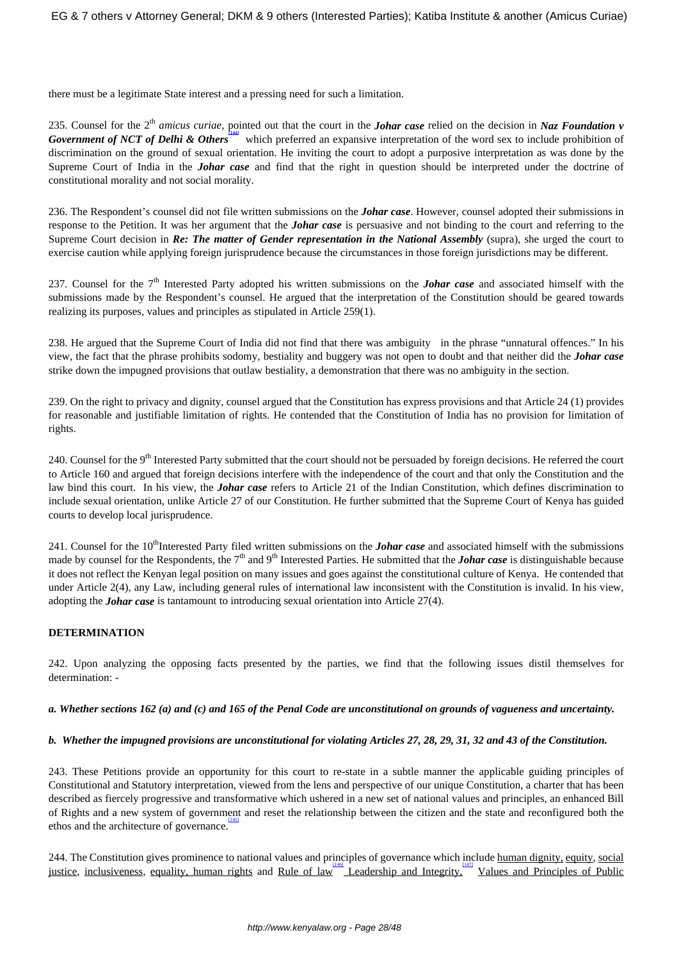there must be a legitimate State interest and a pressing need for such a limitation.

235. Counsel for the 2th *amicus curiae,* pointed out that the court in the *Johar case* relied on the decision in *Naz Foundation v Government of NCT of Delhi & Others* which preferred an expansive interpretation of the word sex to include prohibition of discrimination on the ground of sexual orientation. He inviting the court to adopt a purposive interpretation as was done by the Supreme Court of India in the *Johar case* and find that the right in question should be interpreted under the doctrine of constitutional morality and not social morality.

236. The Respondent's counsel did not file written submissions on the *Johar case*. However, counsel adopted their submissions in response to the Petition. It was her argument that the *Johar case* is persuasive and not binding to the court and referring to the Supreme Court decision in *Re: The matter of Gender representation in the National Assembly* (supra), she urged the court to exercise caution while applying foreign jurisprudence because the circumstances in those foreign jurisdictions may be different.

237. Counsel for the 7th Interested Party adopted his written submissions on the *Johar case* and associated himself with the submissions made by the Respondent's counsel. He argued that the interpretation of the Constitution should be geared towards realizing its purposes, values and principles as stipulated in Article 259(1).

238. He argued that the Supreme Court of India did not find that there was ambiguity in the phrase "unnatural offences." In his view, the fact that the phrase prohibits sodomy, bestiality and buggery was not open to doubt and that neither did the *Johar case* strike down the impugned provisions that outlaw bestiality, a demonstration that there was no ambiguity in the section.

239. On the right to privacy and dignity, counsel argued that the Constitution has express provisions and that Article 24 (1) provides for reasonable and justifiable limitation of rights. He contended that the Constitution of India has no provision for limitation of rights.

240. Counsel for the 9<sup>th</sup> Interested Party submitted that the court should not be persuaded by foreign decisions. He referred the court to Article 160 and argued that foreign decisions interfere with the independence of the court and that only the Constitution and the law bind this court. In his view, the *Johar case* refers to Article 21 of the Indian Constitution, which defines discrimination to include sexual orientation, unlike Article 27 of our Constitution. He further submitted that the Supreme Court of Kenya has guided courts to develop local jurisprudence.

241. Counsel for the 10<sup>th</sup>Interested Party filed written submissions on the *Johar case* and associated himself with the submissions made by counsel for the Respondents, the  $7<sup>th</sup>$  and  $9<sup>th</sup>$  Interested Parties. He submitted that the *Johar case* is distinguishable because it does not reflect the Kenyan legal position on many issues and goes against the constitutional culture of Kenya. He contended that under Article 2(4), any Law, including general rules of international law inconsistent with the Constitution is invalid. In his view, adopting the *Johar case* is tantamount to introducing sexual orientation into Article 27(4).

## **DETERMINATION**

242. Upon analyzing the opposing facts presented by the parties, we find that the following issues distil themselves for determination: -

## *a. Whether sections 162 (a) and (c) and 165 of the Penal Code are unconstitutional on grounds of vagueness and uncertainty.*

## *b. Whether the impugned provisions are unconstitutional for violating Articles 27, 28, 29, 31, 32 and 43 of the Constitution.*

243. These Petitions provide an opportunity for this court to re-state in a subtle manner the applicable guiding principles of Constitutional and Statutory interpretation, viewed from the lens and perspective of our unique Constitution, a charter that has been described as fiercely progressive and transformative which ushered in a new set of national values and principles, an enhanced Bill of Rights and a new system of government and reset the relationship between the citizen and the state and reconfigured both the ethos and the architecture of governance. [145]

244. The Constitution gives prominence to national values and principles of governance which include human dignity, equity, social justice, inclusiveness, equality, human rights and Rule of law Leadership and Integrity, Values and Principles of Public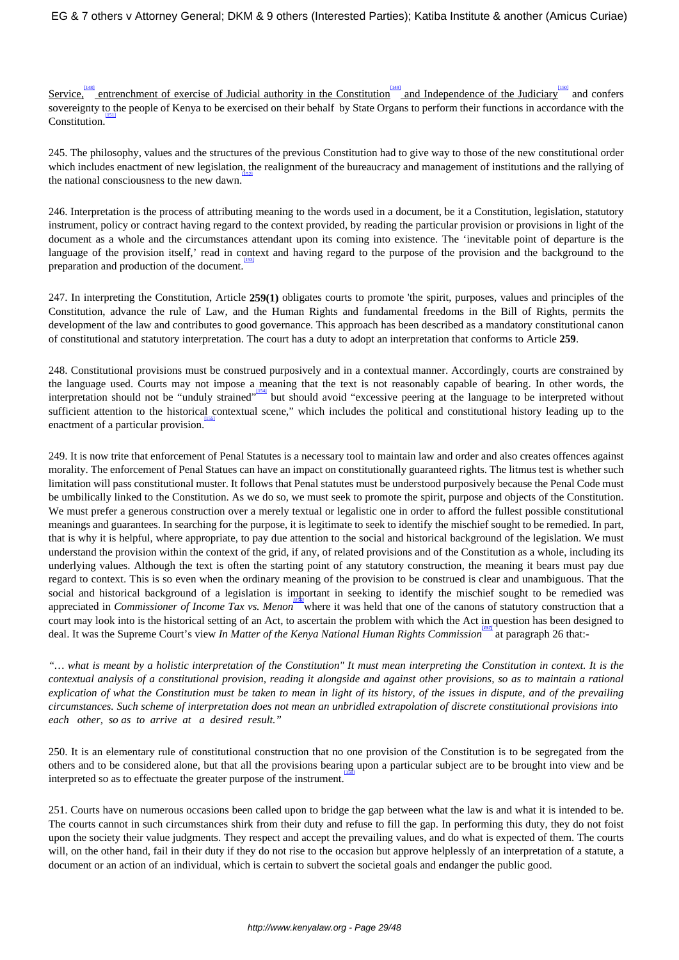Service, entrenchment of exercise of Judicial authority in the Constitution and Independence of the Judiciary and confers sovereignty to the people of Kenya to be exercised on their behalf by State Organs to perform their functions in accordance with the  $\overline{\text{Construction}}$ .

245. The philosophy, values and the structures of the previous Constitution had to give way to those of the new constitutional order which includes enactment of new legislation, the realignment of the bureaucracy and management of institutions and the rallying of the national consciousness to the new dawn.

246. Interpretation is the process of attributing meaning to the words used in a document, be it a Constitution, legislation, statutory instrument, policy or contract having regard to the context provided, by reading the particular provision or provisions in light of the document as a whole and the circumstances attendant upon its coming into existence. The 'inevitable point of departure is the language of the provision itself,' read in context and having regard to the purpose of the provision and the background to the preparation and production of the document. [153]

247. In interpreting the Constitution, Article **259(1)** obligates courts to promote 'the spirit, purposes, values and principles of the Constitution, advance the rule of Law, and the Human Rights and fundamental freedoms in the Bill of Rights, permits the development of the law and contributes to good governance. This approach has been described as a mandatory constitutional canon of constitutional and statutory interpretation. The court has a duty to adopt an interpretation that conforms to Article **259**.

248. Constitutional provisions must be construed purposively and in a contextual manner. Accordingly, courts are constrained by the language used. Courts may not impose a meaning that the text is not reasonably capable of bearing. In other words, the interpretation should not be "unduly strained" but should avoid "excessive peering at the language to be interpreted without sufficient attention to the historical contextual scene," which includes the political and constitutional history leading up to the enactment of a particular provision. [155]

249. It is now trite that enforcement of Penal Statutes is a necessary tool to maintain law and order and also creates offences against morality. The enforcement of Penal Statues can have an impact on constitutionally guaranteed rights. The litmus test is whether such limitation will pass constitutional muster. It follows that Penal statutes must be understood purposively because the Penal Code must be umbilically linked to the Constitution. As we do so, we must seek to promote the spirit, purpose and objects of the Constitution. We must prefer a generous construction over a merely textual or legalistic one in order to afford the fullest possible constitutional meanings and guarantees. In searching for the purpose, it is legitimate to seek to identify the mischief sought to be remedied. In part, that is why it is helpful, where appropriate, to pay due attention to the social and historical background of the legislation. We must understand the provision within the context of the grid, if any, of related provisions and of the Constitution as a whole, including its underlying values. Although the text is often the starting point of any statutory construction, the meaning it bears must pay due regard to context. This is so even when the ordinary meaning of the provision to be construed is clear and unambiguous. That the social and historical background of a legislation is important in seeking to identify the mischief sought to be remedied was appreciated in *Commissioner of Income Tax vs. Menon* where it was held that one of the canons of statutory construction that a court may look into is the historical setting of an Act, to ascertain the problem with which the Act in question has been designed to deal. It was the Supreme Court's view *In Matter of the Kenya National Human Rights Commission [157]* at paragraph 26 that:-

*"… what is meant by a holistic interpretation of the Constitution" It must mean interpreting the Constitution in context. It is the contextual analysis of a constitutional provision, reading it alongside and against other provisions, so as to maintain a rational explication of what the Constitution must be taken to mean in light of its history, of the issues in dispute, and of the prevailing circumstances. Such scheme of interpretation does not mean an unbridled extrapolation of discrete constitutional provisions into each other, so as to arrive at a desired result."*

250. It is an elementary rule of constitutional construction that no one provision of the Constitution is to be segregated from the others and to be considered alone, but that all the provisions bearing upon a particular subject are to be brought into view and be interpreted so as to effectuate the greater purpose of the instrument.

251. Courts have on numerous occasions been called upon to bridge the gap between what the law is and what it is intended to be. The courts cannot in such circumstances shirk from their duty and refuse to fill the gap. In performing this duty, they do not foist upon the society their value judgments. They respect and accept the prevailing values, and do what is expected of them. The courts will, on the other hand, fail in their duty if they do not rise to the occasion but approve helplessly of an interpretation of a statute, a document or an action of an individual, which is certain to subvert the societal goals and endanger the public good.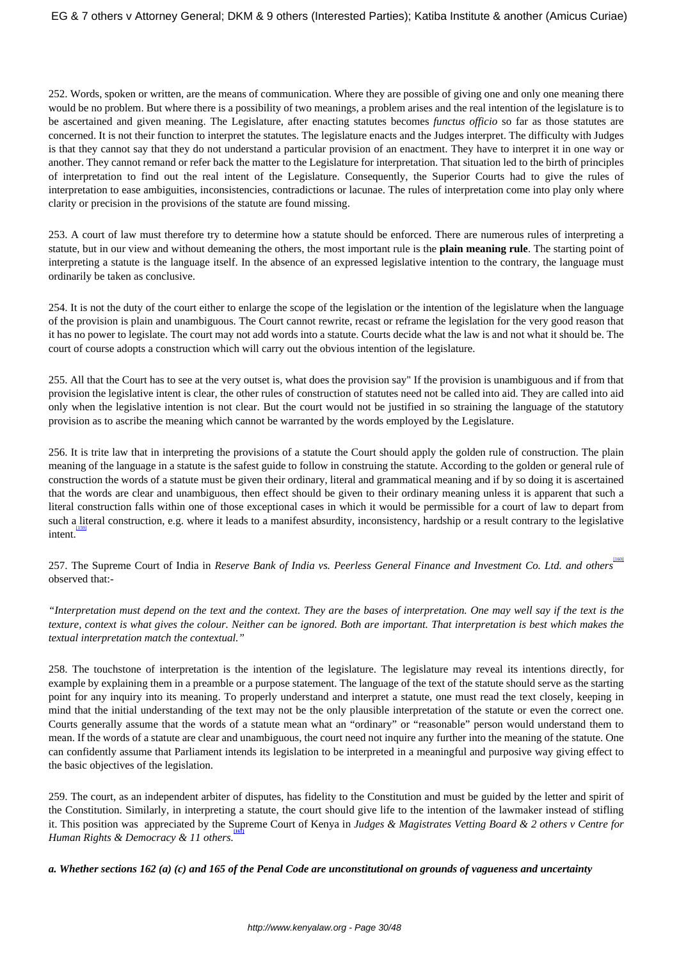252. Words, spoken or written, are the means of communication. Where they are possible of giving one and only one meaning there would be no problem. But where there is a possibility of two meanings, a problem arises and the real intention of the legislature is to be ascertained and given meaning. The Legislature, after enacting statutes becomes *functus officio* so far as those statutes are concerned. It is not their function to interpret the statutes. The legislature enacts and the Judges interpret. The difficulty with Judges is that they cannot say that they do not understand a particular provision of an enactment. They have to interpret it in one way or another. They cannot remand or refer back the matter to the Legislature for interpretation. That situation led to the birth of principles of interpretation to find out the real intent of the Legislature. Consequently, the Superior Courts had to give the rules of interpretation to ease ambiguities, inconsistencies, contradictions or lacunae. The rules of interpretation come into play only where clarity or precision in the provisions of the statute are found missing.

253. A court of law must therefore try to determine how a statute should be enforced. There are numerous rules of interpreting a statute, but in our view and without demeaning the others, the most important rule is the **plain meaning rule**. The starting point of interpreting a statute is the language itself. In the absence of an expressed legislative intention to the contrary, the language must ordinarily be taken as conclusive.

254. It is not the duty of the court either to enlarge the scope of the legislation or the intention of the legislature when the language of the provision is plain and unambiguous. The Court cannot rewrite, recast or reframe the legislation for the very good reason that it has no power to legislate. The court may not add words into a statute. Courts decide what the law is and not what it should be. The court of course adopts a construction which will carry out the obvious intention of the legislature.

255. All that the Court has to see at the very outset is, what does the provision say" If the provision is unambiguous and if from that provision the legislative intent is clear, the other rules of construction of statutes need not be called into aid. They are called into aid only when the legislative intention is not clear. But the court would not be justified in so straining the language of the statutory provision as to ascribe the meaning which cannot be warranted by the words employed by the Legislature.

256. It is trite law that in interpreting the provisions of a statute the Court should apply the golden rule of construction. The plain meaning of the language in a statute is the safest guide to follow in construing the statute. According to the golden or general rule of construction the words of a statute must be given their ordinary, literal and grammatical meaning and if by so doing it is ascertained that the words are clear and unambiguous, then effect should be given to their ordinary meaning unless it is apparent that such a literal construction falls within one of those exceptional cases in which it would be permissible for a court of law to depart from such a literal construction, e.g. where it leads to a manifest absurdity, inconsistency, hardship or a result contrary to the legislative intent. [159]

257. The Supreme Court of India in *Reserve Bank of India vs. Peerless General Finance and Investment Co. Ltd. and others* [160] observed that:-

*"Interpretation must depend on the text and the context. They are the bases of interpretation. One may well say if the text is the texture, context is what gives the colour. Neither can be ignored. Both are important. That interpretation is best which makes the textual interpretation match the contextual."*

258. The touchstone of interpretation is the intention of the legislature. The legislature may reveal its intentions directly, for example by explaining them in a preamble or a purpose statement. The language of the text of the statute should serve as the starting point for any inquiry into its meaning. To properly understand and interpret a statute, one must read the text closely, keeping in mind that the initial understanding of the text may not be the only plausible interpretation of the statute or even the correct one. Courts generally assume that the words of a statute mean what an "ordinary" or "reasonable" person would understand them to mean. If the words of a statute are clear and unambiguous, the court need not inquire any further into the meaning of the statute. One can confidently assume that Parliament intends its legislation to be interpreted in a meaningful and purposive way giving effect to the basic objectives of the legislation.

259. The court, as an independent arbiter of disputes, has fidelity to the Constitution and must be guided by the letter and spirit of the Constitution. Similarly, in interpreting a statute, the court should give life to the intention of the lawmaker instead of stifling it. This position was appreciated by the Supreme Court of Kenya in *Judges & Magistrates Vetting Board & 2 others v Centre for* **[161]** *Human Rights & Democracy & 11 others.*

*a. Whether sections 162 (a) (c) and 165 of the Penal Code are unconstitutional on grounds of vagueness and uncertainty*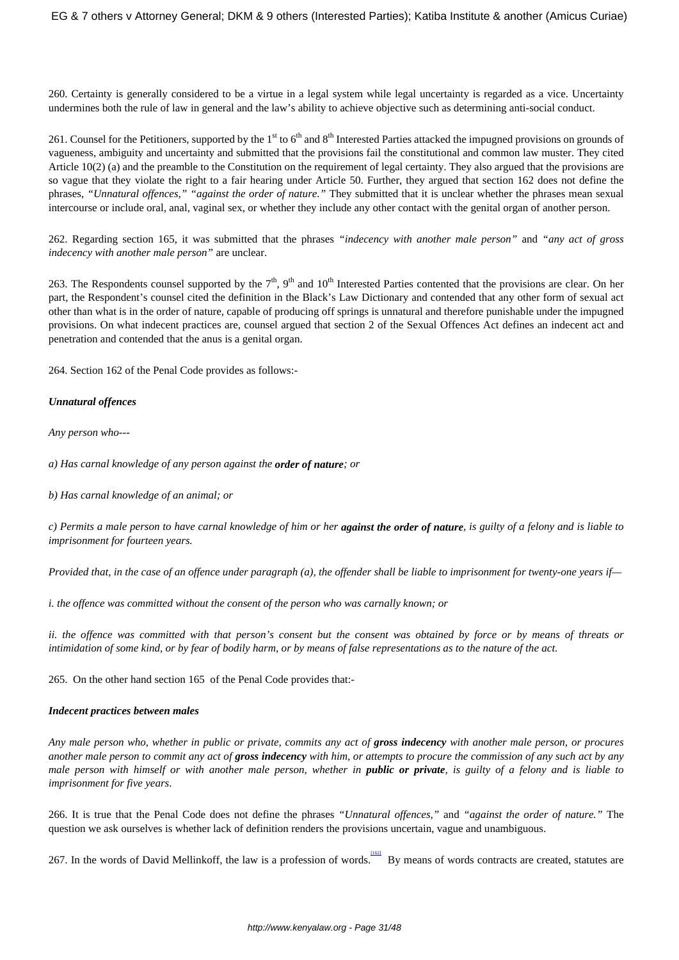260. Certainty is generally considered to be a virtue in a legal system while legal uncertainty is regarded as a vice. Uncertainty undermines both the rule of law in general and the law's ability to achieve objective such as determining anti-social conduct.

261. Counsel for the Petitioners, supported by the 1<sup>st</sup> to 6<sup>th</sup> and 8<sup>th</sup> Interested Parties attacked the impugned provisions on grounds of vagueness, ambiguity and uncertainty and submitted that the provisions fail the constitutional and common law muster. They cited Article 10(2) (a) and the preamble to the Constitution on the requirement of legal certainty. They also argued that the provisions are so vague that they violate the right to a fair hearing under Article 50. Further, they argued that section 162 does not define the phrases, *"Unnatural offences," "against the order of nature."* They submitted that it is unclear whether the phrases mean sexual intercourse or include oral, anal, vaginal sex, or whether they include any other contact with the genital organ of another person.

262. Regarding section 165, it was submitted that the phrases *"indecency with another male person"* and *"any act of gross indecency with another male person"* are unclear.

263. The Respondents counsel supported by the  $7<sup>th</sup>$ , 9<sup>th</sup> and 10<sup>th</sup> Interested Parties contented that the provisions are clear. On her part, the Respondent's counsel cited the definition in the Black's Law Dictionary and contended that any other form of sexual act other than what is in the order of nature, capable of producing off springs is unnatural and therefore punishable under the impugned provisions. On what indecent practices are, counsel argued that section 2 of the Sexual Offences Act defines an indecent act and penetration and contended that the anus is a genital organ.

264. Section 162 of the Penal Code provides as follows:-

# *Unnatural offences*

*Any person who---*

*a) Has carnal knowledge of any person against the order of nature; or*

*b) Has carnal knowledge of an animal; or*

*c) Permits a male person to have carnal knowledge of him or her against the order of nature, is guilty of a felony and is liable to imprisonment for fourteen years.*

*Provided that, in the case of an offence under paragraph (a), the offender shall be liable to imprisonment for twenty-one years if—*

*i. the offence was committed without the consent of the person who was carnally known; or*

*ii. the offence was committed with that person's consent but the consent was obtained by force or by means of threats or intimidation of some kind, or by fear of bodily harm, or by means of false representations as to the nature of the act.*

265. On the other hand section 165 of the Penal Code provides that:-

## *Indecent practices between males*

Any male person who, whether in public or private, commits any act of **gross indecency** with another male person, or procures *another male person to commit any act of gross indecency with him, or attempts to procure the commission of any such act by any male person with himself or with another male person, whether in public or private, is guilty of a felony and is liable to imprisonment for five years*.

266. It is true that the Penal Code does not define the phrases *"Unnatural offences,"* and *"against the order of nature."* The question we ask ourselves is whether lack of definition renders the provisions uncertain, vague and unambiguous.

267. In the words of David Mellinkoff, the law is a profession of words. By means of words contracts are created, statutes are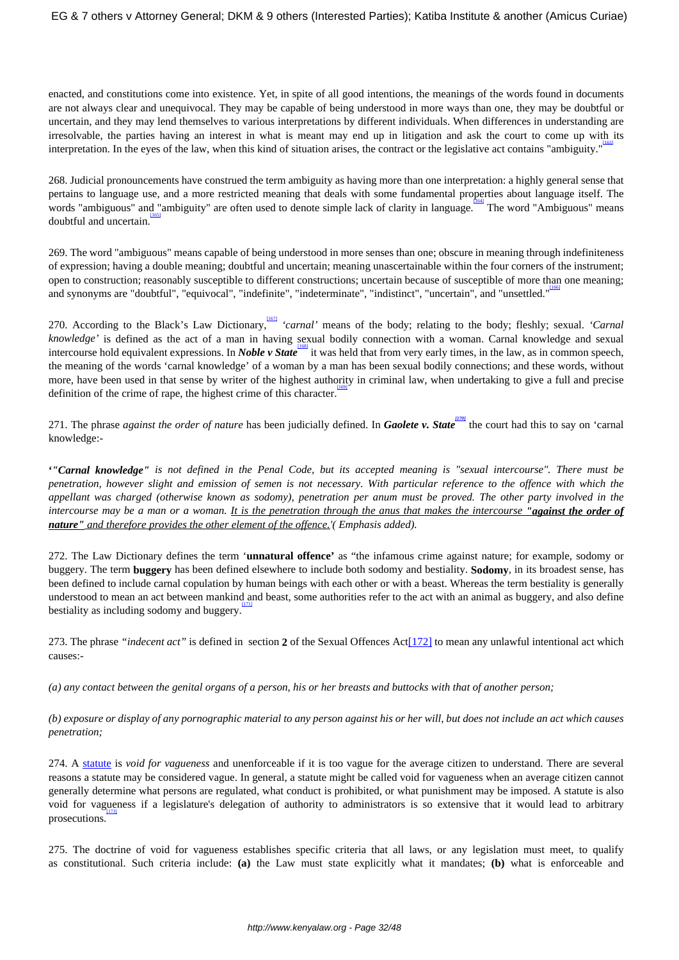enacted, and constitutions come into existence. Yet, in spite of all good intentions, the meanings of the words found in documents are not always clear and unequivocal. They may be capable of being understood in more ways than one, they may be doubtful or uncertain, and they may lend themselves to various interpretations by different individuals. When differences in understanding are irresolvable, the parties having an interest in what is meant may end up in litigation and ask the court to come up with its interpretation. In the eyes of the law, when this kind of situation arises, the contract or the legislative act contains "ambiguity." [163]

268. Judicial pronouncements have construed the term ambiguity as having more than one interpretation: a highly general sense that pertains to language use, and a more restricted meaning that deals with some fundamental properties about language itself. The words "ambiguous" and "ambiguity" are often used to denote simple lack of clarity in language. The word "Ambiguous" means doubtful and uncertain. [165]

269. The word "ambiguous" means capable of being understood in more senses than one; obscure in meaning through indefiniteness of expression; having a double meaning; doubtful and uncertain; meaning unascertainable within the four corners of the instrument; open to construction; reasonably susceptible to different constructions; uncertain because of susceptible of more than one meaning; and synonyms are "doubtful", "equivocal", "indefinite", "indeterminate", "indistinct", "uncertain", and "unsettled." [166]

270. According to the Black's Law Dictionary, <sup>1671</sup> 'carnal' means of the body; relating to the body; fleshly; sexual. 'Carnal' *knowledge'* is defined as the act of a man in having sexual bodily connection with a woman. Carnal knowledge and sexual intercourse hold equivalent expressions. In *Noble v State* [168] it was held that from very early times, in the law, as in common speech, the meaning of the words 'carnal knowledge' of a woman by a man has been sexual bodily connections; and these words, without more, have been used in that sense by writer of the highest authority in criminal law, when undertaking to give a full and precise definition of the crime of rape, the highest crime of this character.

271. The phrase *against the order of nature* has been judicially defined. In *Gaolete v. State [170]* the court had this to say on 'carnal knowledge:-

**'***"Carnal knowledge" is not defined in the Penal Code, but its accepted meaning is "sexual intercourse". There must be penetration, however slight and emission of semen is not necessary. With particular reference to the offence with which the appellant was charged (otherwise known as sodomy), penetration per anum must be proved. The other party involved in the intercourse may be a man or a woman. It is the penetration through the anus that makes the intercourse "against the order of nature" and therefore provides the other element of the offence.'( Emphasis added).*

272. The Law Dictionary defines the term '**unnatural offence'** as "the infamous crime against nature; for example, sodomy or buggery. The term **buggery** has been defined elsewhere to include both sodomy and bestiality. **Sodomy**, in its broadest sense, has been defined to include carnal copulation by human beings with each other or with a beast. Whereas the term bestiality is generally understood to mean an act between mankind and beast, some authorities refer to the act with an animal as buggery, and also define bestiality as including sodomy and buggery.

273. The phrase *"indecent act"* is defined in section **2** of the Sexual Offences Act[172] to mean any unlawful intentional act which causes:-

*(a) any contact between the genital organs of a person, his or her breasts and buttocks with that of another person;* 

*(b) exposure or display of any pornographic material to any person against his or her will, but does not include an act which causes penetration;*

274. A [statute](https://en.wikipedia.org/wiki/Statute) is *void for vagueness* and unenforceable if it is too vague for the average citizen to understand. There are several reasons a statute may be considered vague. In general, a statute might be called void for vagueness when an average citizen cannot generally determine what persons are regulated, what conduct is prohibited, or what punishment may be imposed. A statute is also void for vagueness if a legislature's delegation of authority to administrators is so extensive that it would lead to arbitrary prosecutions.

275. The doctrine of void for vagueness establishes specific criteria that all laws, or any legislation must meet, to qualify as constitutional. Such criteria include: **(a)** the Law must state explicitly what it mandates; **(b)** what is enforceable and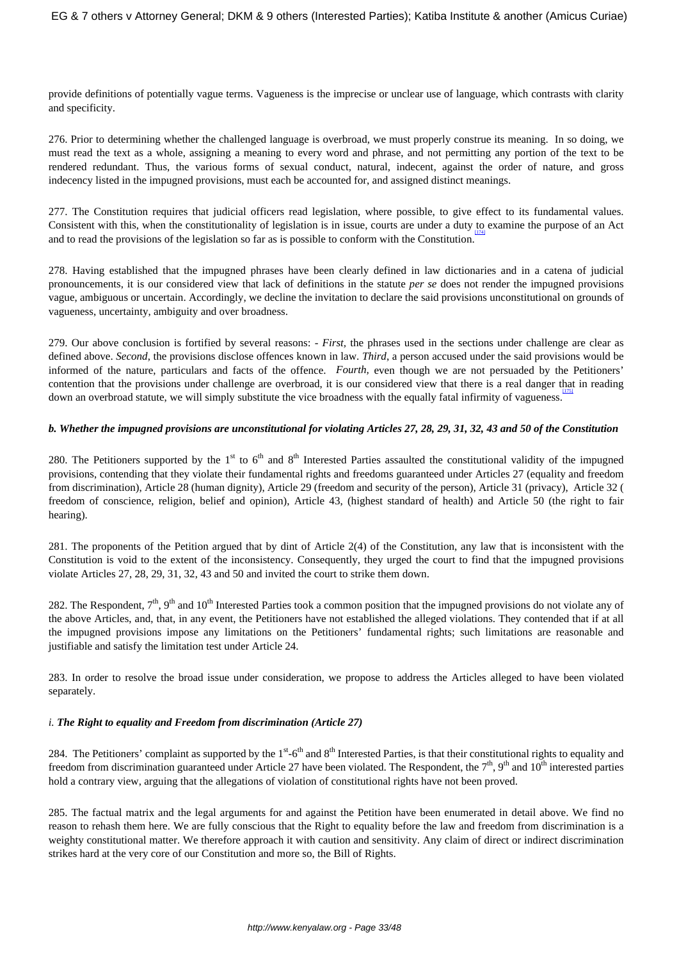provide definitions of potentially vague terms. Vagueness is the imprecise or unclear use of language, which contrasts with clarity and specificity.

276. Prior to determining whether the challenged language is overbroad, we must properly construe its meaning. In so doing, we must read the text as a whole, assigning a meaning to every word and phrase, and not permitting any portion of the text to be rendered redundant. Thus, the various forms of sexual conduct, natural, indecent, against the order of nature, and gross indecency listed in the impugned provisions, must each be accounted for, and assigned distinct meanings.

277. The Constitution requires that judicial officers read legislation, where possible, to give effect to its fundamental values. Consistent with this, when the constitutionality of legislation is in issue, courts are under a duty to examine the purpose of an Act and to read the provisions of the legislation so far as is possible to conform with the Constitution.

278. Having established that the impugned phrases have been clearly defined in law dictionaries and in a catena of judicial pronouncements, it is our considered view that lack of definitions in the statute *per se* does not render the impugned provisions vague, ambiguous or uncertain. Accordingly, we decline the invitation to declare the said provisions unconstitutional on grounds of vagueness, uncertainty, ambiguity and over broadness.

279. Our above conclusion is fortified by several reasons: - *First,* the phrases used in the sections under challenge are clear as defined above. *Second*, the provisions disclose offences known in law. *Third*, a person accused under the said provisions would be informed of the nature, particulars and facts of the offence. *Fourth,* even though we are not persuaded by the Petitioners' contention that the provisions under challenge are overbroad, it is our considered view that there is a real danger that in reading down an overbroad statute, we will simply substitute the vice broadness with the equally fatal infirmity of vagueness.

#### *b. Whether the impugned provisions are unconstitutional for violating Articles 27, 28, 29, 31, 32, 43 and 50 of the Constitution*

280. The Petitioners supported by the  $1<sup>st</sup>$  to  $6<sup>th</sup>$  and  $8<sup>th</sup>$  Interested Parties assaulted the constitutional validity of the impugned provisions, contending that they violate their fundamental rights and freedoms guaranteed under Articles 27 (equality and freedom from discrimination), Article 28 (human dignity), Article 29 (freedom and security of the person), Article 31 (privacy), Article 32 ( freedom of conscience, religion, belief and opinion), Article 43, (highest standard of health) and Article 50 (the right to fair hearing).

281. The proponents of the Petition argued that by dint of Article 2(4) of the Constitution, any law that is inconsistent with the Constitution is void to the extent of the inconsistency. Consequently, they urged the court to find that the impugned provisions violate Articles 27, 28, 29, 31, 32, 43 and 50 and invited the court to strike them down.

282. The Respondent,  $7<sup>th</sup>$ ,  $9<sup>th</sup>$  and  $10<sup>th</sup>$  Interested Parties took a common position that the impugned provisions do not violate any of the above Articles, and, that, in any event, the Petitioners have not established the alleged violations. They contended that if at all the impugned provisions impose any limitations on the Petitioners' fundamental rights; such limitations are reasonable and justifiable and satisfy the limitation test under Article 24.

283. In order to resolve the broad issue under consideration, we propose to address the Articles alleged to have been violated separately.

## *i. The Right to equality and Freedom from discrimination (Article 27)*

284. The Petitioners' complaint as supported by the  $1<sup>st</sup>$ -6<sup>th</sup> and  $8<sup>th</sup>$  Interested Parties, is that their constitutional rights to equality and freedom from discrimination guaranteed under Article 27 have been violated. The Respondent, the  $7<sup>th</sup>$ ,  $9<sup>th</sup>$  and  $10<sup>th</sup>$  interested parties hold a contrary view, arguing that the allegations of violation of constitutional rights have not been proved.

285. The factual matrix and the legal arguments for and against the Petition have been enumerated in detail above. We find no reason to rehash them here. We are fully conscious that the Right to equality before the law and freedom from discrimination is a weighty constitutional matter. We therefore approach it with caution and sensitivity. Any claim of direct or indirect discrimination strikes hard at the very core of our Constitution and more so, the Bill of Rights.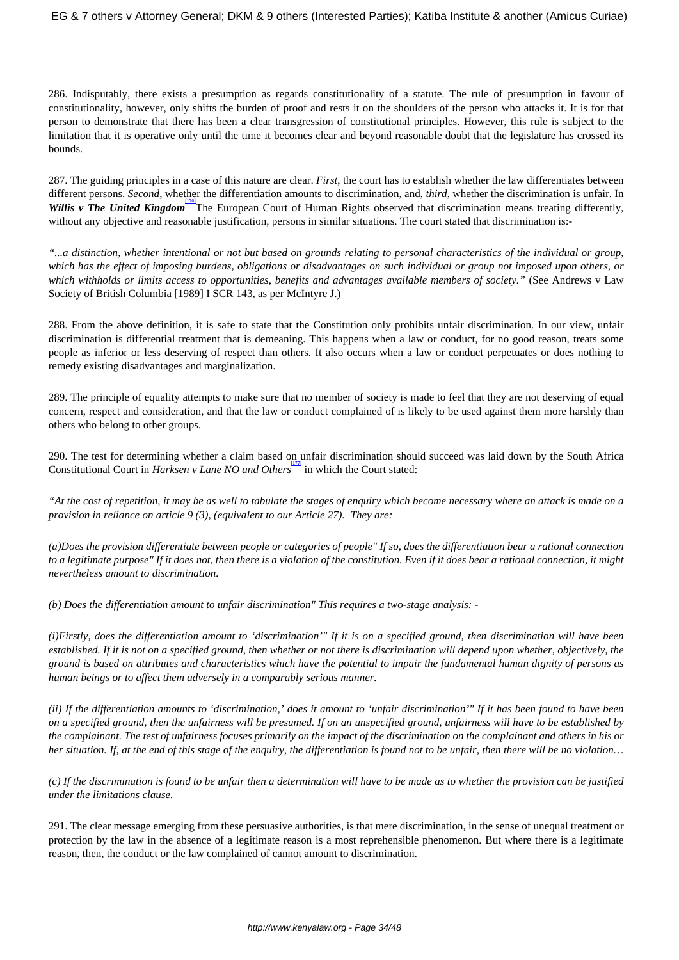286. Indisputably, there exists a presumption as regards constitutionality of a statute. The rule of presumption in favour of constitutionality, however, only shifts the burden of proof and rests it on the shoulders of the person who attacks it. It is for that person to demonstrate that there has been a clear transgression of constitutional principles. However, this rule is subject to the limitation that it is operative only until the time it becomes clear and beyond reasonable doubt that the legislature has crossed its bounds.

287. The guiding principles in a case of this nature are clear. *First*, the court has to establish whether the law differentiates between different persons. *Second*, whether the differentiation amounts to discrimination, and, *third*, whether the discrimination is unfair. In Willis v The United Kingdom<sup>1176</sup> The European Court of Human Rights observed that discrimination means treating differently, without any objective and reasonable justification, persons in similar situations. The court stated that discrimination is:-

*"...a distinction, whether intentional or not but based on grounds relating to personal characteristics of the individual or group, which has the effect of imposing burdens, obligations or disadvantages on such individual or group not imposed upon others, or which withholds or limits access to opportunities, benefits and advantages available members of society."* (See Andrews v Law Society of British Columbia [1989] I SCR 143, as per McIntyre J.)

288. From the above definition, it is safe to state that the Constitution only prohibits unfair discrimination. In our view, unfair discrimination is differential treatment that is demeaning. This happens when a law or conduct, for no good reason, treats some people as inferior or less deserving of respect than others. It also occurs when a law or conduct perpetuates or does nothing to remedy existing disadvantages and marginalization.

289. The principle of equality attempts to make sure that no member of society is made to feel that they are not deserving of equal concern, respect and consideration, and that the law or conduct complained of is likely to be used against them more harshly than others who belong to other groups.

290. The test for determining whether a claim based on unfair discrimination should succeed was laid down by the South Africa Constitutional Court in *Harksen v Lane NO and Others* in which the Court stated:

*"At the cost of repetition, it may be as well to tabulate the stages of enquiry which become necessary where an attack is made on a provision in reliance on article 9 (3), (equivalent to our Article 27). They are:*

*(a)Does the provision differentiate between people or categories of people" If so, does the differentiation bear a rational connection to a legitimate purpose" If it does not, then there is a violation of the constitution. Even if it does bear a rational connection, it might nevertheless amount to discrimination.*

*(b) Does the differentiation amount to unfair discrimination" This requires a two-stage analysis: -*

*(i)Firstly, does the differentiation amount to 'discrimination'" If it is on a specified ground, then discrimination will have been established. If it is not on a specified ground, then whether or not there is discrimination will depend upon whether, objectively, the ground is based on attributes and characteristics which have the potential to impair the fundamental human dignity of persons as human beings or to affect them adversely in a comparably serious manner.*

*(ii) If the differentiation amounts to 'discrimination,' does it amount to 'unfair discrimination'" If it has been found to have been on a specified ground, then the unfairness will be presumed. If on an unspecified ground, unfairness will have to be established by the complainant. The test of unfairness focuses primarily on the impact of the discrimination on the complainant and others in his or her situation. If, at the end of this stage of the enquiry, the differentiation is found not to be unfair, then there will be no violation…*

*(c) If the discrimination is found to be unfair then a determination will have to be made as to whether the provision can be justified under the limitations clause.*

291. The clear message emerging from these persuasive authorities, is that mere discrimination, in the sense of unequal treatment or protection by the law in the absence of a legitimate reason is a most reprehensible phenomenon. But where there is a legitimate reason, then, the conduct or the law complained of cannot amount to discrimination.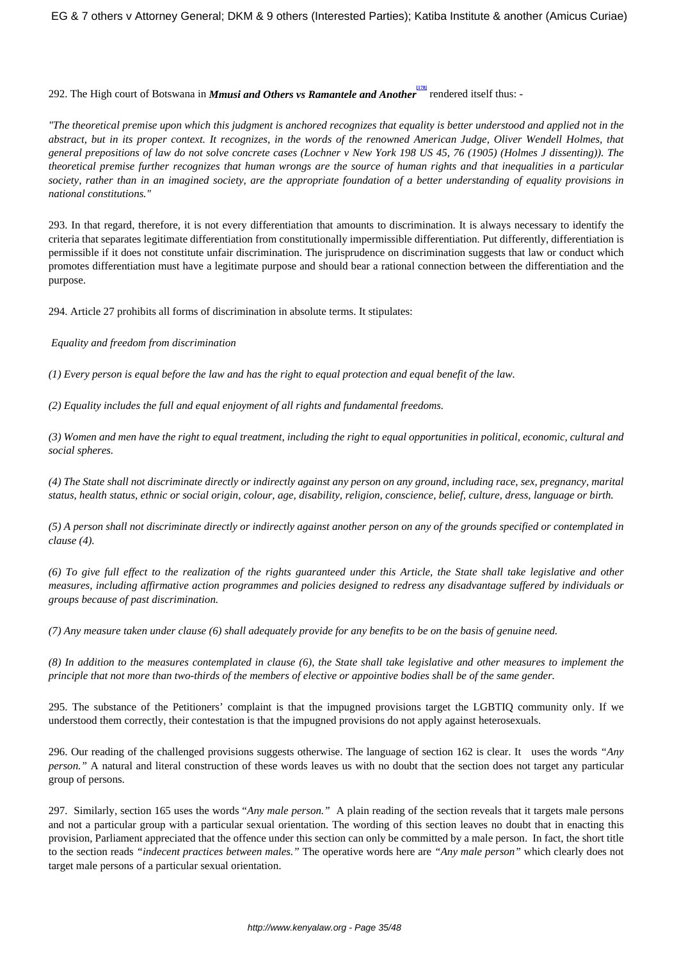# 292. The High court of Botswana in *Mmusi and Others vs Ramantele and Another* rendered itself thus: -

*"The theoretical premise upon which this judgment is anchored recognizes that equality is better understood and applied not in the abstract, but in its proper context. It recognizes, in the words of the renowned American Judge, Oliver Wendell Holmes, that general prepositions of law do not solve concrete cases (Lochner v New York 198 US 45, 76 (1905) (Holmes J dissenting)). The theoretical premise further recognizes that human wrongs are the source of human rights and that inequalities in a particular society, rather than in an imagined society, are the appropriate foundation of a better understanding of equality provisions in national constitutions."*

293. In that regard, therefore, it is not every differentiation that amounts to discrimination. It is always necessary to identify the criteria that separates legitimate differentiation from constitutionally impermissible differentiation. Put differently, differentiation is permissible if it does not constitute unfair discrimination. The jurisprudence on discrimination suggests that law or conduct which promotes differentiation must have a legitimate purpose and should bear a rational connection between the differentiation and the purpose.

294. Article 27 prohibits all forms of discrimination in absolute terms. It stipulates:

# *Equality and freedom from discrimination*

*(1) Every person is equal before the law and has the right to equal protection and equal benefit of the law.*

*(2) Equality includes the full and equal enjoyment of all rights and fundamental freedoms.*

*(3) Women and men have the right to equal treatment, including the right to equal opportunities in political, economic, cultural and social spheres.*

*(4) The State shall not discriminate directly or indirectly against any person on any ground, including race, sex, pregnancy, marital status, health status, ethnic or social origin, colour, age, disability, religion, conscience, belief, culture, dress, language or birth.*

*(5) A person shall not discriminate directly or indirectly against another person on any of the grounds specified or contemplated in clause (4).*

*(6) To give full effect to the realization of the rights guaranteed under this Article, the State shall take legislative and other measures, including affirmative action programmes and policies designed to redress any disadvantage suffered by individuals or groups because of past discrimination.*

*(7) Any measure taken under clause (6) shall adequately provide for any benefits to be on the basis of genuine need.*

*(8) In addition to the measures contemplated in clause (6), the State shall take legislative and other measures to implement the principle that not more than two-thirds of the members of elective or appointive bodies shall be of the same gender.*

295. The substance of the Petitioners' complaint is that the impugned provisions target the LGBTIQ community only. If we understood them correctly, their contestation is that the impugned provisions do not apply against heterosexuals.

296. Our reading of the challenged provisions suggests otherwise. The language of section 162 is clear. It uses the words *"Any person.*" A natural and literal construction of these words leaves us with no doubt that the section does not target any particular group of persons.

297. Similarly, section 165 uses the words "*Any male person."* A plain reading of the section reveals that it targets male persons and not a particular group with a particular sexual orientation. The wording of this section leaves no doubt that in enacting this provision, Parliament appreciated that the offence under this section can only be committed by a male person. In fact, the short title to the section reads *"indecent practices between males."* The operative words here are *"Any male person"* which clearly does not target male persons of a particular sexual orientation.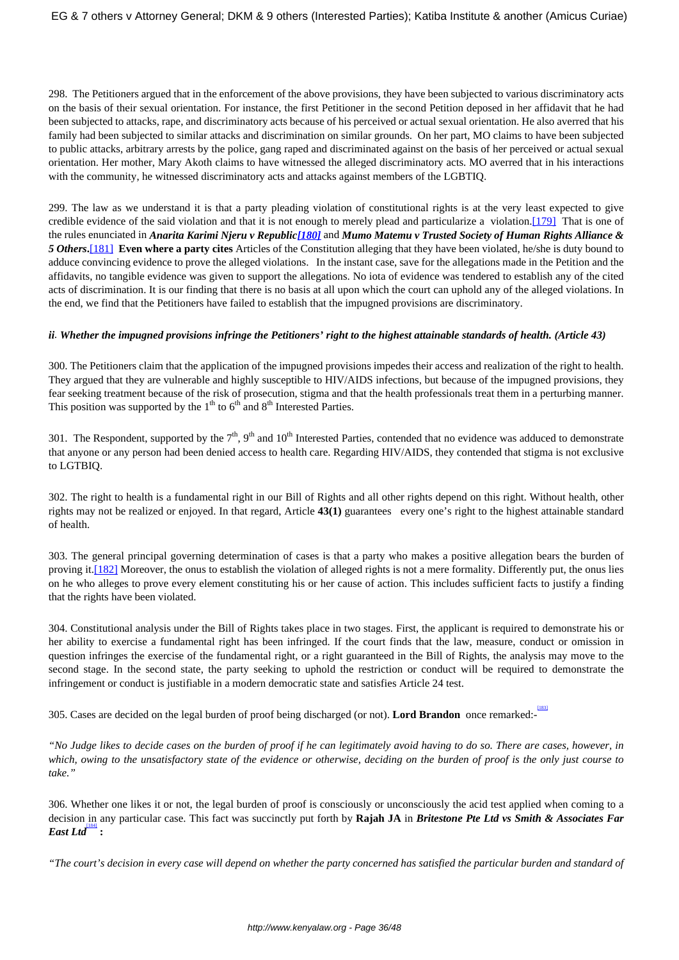298. The Petitioners argued that in the enforcement of the above provisions, they have been subjected to various discriminatory acts on the basis of their sexual orientation. For instance, the first Petitioner in the second Petition deposed in her affidavit that he had been subjected to attacks, rape, and discriminatory acts because of his perceived or actual sexual orientation. He also averred that his family had been subjected to similar attacks and discrimination on similar grounds. On her part, MO claims to have been subjected to public attacks, arbitrary arrests by the police, gang raped and discriminated against on the basis of her perceived or actual sexual orientation. Her mother, Mary Akoth claims to have witnessed the alleged discriminatory acts. MO averred that in his interactions with the community, he witnessed discriminatory acts and attacks against members of the LGBTIQ.

299. The law as we understand it is that a party pleading violation of constitutional rights is at the very least expected to give credible evidence of the said violation and that it is not enough to merely plead and particularize a violation.[179] That is one of the rules enunciated in *Anarita Karimi Njeru v Republic[180]* and *Mumo Matemu v Trusted Society of Human Rights Alliance & 5 Others***.**[181] **Even where a party cites** Articles of the Constitution alleging that they have been violated, he/she is duty bound to adduce convincing evidence to prove the alleged violations. In the instant case, save for the allegations made in the Petition and the affidavits, no tangible evidence was given to support the allegations. No iota of evidence was tendered to establish any of the cited acts of discrimination. It is our finding that there is no basis at all upon which the court can uphold any of the alleged violations. In the end, we find that the Petitioners have failed to establish that the impugned provisions are discriminatory.

## *ii. Whether the impugned provisions infringe the Petitioners' right to the highest attainable standards of health. (Article 43)*

300. The Petitioners claim that the application of the impugned provisions impedes their access and realization of the right to health. They argued that they are vulnerable and highly susceptible to HIV/AIDS infections, but because of the impugned provisions, they fear seeking treatment because of the risk of prosecution, stigma and that the health professionals treat them in a perturbing manner. This position was supported by the  $1<sup>th</sup>$  to  $6<sup>th</sup>$  and  $8<sup>th</sup>$  Interested Parties.

301. The Respondent, supported by the  $7<sup>th</sup>$ ,  $9<sup>th</sup>$  and  $10<sup>th</sup>$  Interested Parties, contended that no evidence was adduced to demonstrate that anyone or any person had been denied access to health care. Regarding HIV/AIDS, they contended that stigma is not exclusive to LGTBIQ.

302. The right to health is a fundamental right in our Bill of Rights and all other rights depend on this right. Without health, other rights may not be realized or enjoyed. In that regard, Article **43(1)** guarantees every one's right to the highest attainable standard of health.

303. The general principal governing determination of cases is that a party who makes a positive allegation bears the burden of proving it.[182] Moreover, the onus to establish the violation of alleged rights is not a mere formality. Differently put, the onus lies on he who alleges to prove every element constituting his or her cause of action. This includes sufficient facts to justify a finding that the rights have been violated.

304. Constitutional analysis under the Bill of Rights takes place in two stages. First, the applicant is required to demonstrate his or her ability to exercise a fundamental right has been infringed. If the court finds that the law, measure, conduct or omission in question infringes the exercise of the fundamental right, or a right guaranteed in the Bill of Rights, the analysis may move to the second stage. In the second state, the party seeking to uphold the restriction or conduct will be required to demonstrate the infringement or conduct is justifiable in a modern democratic state and satisfies Article 24 test.

305. Cases are decided on the legal burden of proof being discharged (or not). **Lord Brandon** once remarked:- [183]

*"No Judge likes to decide cases on the burden of proof if he can legitimately avoid having to do so. There are cases, however, in which, owing to the unsatisfactory state of the evidence or otherwise, deciding on the burden of proof is the only just course to take."*

306. Whether one likes it or not, the legal burden of proof is consciously or unconsciously the acid test applied when coming to a decision in any particular case. This fact was succinctly put forth by **Rajah JA** in *Britestone Pte Ltd vs Smith & Associates Far East Ltd* [184]  **:**

*"The court's decision in every case will depend on whether the party concerned has satisfied the particular burden and standard of*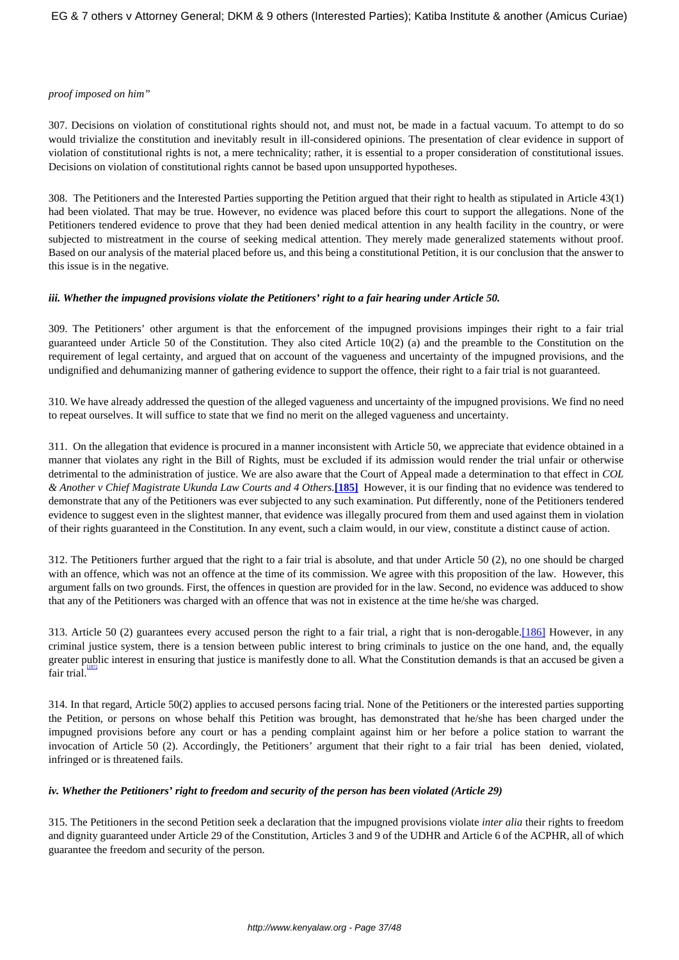#### *proof imposed on him"*

307. Decisions on violation of constitutional rights should not, and must not, be made in a factual vacuum. To attempt to do so would trivialize the constitution and inevitably result in ill-considered opinions. The presentation of clear evidence in support of violation of constitutional rights is not, a mere technicality; rather, it is essential to a proper consideration of constitutional issues. Decisions on violation of constitutional rights cannot be based upon unsupported hypotheses.

308. The Petitioners and the Interested Parties supporting the Petition argued that their right to health as stipulated in Article 43(1) had been violated. That may be true. However, no evidence was placed before this court to support the allegations. None of the Petitioners tendered evidence to prove that they had been denied medical attention in any health facility in the country, or were subjected to mistreatment in the course of seeking medical attention. They merely made generalized statements without proof. Based on our analysis of the material placed before us, and this being a constitutional Petition, it is our conclusion that the answer to this issue is in the negative.

#### *iii. Whether the impugned provisions violate the Petitioners' right to a fair hearing under Article 50.*

309. The Petitioners' other argument is that the enforcement of the impugned provisions impinges their right to a fair trial guaranteed under Article 50 of the Constitution. They also cited Article 10(2) (a) and the preamble to the Constitution on the requirement of legal certainty, and argued that on account of the vagueness and uncertainty of the impugned provisions, and the undignified and dehumanizing manner of gathering evidence to support the offence, their right to a fair trial is not guaranteed.

310. We have already addressed the question of the alleged vagueness and uncertainty of the impugned provisions. We find no need to repeat ourselves. It will suffice to state that we find no merit on the alleged vagueness and uncertainty.

311. On the allegation that evidence is procured in a manner inconsistent with Article 50, we appreciate that evidence obtained in a manner that violates any right in the Bill of Rights, must be excluded if its admission would render the trial unfair or otherwise detrimental to the administration of justice. We are also aware that the Court of Appeal made a determination to that effect in *COL & Another v Chief Magistrate Ukunda Law Courts and 4 Others.***[185]** However, it is our finding that no evidence was tendered to demonstrate that any of the Petitioners was ever subjected to any such examination. Put differently, none of the Petitioners tendered evidence to suggest even in the slightest manner, that evidence was illegally procured from them and used against them in violation of their rights guaranteed in the Constitution. In any event, such a claim would, in our view, constitute a distinct cause of action.

312. The Petitioners further argued that the right to a fair trial is absolute, and that under Article 50 (2), no one should be charged with an offence, which was not an offence at the time of its commission. We agree with this proposition of the law. However, this argument falls on two grounds. First, the offences in question are provided for in the law. Second, no evidence was adduced to show that any of the Petitioners was charged with an offence that was not in existence at the time he/she was charged.

313. Article 50 (2) guarantees every accused person the right to a fair trial, a right that is non-derogable.[186] However, in any criminal justice system, there is a tension between public interest to bring criminals to justice on the one hand, and, the equally greater public interest in ensuring that justice is manifestly done to all. What the Constitution demands is that an accused be given a resserve trial.

314. In that regard, Article 50(2) applies to accused persons facing trial. None of the Petitioners or the interested parties supporting the Petition, or persons on whose behalf this Petition was brought, has demonstrated that he/she has been charged under the impugned provisions before any court or has a pending complaint against him or her before a police station to warrant the invocation of Article 50 (2). Accordingly, the Petitioners' argument that their right to a fair trial has been denied, violated, infringed or is threatened fails.

## *iv. Whether the Petitioners' right to freedom and security of the person has been violated (Article 29)*

315. The Petitioners in the second Petition seek a declaration that the impugned provisions violate *inter alia* their rights to freedom and dignity guaranteed under Article 29 of the Constitution, Articles 3 and 9 of the UDHR and Article 6 of the ACPHR, all of which guarantee the freedom and security of the person.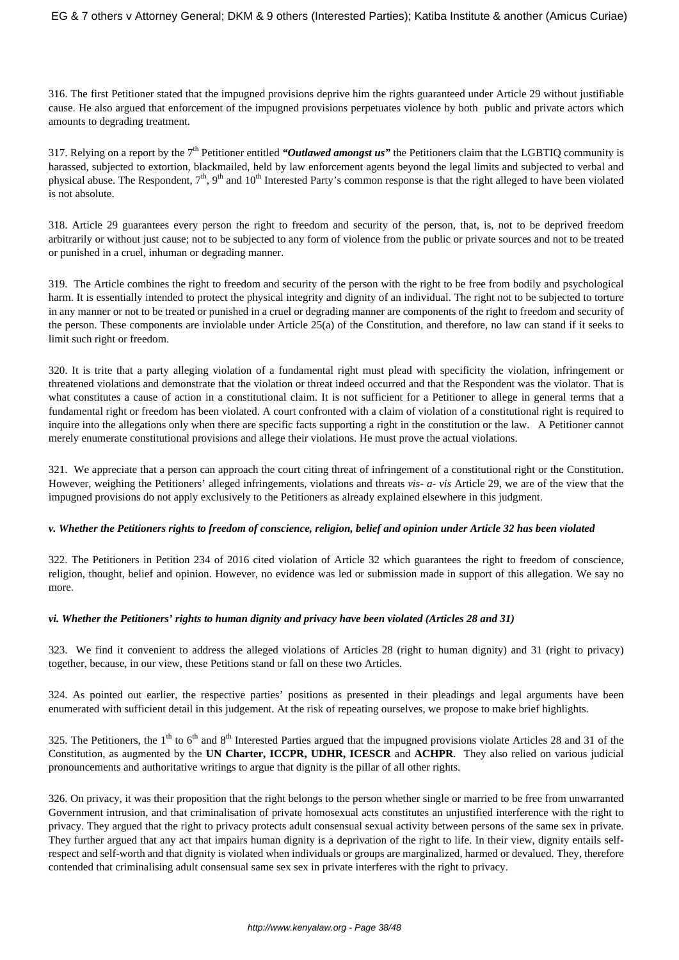316. The first Petitioner stated that the impugned provisions deprive him the rights guaranteed under Article 29 without justifiable cause. He also argued that enforcement of the impugned provisions perpetuates violence by both public and private actors which amounts to degrading treatment.

317. Relying on a report by the  $7<sup>th</sup>$  Petitioner entitled *"Outlawed amongst us"* the Petitioners claim that the LGBTIQ community is harassed, subjected to extortion, blackmailed, held by law enforcement agents beyond the legal limits and subjected to verbal and physical abuse. The Respondent, 7<sup>th</sup>, 9<sup>th</sup> and 10<sup>th</sup> Interested Party's common response is that the right alleged to have been violated is not absolute.

318. Article 29 guarantees every person the right to freedom and security of the person, that, is, not to be deprived freedom arbitrarily or without just cause; not to be subjected to any form of violence from the public or private sources and not to be treated or punished in a cruel, inhuman or degrading manner.

319. The Article combines the right to freedom and security of the person with the right to be free from bodily and psychological harm. It is essentially intended to protect the physical integrity and dignity of an individual. The right not to be subjected to torture in any manner or not to be treated or punished in a cruel or degrading manner are components of the right to freedom and security of the person. These components are inviolable under Article 25(a) of the Constitution, and therefore, no law can stand if it seeks to limit such right or freedom.

320. It is trite that a party alleging violation of a fundamental right must plead with specificity the violation, infringement or threatened violations and demonstrate that the violation or threat indeed occurred and that the Respondent was the violator. That is what constitutes a cause of action in a constitutional claim. It is not sufficient for a Petitioner to allege in general terms that a fundamental right or freedom has been violated. A court confronted with a claim of violation of a constitutional right is required to inquire into the allegations only when there are specific facts supporting a right in the constitution or the law. A Petitioner cannot merely enumerate constitutional provisions and allege their violations. He must prove the actual violations.

321. We appreciate that a person can approach the court citing threat of infringement of a constitutional right or the Constitution. However, weighing the Petitioners' alleged infringements, violations and threats *vis- a- vis* Article 29, we are of the view that the impugned provisions do not apply exclusively to the Petitioners as already explained elsewhere in this judgment.

## *v. Whether the Petitioners rights to freedom of conscience, religion, belief and opinion under Article 32 has been violated*

322. The Petitioners in Petition 234 of 2016 cited violation of Article 32 which guarantees the right to freedom of conscience, religion, thought, belief and opinion. However, no evidence was led or submission made in support of this allegation. We say no more.

## *vi. Whether the Petitioners' rights to human dignity and privacy have been violated (Articles 28 and 31)*

323. We find it convenient to address the alleged violations of Articles 28 (right to human dignity) and 31 (right to privacy) together, because, in our view, these Petitions stand or fall on these two Articles.

324. As pointed out earlier, the respective parties' positions as presented in their pleadings and legal arguments have been enumerated with sufficient detail in this judgement. At the risk of repeating ourselves, we propose to make brief highlights.

325. The Petitioners, the  $1<sup>th</sup>$  to  $6<sup>th</sup>$  and  $8<sup>th</sup>$  Interested Parties argued that the impugned provisions violate Articles 28 and 31 of the Constitution, as augmented by the **UN Charter, ICCPR, UDHR, ICESCR** and **ACHPR**. They also relied on various judicial pronouncements and authoritative writings to argue that dignity is the pillar of all other rights.

326. On privacy, it was their proposition that the right belongs to the person whether single or married to be free from unwarranted Government intrusion, and that criminalisation of private homosexual acts constitutes an unjustified interference with the right to privacy. They argued that the right to privacy protects adult consensual sexual activity between persons of the same sex in private. They further argued that any act that impairs human dignity is a deprivation of the right to life. In their view, dignity entails selfrespect and self-worth and that dignity is violated when individuals or groups are marginalized, harmed or devalued. They, therefore contended that criminalising adult consensual same sex sex in private interferes with the right to privacy.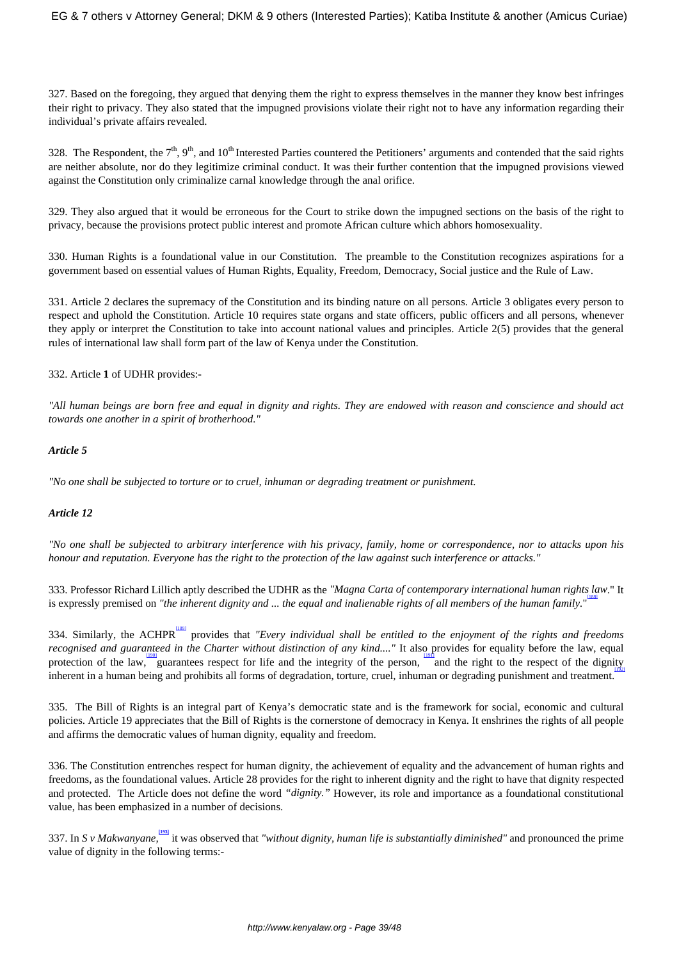327. Based on the foregoing, they argued that denying them the right to express themselves in the manner they know best infringes their right to privacy. They also stated that the impugned provisions violate their right not to have any information regarding their individual's private affairs revealed.

328. The Respondent, the  $7<sup>th</sup>$ ,  $9<sup>th</sup>$ , and  $10<sup>th</sup>$  Interested Parties countered the Petitioners' arguments and contended that the said rights are neither absolute, nor do they legitimize criminal conduct. It was their further contention that the impugned provisions viewed against the Constitution only criminalize carnal knowledge through the anal orifice.

329. They also argued that it would be erroneous for the Court to strike down the impugned sections on the basis of the right to privacy, because the provisions protect public interest and promote African culture which abhors homosexuality.

330. Human Rights is a foundational value in our Constitution. The preamble to the Constitution recognizes aspirations for a government based on essential values of Human Rights, Equality, Freedom, Democracy, Social justice and the Rule of Law.

331. Article 2 declares the supremacy of the Constitution and its binding nature on all persons. Article 3 obligates every person to respect and uphold the Constitution. Article 10 requires state organs and state officers, public officers and all persons, whenever they apply or interpret the Constitution to take into account national values and principles. Article 2(5) provides that the general rules of international law shall form part of the law of Kenya under the Constitution.

332. Article **1** of UDHR provides:-

*"All human beings are born free and equal in dignity and rights. They are endowed with reason and conscience and should act towards one another in a spirit of brotherhood."*

## *Article 5*

*"No one shall be subjected to torture or to cruel, inhuman or degrading treatment or punishment.*

## *Article 12*

*"No one shall be subjected to arbitrary interference with his privacy, family, home or correspondence, nor to attacks upon his honour and reputation. Everyone has the right to the protection of the law against such interference or attacks."*

333. Professor Richard Lillich aptly described the UDHR as the *"Magna Carta of contemporary international human rights law*." It [188] is expressly premised on *"the inherent dignity and ... the equal and inalienable rights of all members of the human family.*"

334. Similarly, the ACHPR<sup>I891</sup> provides that *"Every individual shall be entitled to the enjoyment of the rights and freedoms recognised and guaranteed in the Charter without distinction of any kind...."* It also provides for equality before the law, equal protection of the law, guarantees respect for life and the integrity of the person, and the right to the respect of the dignity inherent in a human being and prohibits all forms of degradation, torture, cruel, inhuman or degrading punishment and treatment. [192]

335. The Bill of Rights is an integral part of Kenya's democratic state and is the framework for social, economic and cultural policies. Article 19 appreciates that the Bill of Rights is the cornerstone of democracy in Kenya. It enshrines the rights of all people and affirms the democratic values of human dignity, equality and freedom.

336. The Constitution entrenches respect for human dignity, the achievement of equality and the advancement of human rights and freedoms, as the foundational values. Article 28 provides for the right to inherent dignity and the right to have that dignity respected and protected. The Article does not define the word *"dignity."* However, its role and importance as a foundational constitutional value, has been emphasized in a number of decisions.

337. In *S v Makwanyane*, <sup>1931</sup> it was observed that "without dignity, human life is substantially diminished" and pronounced the prime value of dignity in the following terms:-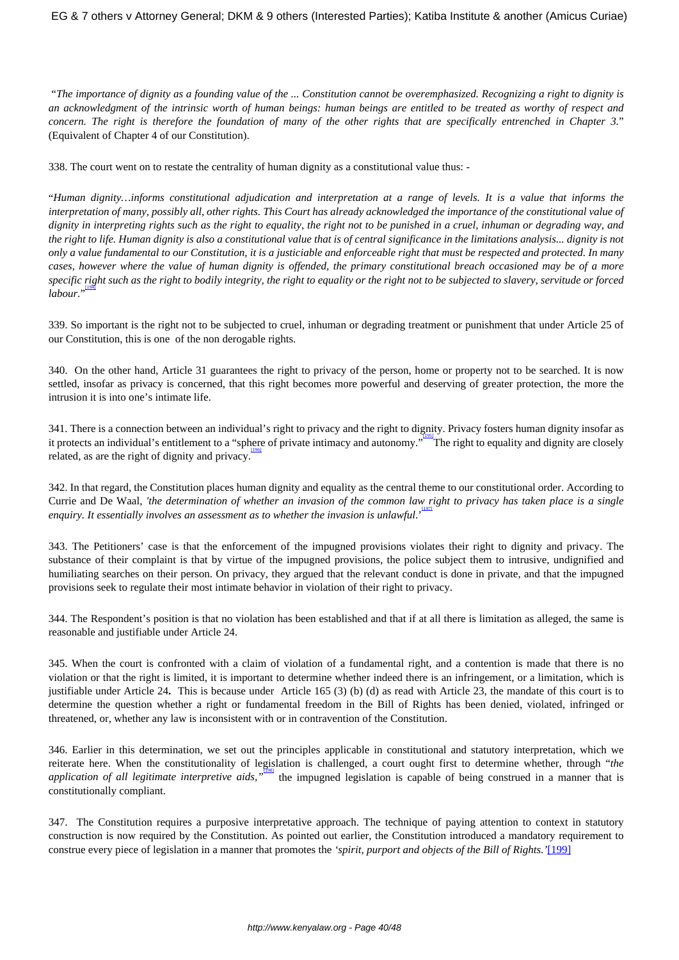"*The importance of dignity as a founding value of the ... Constitution cannot be overemphasized. Recognizing a right to dignity is an acknowledgment of the intrinsic worth of human beings: human beings are entitled to be treated as worthy of respect and concern. The right is therefore the foundation of many of the other rights that are specifically entrenched in Chapter 3.*" (Equivalent of Chapter 4 of our Constitution).

338. The court went on to restate the centrality of human dignity as a constitutional value thus: -

"*Human dignity…informs constitutional adjudication and interpretation at a range of levels. It is a value that informs the interpretation of many, possibly all, other rights. This Court has already acknowledged the importance of the constitutional value of dignity in interpreting rights such as the right to equality, the right not to be punished in a cruel, inhuman or degrading way, and the right to life. Human dignity is also a constitutional value that is of central significance in the limitations analysis... dignity is not only a value fundamental to our Constitution, it is a justiciable and enforceable right that must be respected and protected. In many cases, however where the value of human dignity is offended, the primary constitutional breach occasioned may be of a more specific right such as the right to bodily integrity, the right to equality or the right not to be subjected to slavery, servitude or forced* [194] *labour.*"

339. So important is the right not to be subjected to cruel, inhuman or degrading treatment or punishment that under Article 25 of our Constitution, this is one of the non derogable rights.

340. On the other hand, Article 31 guarantees the right to privacy of the person, home or property not to be searched. It is now settled, insofar as privacy is concerned, that this right becomes more powerful and deserving of greater protection, the more the intrusion it is into one's intimate life.

341. There is a connection between an individual's right to privacy and the right to dignity. Privacy fosters human dignity insofar as it protects an individual's entitlement to a "sphere of private intimacy and autonomy." The right to equality and dignity are closely related, as are the right of dignity and privacy.

342. In that regard, the Constitution places human dignity and equality as the central theme to our constitutional order. According to Currie and De Waal, 'the determination of whether an invasion of the common law right to privacy has taken place is a single *enquiry. It essentially involves an assessment as to whether the invasion is unlawful*.'

343. The Petitioners' case is that the enforcement of the impugned provisions violates their right to dignity and privacy. The substance of their complaint is that by virtue of the impugned provisions, the police subject them to intrusive, undignified and humiliating searches on their person. On privacy, they argued that the relevant conduct is done in private, and that the impugned provisions seek to regulate their most intimate behavior in violation of their right to privacy.

344. The Respondent's position is that no violation has been established and that if at all there is limitation as alleged, the same is reasonable and justifiable under Article 24.

345. When the court is confronted with a claim of violation of a fundamental right, and a contention is made that there is no violation or that the right is limited, it is important to determine whether indeed there is an infringement, or a limitation, which is justifiable under Article 24**.** This is because under Article 165 (3) (b) (d) as read with Article 23, the mandate of this court is to determine the question whether a right or fundamental freedom in the Bill of Rights has been denied, violated, infringed or threatened, or, whether any law is inconsistent with or in contravention of the Constitution.

346. Earlier in this determination, we set out the principles applicable in constitutional and statutory interpretation, which we reiterate here. When the constitutionality of legislation is challenged, a court ought first to determine whether, through "*the* application of all legitimate interpretive aids, <sup>"Toss</sup> the impugned legislation is capable of being construed in a manner that is constitutionally compliant.

347. The Constitution requires a purposive interpretative approach. The technique of paying attention to context in statutory construction is now required by the Constitution. As pointed out earlier, the Constitution introduced a mandatory requirement to construe every piece of legislation in a manner that promotes the *'spirit, purport and objects of the Bill of Rights.'*[199]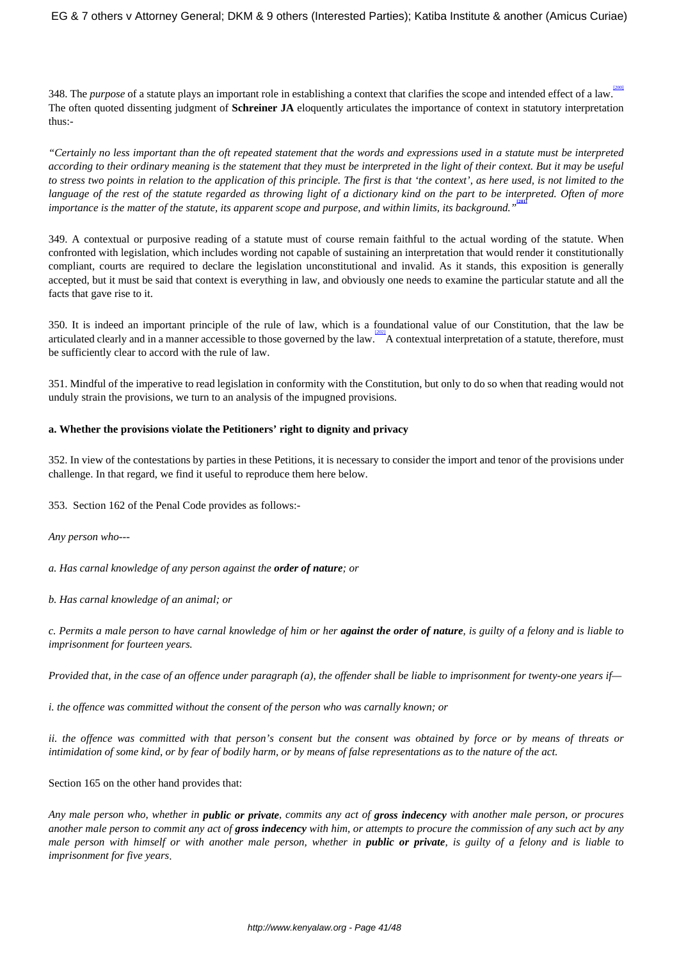348. The *purpose* of a statute plays an important role in establishing a context that clarifies the scope and intended effect of a law. The often quoted dissenting judgment of **Schreiner JA** eloquently articulates the importance of context in statutory interpretation thus:-

*"Certainly no less important than the oft repeated statement that the words and expressions used in a statute must be interpreted according to their ordinary meaning is the statement that they must be interpreted in the light of their context. But it may be useful to stress two points in relation to the application of this principle. The first is that 'the context', as here used, is not limited to the language of the rest of the statute regarded as throwing light of a dictionary kind on the part to be interpreted. Often of more importance is the matter of the statute, its apparent scope and purpose, and within limits, its background."* **[201]**

349. A contextual or purposive reading of a statute must of course remain faithful to the actual wording of the statute. When confronted with legislation, which includes wording not capable of sustaining an interpretation that would render it constitutionally compliant, courts are required to declare the legislation unconstitutional and invalid. As it stands, this exposition is generally accepted, but it must be said that context is everything in law, and obviously one needs to examine the particular statute and all the facts that gave rise to it.

350. It is indeed an important principle of the rule of law, which is a foundational value of our Constitution, that the law be articulated clearly and in a manner accessible to those governed by the law.  $\frac{12021}{100}$  A contextual interpretation of a statute, therefore, must be sufficiently clear to accord with the rule of law.

351. Mindful of the imperative to read legislation in conformity with the Constitution, but only to do so when that reading would not unduly strain the provisions, we turn to an analysis of the impugned provisions.

#### **a. Whether the provisions violate the Petitioners' right to dignity and privacy**

352. In view of the contestations by parties in these Petitions, it is necessary to consider the import and tenor of the provisions under challenge. In that regard, we find it useful to reproduce them here below.

353. Section 162 of the Penal Code provides as follows:-

*Any person who---*

*a. Has carnal knowledge of any person against the order of nature; or*

*b. Has carnal knowledge of an animal; or*

*c. Permits a male person to have carnal knowledge of him or her against the order of nature, is guilty of a felony and is liable to imprisonment for fourteen years.*

*Provided that, in the case of an offence under paragraph (a), the offender shall be liable to imprisonment for twenty-one years if—*

*i. the offence was committed without the consent of the person who was carnally known; or*

*ii. the offence was committed with that person's consent but the consent was obtained by force or by means of threats or intimidation of some kind, or by fear of bodily harm, or by means of false representations as to the nature of the act.*

Section 165 on the other hand provides that:

*Any male person who, whether in public or private, commits any act of gross indecency with another male person, or procures another male person to commit any act of gross indecency with him, or attempts to procure the commission of any such act by any male person with himself or with another male person, whether in public or private, is guilty of a felony and is liable to imprisonment for five years*.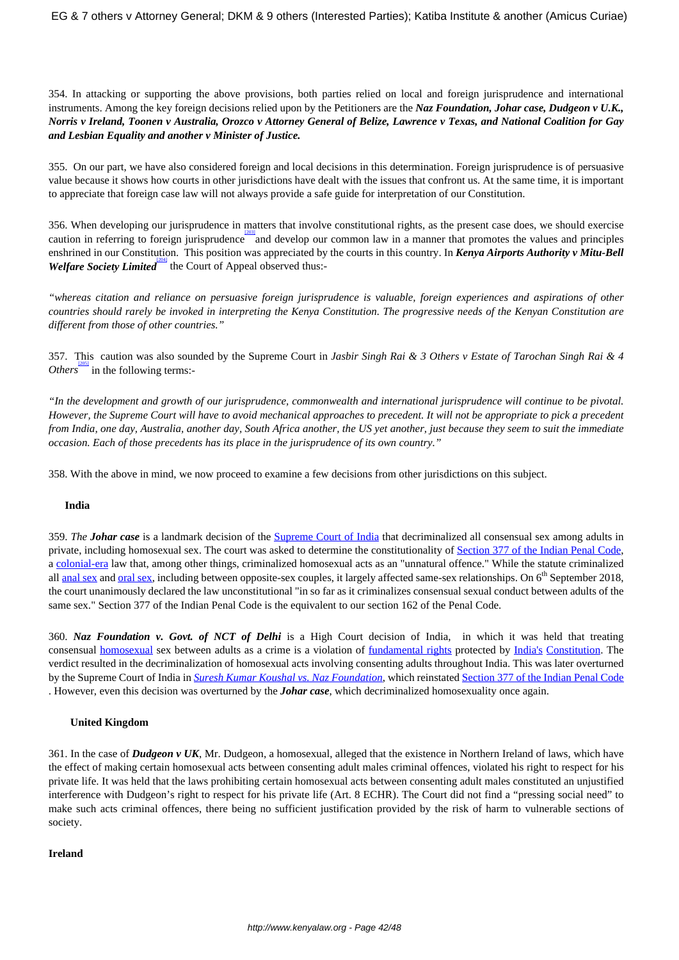354. In attacking or supporting the above provisions, both parties relied on local and foreign jurisprudence and international instruments. Among the key foreign decisions relied upon by the Petitioners are the *Naz Foundation, Johar case, Dudgeon v U.K., Norris v Ireland, Toonen v Australia, Orozco v Attorney General of Belize, Lawrence v Texas, and National Coalition for Gay and Lesbian Equality and another v Minister of Justice.* 

355. On our part, we have also considered foreign and local decisions in this determination. Foreign jurisprudence is of persuasive value because it shows how courts in other jurisdictions have dealt with the issues that confront us. At the same time, it is important to appreciate that foreign case law will not always provide a safe guide for interpretation of our Constitution.

356. When developing our jurisprudence in matters that involve constitutional rights, as the present case does, we should exercise caution in referring to foreign jurisprudence and develop our common law in a manner that promotes the values and principles enshrined in our Constitution. This position was appreciated by the courts in this country. In *Kenya Airports Authority v Mitu-Bell* Welfare Society Limited<sup> pan</sup> the Court of Appeal observed thus:-

*"whereas citation and reliance on persuasive foreign jurisprudence is valuable, foreign experiences and aspirations of other countries should rarely be invoked in interpreting the Kenya Constitution. The progressive needs of the Kenyan Constitution are different from those of other countries."*

357. This caution was also sounded by the Supreme Court in *Jasbir Singh Rai & 3 Others v Estate of Tarochan Singh Rai & 4 Others* in the following terms:-

*"In the development and growth of our jurisprudence, commonwealth and international jurisprudence will continue to be pivotal. However, the Supreme Court will have to avoid mechanical approaches to precedent. It will not be appropriate to pick a precedent from India, one day, Australia, another day, South Africa another, the US yet another, just because they seem to suit the immediate occasion. Each of those precedents has its place in the jurisprudence of its own country."*

358. With the above in mind, we now proceed to examine a few decisions from other jurisdictions on this subject.

#### **India**

359. *The Johar case* is a landmark decision of the [Supreme Court of India](https://en.wikipedia.org/wiki/Supreme_Court_of_India) that decriminalized all consensual sex among adults in private, including homosexual sex. The court was asked to determine the constitutionality of [Section 377 of the Indian Penal Code,](https://en.wikipedia.org/wiki/Section_377_of_the_Indian_Penal_Code) a [colonial-era](https://en.wikipedia.org/wiki/British_Raj) law that, among other things, criminalized homosexual acts as an "unnatural offence." While the statute criminalized all [anal sex](https://en.wikipedia.org/wiki/Anal_sex) and [oral sex](https://en.wikipedia.org/wiki/Oral_sex), including between opposite-sex couples, it largely affected same-sex relationships. On  $6<sup>th</sup>$  September 2018, the court unanimously declared the law unconstitutional "in so far as it criminalizes consensual sexual conduct between adults of the same sex." Section 377 of the Indian Penal Code is the equivalent to our section 162 of the Penal Code.

360. *Naz Foundation v. Govt. of NCT of Delhi* is a High Court decision of India, in which it was held that treating consensual [homosexual](https://en.wikipedia.org/wiki/Homosexual) sex between adults as a crime is a violation of [fundamental rights](https://en.wikipedia.org/wiki/Fundamental_Rights_in_India) protected by [India's](https://en.wikipedia.org/wiki/India) [Constitution.](https://en.wikipedia.org/wiki/Constitution_of_India) The verdict resulted in the decriminalization of homosexual acts involving consenting adults throughout India. This was later overturned by the Supreme Court of India in *[Suresh Kumar Koushal vs. Naz Foundation](https://en.wikipedia.org/wiki/Suresh_Kumar_Koushal_vs._Naz_Foundation)*, which reinstated [Section 377 of the Indian Penal Code](https://en.wikipedia.org/wiki/Section_377_of_the_Indian_Penal_Code) . However, even this decision was overturned by the *Johar case*, which decriminalized homosexuality once again.

#### **United Kingdom**

361. In the case of *Dudgeon v UK*, Mr. Dudgeon, a homosexual, alleged that the existence in Northern Ireland of laws, which have the effect of making certain homosexual acts between consenting adult males criminal offences, violated his right to respect for his private life. It was held that the laws prohibiting certain homosexual acts between consenting adult males constituted an unjustified interference with Dudgeon's right to respect for his private life (Art. 8 ECHR). The Court did not find a "pressing social need" to make such acts criminal offences, there being no sufficient justification provided by the risk of harm to vulnerable sections of society.

#### **Ireland**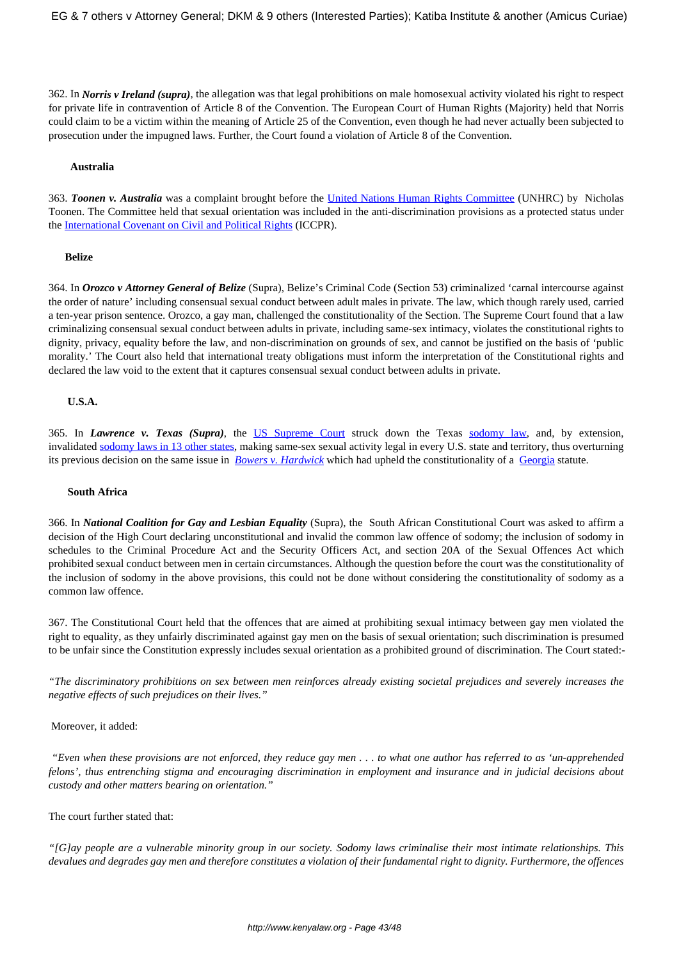362. In *Norris v Ireland (supra)*, the allegation was that legal prohibitions on male homosexual activity violated his right to respect for private life in contravention of Article 8 of the Convention. The European Court of Human Rights (Majority) held that Norris could claim to be a victim within the meaning of Article 25 of the Convention, even though he had never actually been subjected to prosecution under the impugned laws. Further, the Court found a violation of Article 8 of the Convention.

#### **Australia**

363. *Toonen v. Australia* was a complaint brought before the [United Nations Human Rights Committee](https://en.wikipedia.org/wiki/United_Nations_Human_Rights_Committee) (UNHRC) by Nicholas Toonen. The Committee held that sexual orientation was included in the anti-discrimination provisions as a protected status under the [International Covenant on Civil and Political Rights](https://en.wikipedia.org/wiki/International_Covenant_on_Civil_and_Political_Rights) (ICCPR).

#### **Belize**

364. In *Orozco v Attorney General of Belize* (Supra), Belize's Criminal Code (Section 53) criminalized 'carnal intercourse against the order of nature' including consensual sexual conduct between adult males in private. The law, which though rarely used, carried a ten-year prison sentence. Orozco, a gay man, challenged the constitutionality of the Section. The Supreme Court found that a law criminalizing consensual sexual conduct between adults in private, including same-sex intimacy, violates the constitutional rights to dignity, privacy, equality before the law, and non-discrimination on grounds of sex, and cannot be justified on the basis of 'public morality.' The Court also held that international treaty obligations must inform the interpretation of the Constitutional rights and declared the law void to the extent that it captures consensual sexual conduct between adults in private.

#### **U.S.A.**

365. In *Lawrence v. Texas (Supra)*, the [US Supreme Court](https://en.wikipedia.org/wiki/Supreme_Court_of_the_United_States) struck down the Texas [sodomy law,](https://en.wikipedia.org/wiki/Sodomy_law) and, by extension, invalidated [sodomy laws in 13 other states](https://en.wikipedia.org/wiki/Sodomy_laws_in_the_United_States), making same-sex sexual activity legal in every U.S. state and territory, thus overturning its previous decision on the same issue in *[Bowers v. Hardwick](https://en.wikipedia.org/wiki/Bowers_v._Hardwick)* which had upheld the constitutionality of a [Georgia](https://en.wikipedia.org/wiki/Georgia_(U.S._state)) statute.

#### **South Africa**

366. In *National Coalition for Gay and Lesbian Equality* (Supra), the South African Constitutional Court was asked to affirm a decision of the High Court declaring unconstitutional and invalid the common law offence of sodomy; the inclusion of sodomy in schedules to the Criminal Procedure Act and the Security Officers Act, and section 20A of the Sexual Offences Act which prohibited sexual conduct between men in certain circumstances. Although the question before the court was the constitutionality of the inclusion of sodomy in the above provisions, this could not be done without considering the constitutionality of sodomy as a common law offence.

367. The Constitutional Court held that the offences that are aimed at prohibiting sexual intimacy between gay men violated the right to equality, as they unfairly discriminated against gay men on the basis of sexual orientation; such discrimination is presumed to be unfair since the Constitution expressly includes sexual orientation as a prohibited ground of discrimination. The Court stated:-

*"The discriminatory prohibitions on sex between men reinforces already existing societal prejudices and severely increases the negative effects of such prejudices on their lives."*

#### Moreover, it added:

*"Even when these provisions are not enforced, they reduce gay men . . . to what one author has referred to as 'un-apprehended felons', thus entrenching stigma and encouraging discrimination in employment and insurance and in judicial decisions about custody and other matters bearing on orientation."* 

#### The court further stated that:

*"[G]ay people are a vulnerable minority group in our society. Sodomy laws criminalise their most intimate relationships. This devalues and degrades gay men and therefore constitutes a violation of their fundamental right to dignity. Furthermore, the offences*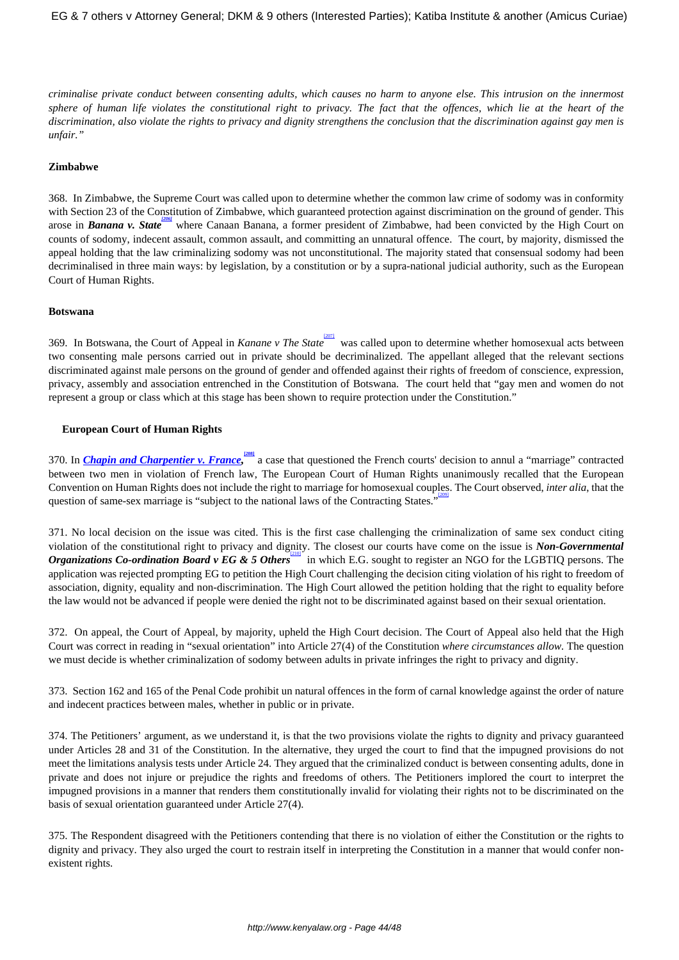*criminalise private conduct between consenting adults, which causes no harm to anyone else. This intrusion on the innermost sphere of human life violates the constitutional right to privacy. The fact that the offences, which lie at the heart of the discrimination, also violate the rights to privacy and dignity strengthens the conclusion that the discrimination against gay men is unfair."*

#### **Zimbabwe**

368. In Zimbabwe, the Supreme Court was called upon to determine whether the common law crime of sodomy was in conformity with Section 23 of the Constitution of Zimbabwe, which guaranteed protection against discrimination on the ground of gender. This arose in *Banana v. State* <sup>2061</sup> where Canaan Banana, a former president of Zimbabwe, had been convicted by the High Court on counts of sodomy, indecent assault, common assault, and committing an unnatural offence. The court, by majority, dismissed the appeal holding that the law criminalizing sodomy was not unconstitutional. The majority stated that consensual sodomy had been decriminalised in three main ways: by legislation, by a constitution or by a supra-national judicial authority, such as the European Court of Human Rights.

#### **Botswana**

369. In Botswana, the Court of Appeal in *Kanane v The State* [207] was called upon to determine whether homosexual acts between two consenting male persons carried out in private should be decriminalized. The appellant alleged that the relevant sections discriminated against male persons on the ground of gender and offended against their rights of freedom of conscience, expression, privacy, assembly and association entrenched in the Constitution of Botswana. The court held that "gay men and women do not represent a group or class which at this stage has been shown to require protection under the Constitution."

#### **European Court of Human Rights**

370. In *Chapin and Charpentier v. France*, <sup>[208]</sup> a case that questioned the French courts' decision to annul a "marriage" contracted between two men in violation of French law, The European Court of Human Rights unanimously recalled that the European Convention on Human Rights does not include the right to marriage for homosexual couples. The Court observed, *inter alia*, that the [209] question of same-sex marriage is "subject to the national laws of the Contracting States."

371. No local decision on the issue was cited. This is the first case challenging the criminalization of same sex conduct citing violation of the constitutional right to privacy and dignity. The closest our courts have come on the issue is *Non-Governmental Organizations Co-ordination Board v EG & 5 Others* in which E.G. sought to register an NGO for the LGBTIQ persons. The application was rejected prompting EG to petition the High Court challenging the decision citing violation of his right to freedom of association, dignity, equality and non-discrimination. The High Court allowed the petition holding that the right to equality before the law would not be advanced if people were denied the right not to be discriminated against based on their sexual orientation.

372. On appeal, the Court of Appeal, by majority, upheld the High Court decision. The Court of Appeal also held that the High Court was correct in reading in "sexual orientation" into Article 27(4) of the Constitution *where circumstances allow.* The question we must decide is whether criminalization of sodomy between adults in private infringes the right to privacy and dignity.

373. Section 162 and 165 of the Penal Code prohibit un natural offences in the form of carnal knowledge against the order of nature and indecent practices between males, whether in public or in private.

374. The Petitioners' argument, as we understand it, is that the two provisions violate the rights to dignity and privacy guaranteed under Articles 28 and 31 of the Constitution. In the alternative, they urged the court to find that the impugned provisions do not meet the limitations analysis tests under Article 24. They argued that the criminalized conduct is between consenting adults, done in private and does not injure or prejudice the rights and freedoms of others. The Petitioners implored the court to interpret the impugned provisions in a manner that renders them constitutionally invalid for violating their rights not to be discriminated on the basis of sexual orientation guaranteed under Article 27(4).

375. The Respondent disagreed with the Petitioners contending that there is no violation of either the Constitution or the rights to dignity and privacy. They also urged the court to restrain itself in interpreting the Constitution in a manner that would confer nonexistent rights.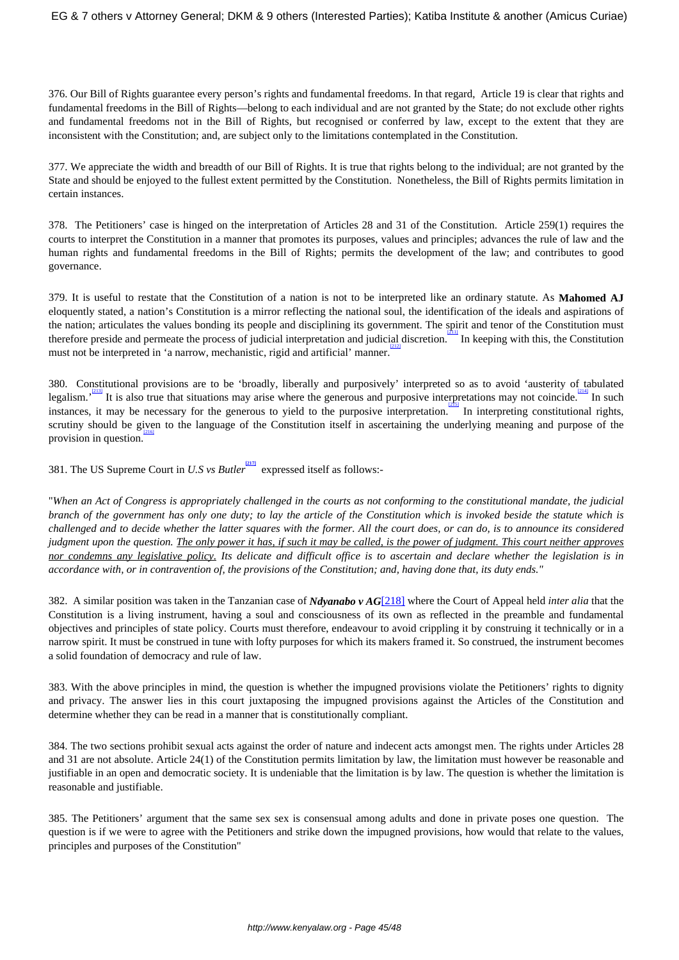376. Our Bill of Rights guarantee every person's rights and fundamental freedoms. In that regard, Article 19 is clear that rights and fundamental freedoms in the Bill of Rights—belong to each individual and are not granted by the State; do not exclude other rights and fundamental freedoms not in the Bill of Rights, but recognised or conferred by law, except to the extent that they are inconsistent with the Constitution; and, are subject only to the limitations contemplated in the Constitution.

377. We appreciate the width and breadth of our Bill of Rights. It is true that rights belong to the individual; are not granted by the State and should be enjoyed to the fullest extent permitted by the Constitution. Nonetheless, the Bill of Rights permits limitation in certain instances.

378. The Petitioners' case is hinged on the interpretation of Articles 28 and 31 of the Constitution. Article 259(1) requires the courts to interpret the Constitution in a manner that promotes its purposes, values and principles; advances the rule of law and the human rights and fundamental freedoms in the Bill of Rights; permits the development of the law; and contributes to good governance.

379. It is useful to restate that the Constitution of a nation is not to be interpreted like an ordinary statute. As **Mahomed AJ** eloquently stated, a nation's Constitution is a mirror reflecting the national soul, the identification of the ideals and aspirations of the nation; articulates the values bonding its people and disciplining its government. The spirit and tenor of the Constitution must therefore preside and permeate the process of judicial interpretation and judicial discretion. In keeping with this, the Constitution must not be interpreted in 'a narrow, mechanistic, rigid and artificial' manner.

380. Constitutional provisions are to be 'broadly, liberally and purposively' interpreted so as to avoid 'austerity of tabulated legalism.<sup> $213$ </sup> It is also true that situations may arise where the generous and purposive interpretations may not coincide. In such instances, it may be necessary for the generous to yield to the purposive interpretation. In interpreting constitutional rights, scrutiny should be given to the language of the Constitution itself in ascertaining the underlying meaning and purpose of the provision in question.

381. The US Supreme Court in *U.S vs Butler* **[217]** expressed itself as follows:-

"*When an Act of Congress is appropriately challenged in the courts as not conforming to the constitutional mandate, the judicial branch of the government has only one duty; to lay the article of the Constitution which is invoked beside the statute which is challenged and to decide whether the latter squares with the former. All the court does, or can do, is to announce its considered judgment upon the question. The only power it has, if such it may be called, is the power of judgment. This court neither approves nor condemns any legislative policy. Its delicate and difficult office is to ascertain and declare whether the legislation is in accordance with, or in contravention of, the provisions of the Constitution; and, having done that, its duty ends."*

382. A similar position was taken in the Tanzanian case of *Ndyanabo v AG*[218] where the Court of Appeal held *inter alia* that the Constitution is a living instrument, having a soul and consciousness of its own as reflected in the preamble and fundamental objectives and principles of state policy. Courts must therefore, endeavour to avoid crippling it by construing it technically or in a narrow spirit. It must be construed in tune with lofty purposes for which its makers framed it. So construed, the instrument becomes a solid foundation of democracy and rule of law.

383. With the above principles in mind, the question is whether the impugned provisions violate the Petitioners' rights to dignity and privacy. The answer lies in this court juxtaposing the impugned provisions against the Articles of the Constitution and determine whether they can be read in a manner that is constitutionally compliant.

384. The two sections prohibit sexual acts against the order of nature and indecent acts amongst men. The rights under Articles 28 and 31 are not absolute. Article 24(1) of the Constitution permits limitation by law, the limitation must however be reasonable and justifiable in an open and democratic society. It is undeniable that the limitation is by law. The question is whether the limitation is reasonable and justifiable.

385. The Petitioners' argument that the same sex sex is consensual among adults and done in private poses one question. The question is if we were to agree with the Petitioners and strike down the impugned provisions, how would that relate to the values, principles and purposes of the Constitution"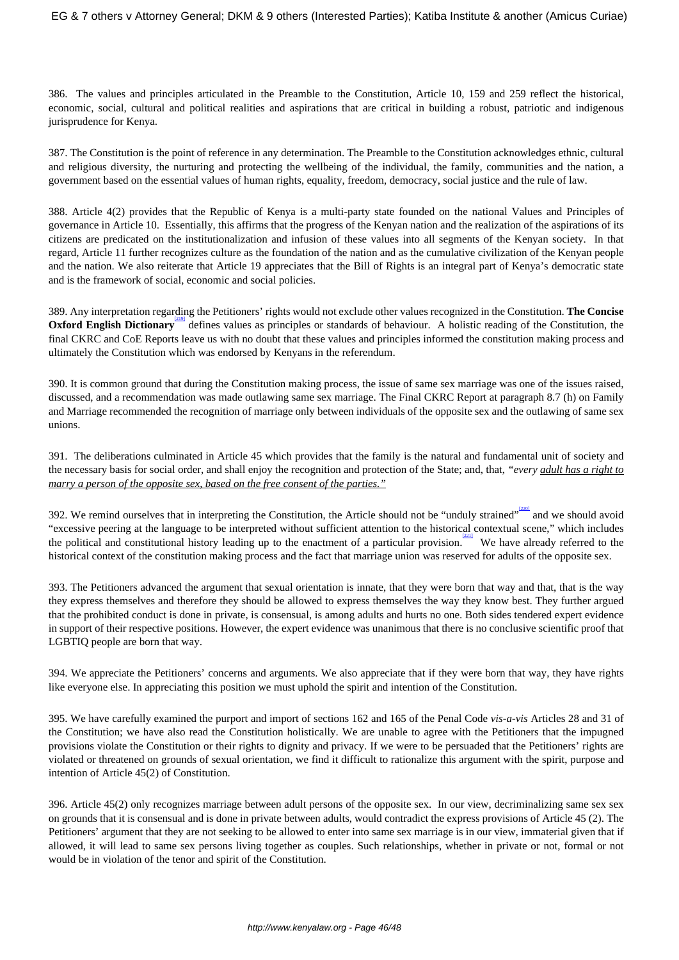386. The values and principles articulated in the Preamble to the Constitution, Article 10, 159 and 259 reflect the historical, economic, social, cultural and political realities and aspirations that are critical in building a robust, patriotic and indigenous jurisprudence for Kenya.

387. The Constitution is the point of reference in any determination. The Preamble to the Constitution acknowledges ethnic, cultural and religious diversity, the nurturing and protecting the wellbeing of the individual, the family, communities and the nation, a government based on the essential values of human rights, equality, freedom, democracy, social justice and the rule of law.

388. Article 4(2) provides that the Republic of Kenya is a multi-party state founded on the national Values and Principles of governance in Article 10. Essentially, this affirms that the progress of the Kenyan nation and the realization of the aspirations of its citizens are predicated on the institutionalization and infusion of these values into all segments of the Kenyan society. In that regard, Article 11 further recognizes culture as the foundation of the nation and as the cumulative civilization of the Kenyan people and the nation. We also reiterate that Article 19 appreciates that the Bill of Rights is an integral part of Kenya's democratic state and is the framework of social, economic and social policies.

389. Any interpretation regarding the Petitioners' rights would not exclude other values recognized in the Constitution. **The Concise Oxford English Dictionary** defines values as principles or standards of behaviour. A holistic reading of the Constitution, the final CKRC and CoE Reports leave us with no doubt that these values and principles informed the constitution making process and ultimately the Constitution which was endorsed by Kenyans in the referendum.

390. It is common ground that during the Constitution making process, the issue of same sex marriage was one of the issues raised, discussed, and a recommendation was made outlawing same sex marriage. The Final CKRC Report at paragraph 8.7 (h) on Family and Marriage recommended the recognition of marriage only between individuals of the opposite sex and the outlawing of same sex unions.

391. The deliberations culminated in Article 45 which provides that the family is the natural and fundamental unit of society and the necessary basis for social order, and shall enjoy the recognition and protection of the State; and, that, *"every adult has a right to marry a person of the opposite sex, based on the free consent of the parties."*

392. We remind ourselves that in interpreting the Constitution, the Article should not be "unduly strained" and we should avoid "excessive peering at the language to be interpreted without sufficient attention to the historical contextual scene," which includes the political and constitutional history leading up to the enactment of a particular provision. We have already referred to the historical context of the constitution making process and the fact that marriage union was reserved for adults of the opposite sex.

393. The Petitioners advanced the argument that sexual orientation is innate, that they were born that way and that, that is the way they express themselves and therefore they should be allowed to express themselves the way they know best. They further argued that the prohibited conduct is done in private, is consensual, is among adults and hurts no one. Both sides tendered expert evidence in support of their respective positions. However, the expert evidence was unanimous that there is no conclusive scientific proof that LGBTIQ people are born that way.

394. We appreciate the Petitioners' concerns and arguments. We also appreciate that if they were born that way, they have rights like everyone else. In appreciating this position we must uphold the spirit and intention of the Constitution.

395. We have carefully examined the purport and import of sections 162 and 165 of the Penal Code *vis-a-vis* Articles 28 and 31 of the Constitution; we have also read the Constitution holistically. We are unable to agree with the Petitioners that the impugned provisions violate the Constitution or their rights to dignity and privacy. If we were to be persuaded that the Petitioners' rights are violated or threatened on grounds of sexual orientation, we find it difficult to rationalize this argument with the spirit, purpose and intention of Article 45(2) of Constitution.

396. Article 45(2) only recognizes marriage between adult persons of the opposite sex. In our view, decriminalizing same sex sex on grounds that it is consensual and is done in private between adults, would contradict the express provisions of Article 45 (2). The Petitioners' argument that they are not seeking to be allowed to enter into same sex marriage is in our view, immaterial given that if allowed, it will lead to same sex persons living together as couples. Such relationships, whether in private or not, formal or not would be in violation of the tenor and spirit of the Constitution.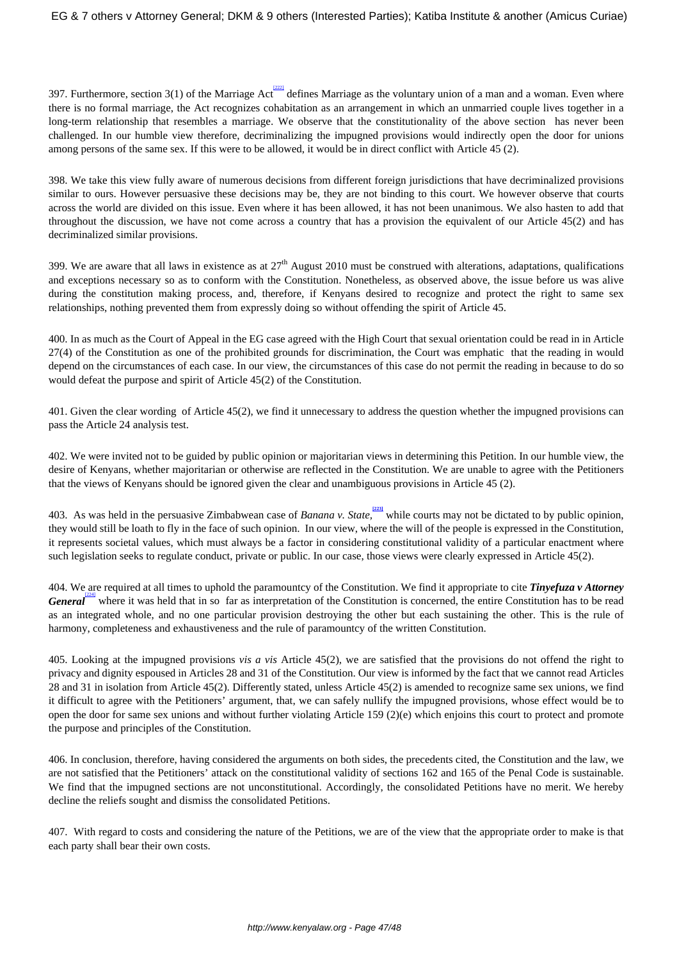397. Furthermore, section 3(1) of the Marriage Act defines Marriage as the voluntary union of a man and a woman. Even where there is no formal marriage, the Act recognizes cohabitation as an arrangement in which an unmarried couple lives together in a long-term relationship that resembles a marriage. We observe that the constitutionality of the above section has never been challenged. In our humble view therefore, decriminalizing the impugned provisions would indirectly open the door for unions among persons of the same sex. If this were to be allowed, it would be in direct conflict with Article 45 (2).

398. We take this view fully aware of numerous decisions from different foreign jurisdictions that have decriminalized provisions similar to ours. However persuasive these decisions may be, they are not binding to this court. We however observe that courts across the world are divided on this issue. Even where it has been allowed, it has not been unanimous. We also hasten to add that throughout the discussion, we have not come across a country that has a provision the equivalent of our Article 45(2) and has decriminalized similar provisions.

399. We are aware that all laws in existence as at  $27<sup>th</sup>$  August 2010 must be construed with alterations, adaptations, qualifications and exceptions necessary so as to conform with the Constitution. Nonetheless, as observed above, the issue before us was alive during the constitution making process, and, therefore, if Kenyans desired to recognize and protect the right to same sex relationships, nothing prevented them from expressly doing so without offending the spirit of Article 45.

400. In as much as the Court of Appeal in the EG case agreed with the High Court that sexual orientation could be read in in Article 27(4) of the Constitution as one of the prohibited grounds for discrimination, the Court was emphatic that the reading in would depend on the circumstances of each case. In our view, the circumstances of this case do not permit the reading in because to do so would defeat the purpose and spirit of Article 45(2) of the Constitution.

401. Given the clear wording of Article 45(2), we find it unnecessary to address the question whether the impugned provisions can pass the Article 24 analysis test.

402. We were invited not to be guided by public opinion or majoritarian views in determining this Petition. In our humble view, the desire of Kenyans, whether majoritarian or otherwise are reflected in the Constitution. We are unable to agree with the Petitioners that the views of Kenyans should be ignored given the clear and unambiguous provisions in Article 45 (2).

403. As was held in the persuasive Zimbabwean case of *Banana v. State*, while courts may not be dictated to by public opinion, they would still be loath to fly in the face of such opinion. In our view, where the will of the people is expressed in the Constitution, it represents societal values, which must always be a factor in considering constitutional validity of a particular enactment where such legislation seeks to regulate conduct, private or public. In our case, those views were clearly expressed in Article 45(2).

404. We are required at all times to uphold the paramountcy of the Constitution. We find it appropriate to cite *Tinyefuza v Attorney General* where it was held that in so far as interpretation of the Constitution is concerned, the entire Constitution has to be read as an integrated whole, and no one particular provision destroying the other but each sustaining the other. This is the rule of harmony, completeness and exhaustiveness and the rule of paramountcy of the written Constitution.

405. Looking at the impugned provisions *vis a vis* Article 45(2), we are satisfied that the provisions do not offend the right to privacy and dignity espoused in Articles 28 and 31 of the Constitution. Our view is informed by the fact that we cannot read Articles 28 and 31 in isolation from Article 45(2). Differently stated, unless Article 45(2) is amended to recognize same sex unions, we find it difficult to agree with the Petitioners' argument, that, we can safely nullify the impugned provisions, whose effect would be to open the door for same sex unions and without further violating Article 159 (2)(e) which enjoins this court to protect and promote the purpose and principles of the Constitution.

406. In conclusion, therefore, having considered the arguments on both sides, the precedents cited, the Constitution and the law, we are not satisfied that the Petitioners' attack on the constitutional validity of sections 162 and 165 of the Penal Code is sustainable. We find that the impugned sections are not unconstitutional. Accordingly, the consolidated Petitions have no merit. We hereby decline the reliefs sought and dismiss the consolidated Petitions.

407. With regard to costs and considering the nature of the Petitions, we are of the view that the appropriate order to make is that each party shall bear their own costs.